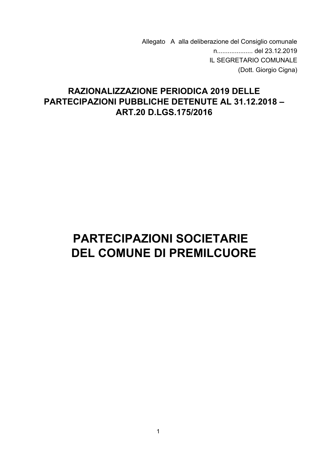Allegato A alla deliberazione del Consiglio comunale IL SEGRETARIO COMUNALE (Dott. Giorgio Cigna)

# **RAZIONALIZZAZIONE PERIODICA 2019 DELLE PARTECIPAZIONI PUBBLICHE DETENUTE AL 31.12.2018 -**ART.20 D.LGS.175/2016

# **PARTECIPAZIONI SOCIETARIE DEL COMUNE DI PREMILCUORE**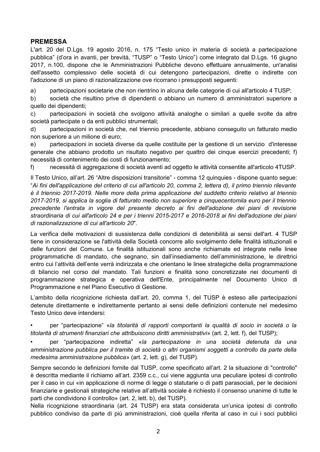### **PREMESSA**

L'art. 20 del D.Lgs. 19 agosto 2016, n. 175 "Testo unico in materia di società a partecipazione pubblica" (d'ora in avanti, per brevità, "TUSP" o "Testo Unico") come integrato dal D.Lgs. 16 giugno 2017, n.100, dispone che le Amministrazioni Pubbliche devono effettuare annualmente, un'analisi dell'assetto complessivo delle società di cui detengono partecipazioni, dirette o indirette con l'adozione di un piano di razionalizzazione ove ricorrano i presupposti sequenti:

partecipazioni societarie che non rientrino in alcuna delle categorie di cui all'articolo 4 TUSP; a)

b) società che risultino prive di dipendenti o abbiano un numero di amministratori superiore a quello dei dipendenti;

partecipazioni in società che svolgono attività analoghe o similari a quelle svolte da altre  $\mathsf{c}$ società partecipate o da enti pubblici strumentali;

partecipazioni in società che, nel triennio precedente, abbiano conseguito un fatturato medio  $d)$ non superiore a un milione di euro;

partecipazioni in società diverse da quelle costituite per la gestione di un servizio d'interesse  $e)$ generale che abbiano prodotto un risultato negativo per quattro dei cinque esercizi precedenti; f) necessità di contenimento dei costi di funzionamento;

necessità di aggregazione di società aventi ad oggetto le attività consentite all'articolo 4TUSP.  $f$ 

Il Testo Unico, all'art. 26 "Altre disposizioni transitorie" - comma 12 quinquies - dispone quanto segue: "Ai fini dell'applicazione del criterio di cui all'articolo 20, comma 2, lettera d), il primo triennio rilevante è il triennio 2017-2019. Nelle more della prima applicazione del suddetto criterio relativo al triennio 2017-2019, si applica la soglia di fatturato medio non superiore a cinquecentomila euro per il triennio precedente l'entrata in vigore del presente decreto ai fini dell'adozione dei piani di revisione straordinaria di cui all'articolo 24 e per i trienni 2015-2017 e 2016-2018 ai fini dell'adozione dei piani di razionalizzazione di cui all'articolo 20".

La verifica delle motivazioni di sussistenza delle condizioni di detenibilità ai sensi dell'art. 4 TUSP tiene in considerazione se l'attività della Società concorre allo svolgimento delle finalità istituzionali e delle funzioni del Comune. Le finalità istituzionali sono anche richiamate ed integrate nelle linee programmatiche di mandato, che segnano, sin dall'insediamento dell'amministrazione, le direttrici entro cui l'attività dell'ente verrà indirizzata e che orientano le linee strategiche della programmazione di bilancio nel corso del mandato. Tali funzioni e finalità sono concretizzate nei documenti di programmazione strategica e operativa dell'Ente, principalmente nel Documento Unico di Programmazione e nel Piano Esecutivo di Gestione.

L'ambito della ricognizione richiesta dall'art. 20, comma 1, del TUSP è esteso alle partecipazioni detenute direttamente e indirettamente pertanto ai sensi delle definizioni contenute nel medesimo Testo Unico deve intendersi:

per "partecipazione" «la titolarità di rapporti comportanti la qualità di socio in società o la titolarità di strumenti finanziari che attribuiscono diritti amministrativi» (art. 2, lett. f), del TUSP);

per "partecipazione indiretta" «la partecipazione in una società detenuta da una amministrazione pubblica per il tramite di società o altri organismi soggetti a controllo da parte della medesima amministrazione pubblica» (art. 2, lett. g), del TUSP).

Sempre secondo le definizioni fornite dal TUSP, come specificato all'art. 2 la situazione di "controllo" è descritta mediante il richiamo all'art. 2359 c.c., cui viene aggiunta una peculiare ipotesi di controllo per il caso in cui «in applicazione di norme di legge o statutarie o di patti parasociali, per le decisioni finanziarie e gestionali strategiche relative all'attività sociale è richiesto il consenso unanime di tutte le parti che condividono il controllo» (art. 2, lett. b), del TUSP).

Nella ricognizione straordinaria (art. 24 TUSP) era stata considerata un'unica ipotesi di controllo pubblico condiviso da parte di più amministrazioni, cioè quella riferita al caso in cui i soci pubblici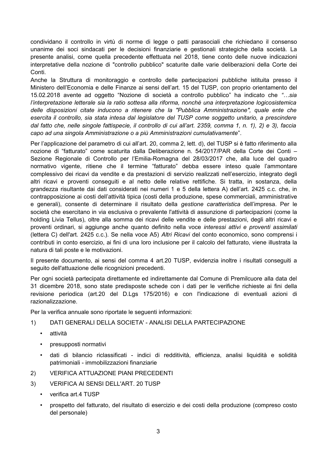condividano il controllo in virtù di norme di legge o patti parasociali che richiedano il consenso unanime dei soci sindacati per le decisioni finanziarie e gestionali strategiche della società. La presente analisi, come quella precedente effettuata nel 2018, tiene conto delle nuove indicazioni interpretative della nozione di "controllo pubblico" scaturite dalle varie deliberazioni della Corte dei Conti.

Anche la Struttura di monitoraggio e controllo delle partecipazioni pubbliche istituita presso il Ministero dell'Economia e delle Finanze ai sensi dell'art. 15 del TUSP, con proprio orientamento del 15.02.2018 avente ad oggetto "Nozione di società a controllo pubblico" ha indicato che "...sia l'interpretazione letterale sia la ratio sottesa alla riforma, nonchè una interpretazione logicosistemica delle disposizioni citate inducono a ritenere che la "Pubblica Amministrazione", quale ente che esercita il controllo, sia stata intesa dal legislatore del TUSP come soggetto unitario, a prescindere dal fatto che, nelle singole fattispecie, il controllo di cui all'art. 2359, comma 1, n. 1), 2) e 3), faccia capo ad una singola Amministrazione o a più Amministrazioni cumulativamente".

Per l'applicazione del parametro di cui all'art. 20, comma 2, lett. d), del TUSP si è fatto riferimento alla nozione di "fatturato" come scaturita dalla Deliberazione n. 54/2017/PAR della Corte dei Conti -Sezione Regionale di Controllo per l'Emilia-Romagna del 28/03/2017 che, alla luce del quadro normativo vigente, ritiene che il termine "fatturato" debba essere inteso quale l'ammontare complessivo dei ricavi da vendite e da prestazioni di servizio realizzati nell'esercizio, integrato degli altri ricavi e proventi conseguiti e al netto delle relative rettifiche. Si tratta, in sostanza, della grandezza risultante dai dati considerati nei numeri 1 e 5 della lettera A) dell'art. 2425 c.c. che, in contrapposizione ai costi dell'attività tipica (costi della produzione, spese commerciali, amministrative e generali), consente di determinare il risultato della gestione caratteristica dell'impresa. Per le società che esercitano in via esclusiva o prevalente l'attività di assunzione di partecipazioni (come la holding Livia Tellus), oltre alla somma dei ricavi delle vendite e delle prestazioni, degli altri ricavi e proventi ordinari, si aggiunge anche quanto definito nella voce interessi attivi e proventi assimilati (lettera C) dell'art. 2425 c.c.). Se nella voce A5) Altri Ricavi del conto economico, sono comprensi i contributi in conto esercizio, ai fini di una loro inclusione per il calcolo del fatturato, viene illustrata la natura di tali poste e le motivazioni.

Il presente documento, ai sensi del comma 4 art.20 TUSP, evidenzia inoltre i risultati conseguiti a seguito dell'attuazione delle ricognizioni precedenti.

Per ogni società partecipata direttamente ed indirettamente dal Comune di Premilcuore alla data del 31 dicembre 2018, sono state predisposte schede con i dati per le verifiche richieste ai fini della revisione periodica (art.20 del D.Lgs 175/2016) e con l'indicazione di eventuali azioni di razionalizzazione.

Per la verifica annuale sono riportate le sequenti informazioni:

- DATI GENERALI DELLA SOCIETA' ANALISI DELLA PARTECIPAZIONE  $1)$ 
	- $\bullet$  . attività
	- presupposti normativi  $\bullet$  .
	- dati di bilancio riclassificati indici di redditività, efficienza, analisi liquidità e solidità  $\bullet$ patrimoniali - immobilizzazioni finanziarie
- **VERIFICA ATTUAZIONE PIANI PRECEDENTI**  $(2)$
- $3)$ **VERIFICA AI SENSI DELL'ART. 20 TUSP** 
	- verifica art.4 TUSP
	- prospetto del fatturato, del risultato di esercizio e dei costi della produzione (compreso costo del personale)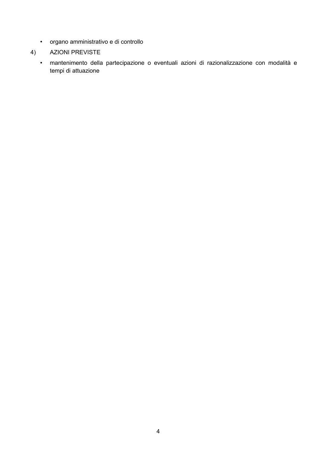- · organo amministrativo e di controllo
- 4) AZIONI PREVISTE
	- · mantenimento della partecipazione o eventuali azioni di razionalizzazione con modalità e tempi di attuazione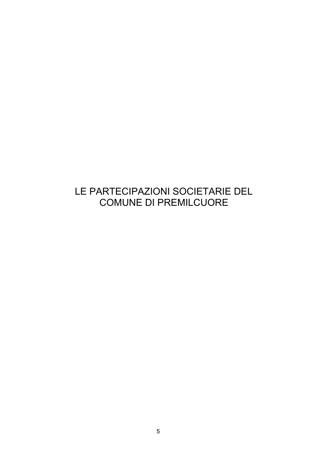# LE PARTECIPAZIONI SOCIETARIE DEL **COMUNE DI PREMILCUORE**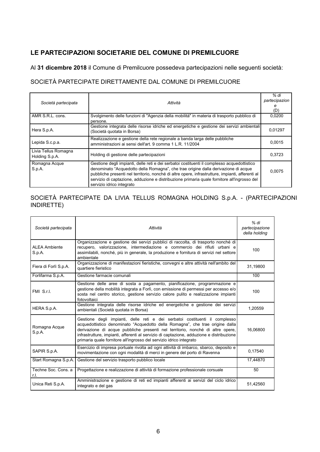# LE PARTECIPAZIONI SOCIETARIE DEL COMUNE DI PREMILCUORE

Al 31 dicembre 2018 il Comune di Premilcuore possedeva partecipazioni nelle seguenti società:

### SOCIETÀ PARTECIPATE DIRETTAMENTE DAL COMUNE DI PREMILCUORE

| Società partecipata                    | Attività                                                                                                                                                                                                                                                                                                                                                                                                          | % di<br>partecipazion<br>(D) |
|----------------------------------------|-------------------------------------------------------------------------------------------------------------------------------------------------------------------------------------------------------------------------------------------------------------------------------------------------------------------------------------------------------------------------------------------------------------------|------------------------------|
| AMR S.R.L. cons.                       | Svolgimento delle funzioni di "Agenzia della mobilità" in materia di trasporto pubblico di<br>persone.                                                                                                                                                                                                                                                                                                            | 0,0200                       |
| Hera S.p.A.                            | Gestione integrata delle risorse idriche ed energetiche e gestione dei servizi ambientali<br>(Società quotata in Borsa)                                                                                                                                                                                                                                                                                           | 0,01297                      |
| Lepida S.c.p.a.                        | Realizzazione e gestione della rete regionale a banda larga delle pubbliche<br>amministrazioni ai sensi dell'art. 9 comma 1 L.R. 11/2004                                                                                                                                                                                                                                                                          | 0,0015                       |
| Livia Tellus Romagna<br>Holding S.p.A. | Holding di gestione delle partecipazioni                                                                                                                                                                                                                                                                                                                                                                          | 0.3723                       |
| Romagna Acque<br>S.p.A.                | Gestione degli impianti, delle reti e dei serbatoi costituenti il complesso acquedottistico<br>denominato "Acquedotto della Romagna", che trae origine dalla derivazione di acque<br>pubbliche presenti nel territorio, nonché di altre opere, infrastrutture, impianti, afferenti al<br>servizio di captazione, adduzione e distribuzione primaria quale fornitore all'ingrosso del<br>servizio idrico integrato | 0.0075                       |

### SOCIETÀ PARTECIPATE DA LIVIA TELLUS ROMAGNA HOLDING S.p.A. - (PARTECIPAZIONI INDIRETTE)

| Società partecipata            | Attività                                                                                                                                                                                                                                                                                                                                                                                                          | % di<br>partecipazione<br>della holding |
|--------------------------------|-------------------------------------------------------------------------------------------------------------------------------------------------------------------------------------------------------------------------------------------------------------------------------------------------------------------------------------------------------------------------------------------------------------------|-----------------------------------------|
| <b>ALEA Ambiente</b><br>S.p.A. | Organizzazione e gestione dei servizi pubblici di raccolta, di trasporto nonché di<br>recupero, valorizzazione, intermediazione e commercio dei rifiuti urbani e<br>assimilabili, nonché, più in generale, la produzione e fornitura di servizi nel settore<br>ambientale                                                                                                                                         | 100                                     |
| Fiera di Forlì S.p.A.          | Organizzazione di manifestazioni fieristiche, convegni e altre attività nell'ambito del<br>quartiere fieristico                                                                                                                                                                                                                                                                                                   | 31,19800                                |
| Forlifarma S.p.A.              | Gestione farmacie comunali                                                                                                                                                                                                                                                                                                                                                                                        | 100                                     |
| FMI S.r.I.                     | Gestione delle aree di sosta a pagamento, pianificazione, programmazione e<br>gestione della mobilità integrata a Forlì, con emissione di permessi per accesso e/o<br>sosta nel centro storico, gestione servizio calore pulito e realizzazione impianti<br>fotovoltaici                                                                                                                                          | 100                                     |
| HERA S.p.A.                    | Gestione integrata delle risorse idriche ed energetiche e gestione dei servizi<br>ambientali (Società quotata in Borsa)                                                                                                                                                                                                                                                                                           | 1,20559                                 |
| Romagna Acque<br>S.p.A.        | Gestione degli impianti, delle reti e dei serbatoi costituenti il complesso<br>acquedottistico denominato "Acquedotto della Romagna", che trae origine dalla<br>derivazione di acque pubbliche presenti nel territorio, nonché di altre opere,<br>infrastrutture, impianti, afferenti al servizio di captazione, adduzione e distribuzione<br>primaria quale fornitore all'ingrosso del servizio idrico integrato | 16.06800                                |
| SAPIR S.p.A.                   | Esercizio di impresa portuale rivolta ad ogni attività di imbarco, sbarco, deposito e<br>movimentazione con ogni modalità di merci in genere del porto di Ravenna                                                                                                                                                                                                                                                 | 0,17540                                 |
| Start Romagna S.p.A.           | Gestione del servizio trasporto pubblico locale                                                                                                                                                                                                                                                                                                                                                                   | 17,44870                                |
| Techne Soc. Cons. a<br>r.l.    | Progettazione e realizzazione di attività di formazione professionale corsuale                                                                                                                                                                                                                                                                                                                                    | 50                                      |
| Unica Reti S.p.A.              | Amministrazione e gestione di reti ed impianti afferenti ai servizi del ciclo idrico<br>integrato e del gas                                                                                                                                                                                                                                                                                                       | 51,42560                                |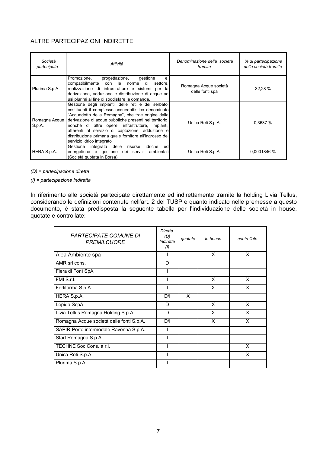### ALTRE PARTECIPAZIONI INDIRETTE

| Società<br>partecipata  | Attività                                                                                                                                                                                                                                                                                                                                                                                                                   | Denominazione della società<br>tramite   | % di partecipazione<br>della società tramite |
|-------------------------|----------------------------------------------------------------------------------------------------------------------------------------------------------------------------------------------------------------------------------------------------------------------------------------------------------------------------------------------------------------------------------------------------------------------------|------------------------------------------|----------------------------------------------|
| Plurima S.p.A.          | Promozione.<br>progettazione,<br>qestione<br>e.<br>compatibilmente con le norme di<br>settore,<br>realizzazione di infrastrutture e sistemi per la<br>derivazione, adduzione e distribuzione di acque ad<br>usi plurimi al fine di soddisfare la domanda.                                                                                                                                                                  | Romagna Acque società<br>delle fonti spa | 32,28 %                                      |
| Romagna Acque<br>S.p.A. | Gestione degli impianti, delle reti e dei serbatoi<br>costituenti il complesso acquedottistico denominato<br>"Acquedotto della Romagna", che trae origine dalla<br>derivazione di acque pubbliche presenti nel territorio,<br>nonché di altre opere, infrastrutture, impianti,<br>afferenti al servizio di captazione, adduzione e<br>distribuzione primaria quale fornitore all'ingrosso del<br>servizio idrico integrato | Unica Reti S.p.A.                        | 0,3637 %                                     |
| HERA S.p.A.             | integrata delle<br>Gestione<br>idriche<br>edl<br>risorse<br>energetiche e gestione dei servizi<br>ambientali<br>(Società quotata in Borsa)                                                                                                                                                                                                                                                                                 | Unica Reti S.p.A.                        | 0,0001846 %                                  |

 $(D)$  = partecipazione diretta

 $(1)$  = partecipazione indiretta

In riferimento alle società partecipate direttamente ed indirettamente tramite la holding Livia Tellus, considerando le definizioni contenute nell'art. 2 del TUSP e quanto indicato nelle premesse a questo documento, è stata predisposta la seguente tabella per l'individuazione delle società in house, quotate e controllate:

| <b>PARTECIPATE COMUNE DI</b><br><b>PREMILCUORE</b> | Diretta<br>(D)<br>Indiretta<br>(1) | quotate | in house | controllate |
|----------------------------------------------------|------------------------------------|---------|----------|-------------|
| Alea Ambiente spa                                  |                                    |         | X        | X           |
| AMR srl cons.                                      | D                                  |         |          |             |
| Fiera di Forlì SpA                                 |                                    |         |          |             |
| FMI S.r.I.                                         |                                    |         | X        | X           |
| Forlifarma S.p.A.                                  |                                    |         | X        | X           |
| HERA S.p.A.                                        | D/I                                | X       |          |             |
| Lepida ScpA                                        | D                                  |         | X        | X           |
| Livia Tellus Romagna Holding S.p.A.                | D                                  |         | X        | X           |
| Romagna Acque società delle fonti S.p.A.           | D/I                                |         | X        | X           |
| SAPIR-Porto intermodale Ravenna S.p.A.             |                                    |         |          |             |
| Start Romagna S.p.A.                               |                                    |         |          |             |
| TECHNE Soc.Cons. a r.l.                            |                                    |         |          | X           |
| Unica Reti S.p.A.                                  |                                    |         |          | X           |
| Plurima S.p.A.                                     |                                    |         |          |             |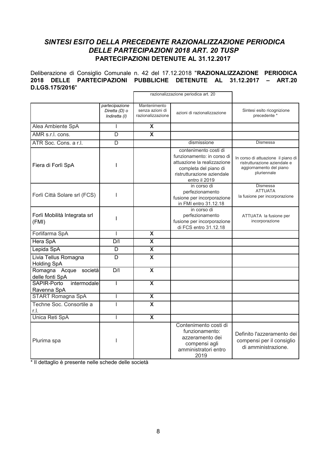### SINTESI ESITO DELLA PRECEDENTE RAZIONALIZZAZIONE PERIODICA DELLE PARTECIPAZIONI 2018 ART. 20 TUSP PARTECIPAZIONI DETENUTE AL 31.12.2017

Deliberazione di Consiglio Comunale n. 42 del 17.12.2018 "RAZIONALIZZAZIONE PERIODICA 2018 DELLE PARTECIPAZIONI PUBBLICHE DETENUTE AL 31.12.2017 - ART.20 D.LGS.175/2016"

|                                                | partecipazione<br>Diretta (D) o<br>Indiretta (I) | Mantenimento<br>senza azioni di<br>razionalizzazione | azioni di razionalizzazione                                                                                                                                | Sintesi esito ricognizione<br>precedente *                                                                   |
|------------------------------------------------|--------------------------------------------------|------------------------------------------------------|------------------------------------------------------------------------------------------------------------------------------------------------------------|--------------------------------------------------------------------------------------------------------------|
| Alea Ambiente SpA                              |                                                  | $\overline{\mathbf{X}}$                              |                                                                                                                                                            |                                                                                                              |
| AMR s.r.l. cons.                               | D                                                | $\overline{\mathbf{x}}$                              |                                                                                                                                                            |                                                                                                              |
| ATR Soc. Cons. a r.l.                          | D                                                |                                                      | dismissione                                                                                                                                                | Dismessa                                                                                                     |
| Fiera di Forlì SpA                             |                                                  |                                                      | contenimento costi di<br>funzionamento: in corso di<br>attuazione la realizzazione<br>completa del piano di<br>ristrutturazione aziendale<br>entro il 2019 | In corso di attuazione il piano di<br>ristrutturazione aziendale e<br>aggiornamento del piano<br>pluriennale |
| Forlì Città Solare srl (FCS)                   |                                                  |                                                      | in corso di<br>perfezionamento<br>fusione per incorporazione<br>in FMI entro 31.12.18                                                                      | Dismessa<br><b>ATTUATA</b><br>la fusione per incorporazione                                                  |
| Forlì Mobilità Integrata srl<br>(FMI)          |                                                  |                                                      | in corso di<br>perfezionamento<br>fusione per incorporazione<br>di FCS entro 31.12.18                                                                      | ATTUATA la fusione per<br>incorporazione                                                                     |
| Forlifarma SpA                                 | I                                                | $\overline{\mathbf{x}}$                              |                                                                                                                                                            |                                                                                                              |
| Hera SpA                                       | D/I                                              | $\overline{\mathbf{x}}$                              |                                                                                                                                                            |                                                                                                              |
| Lepida SpA                                     | D                                                | $\boldsymbol{\mathsf{X}}$                            |                                                                                                                                                            |                                                                                                              |
| Livia Tellus Romagna<br><b>Holding SpA</b>     | $\overline{D}$                                   | $\overline{\mathbf{x}}$                              |                                                                                                                                                            |                                                                                                              |
| Romagna<br>Acque<br>società<br>delle fonti SpA | D/I                                              | $\boldsymbol{\mathsf{X}}$                            |                                                                                                                                                            |                                                                                                              |
| intermodale<br>SAPIR-Porto<br>Ravenna SpA      | $\overline{1}$                                   | $\overline{\mathbf{x}}$                              |                                                                                                                                                            |                                                                                                              |
| <b>START Romagna SpA</b>                       |                                                  | $\boldsymbol{\mathsf{X}}$                            |                                                                                                                                                            |                                                                                                              |
| Techne Soc. Consortile a<br>r.l.               | ı                                                | $\overline{\mathbf{x}}$                              |                                                                                                                                                            |                                                                                                              |
| Unica Reti SpA                                 | I                                                | $\overline{\mathbf{x}}$                              |                                                                                                                                                            |                                                                                                              |
| Plurima spa                                    |                                                  |                                                      | Contenimento costi di<br>funzionamento:<br>azzeramento dei<br>compensi agli<br>amministratori entro<br>2019                                                | Definito l'azzeramento dei<br>compensi per il consiglio<br>di amministrazione.                               |

\* Il dettaglio è presente nelle schede delle società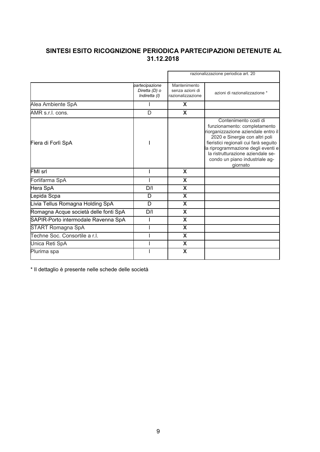### SINTESI ESITO RICOGNIZIONE PERIODICA PARTECIPAZIONI DETENUTE AL 31.12.2018

|                                       |                                                  |                                                      | razionalizzazione periodica art. 20                                                                                                                                                                                                                                                              |
|---------------------------------------|--------------------------------------------------|------------------------------------------------------|--------------------------------------------------------------------------------------------------------------------------------------------------------------------------------------------------------------------------------------------------------------------------------------------------|
|                                       | partecipazione<br>Diretta (D) o<br>Indiretta (I) | Mantenimento<br>senza azioni di<br>razionalizzazione | azioni di razionalizzazione *                                                                                                                                                                                                                                                                    |
| Alea Ambiente SpA                     |                                                  | X                                                    |                                                                                                                                                                                                                                                                                                  |
| AMR s.r.l. cons.                      | D                                                | X                                                    |                                                                                                                                                                                                                                                                                                  |
| Fiera di Forlì SpA                    |                                                  |                                                      | Contenimento costi di<br>funzionamento: completamento<br>riorganizzazione aziendale entro il<br>2020 e Sinergie con altri poli<br>fieristici regionali cui farà seguito<br>la riprogrammazione degli eventi e<br>la ristrutturazione aziendale se-<br>condo un piano industriale ag-<br>qiornato |
| FMI srl                               |                                                  | X                                                    |                                                                                                                                                                                                                                                                                                  |
| Forlifarma SpA                        |                                                  | X                                                    |                                                                                                                                                                                                                                                                                                  |
| Hera SpA                              | D/I                                              | X                                                    |                                                                                                                                                                                                                                                                                                  |
| Lepida Scpa                           | D                                                | X                                                    |                                                                                                                                                                                                                                                                                                  |
| Livia Tellus Romagna Holding SpA      | D                                                | X                                                    |                                                                                                                                                                                                                                                                                                  |
| Romagna Acque società delle fonti SpA | D/I                                              | X                                                    |                                                                                                                                                                                                                                                                                                  |
| SAPIR-Porto intermodale Ravenna SpA   |                                                  | X                                                    |                                                                                                                                                                                                                                                                                                  |
| START Romagna SpA                     |                                                  | X                                                    |                                                                                                                                                                                                                                                                                                  |
| Techne Soc. Consortile a r.l.         |                                                  | X                                                    |                                                                                                                                                                                                                                                                                                  |
| Unica Reti SpA                        |                                                  | X                                                    |                                                                                                                                                                                                                                                                                                  |
| Plurima spa                           |                                                  | X                                                    |                                                                                                                                                                                                                                                                                                  |

\* Il dettaglio è presente nelle schede delle società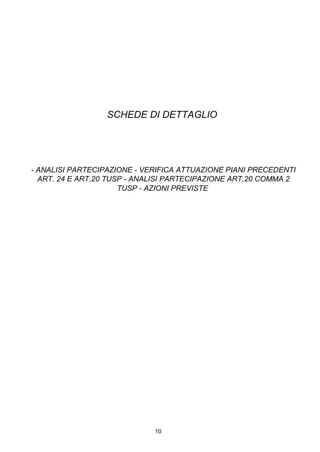# **SCHEDE DI DETTAGLIO**

- ANALISI PARTECIPAZIONE - VERIFICA ATTUAZIONE PIANI PRECEDENTI ART. 24 E ART.20 TUSP - ANALISI PARTECIPAZIONE ART.20 COMMA 2 **TUSP - AZIONI PREVISTE**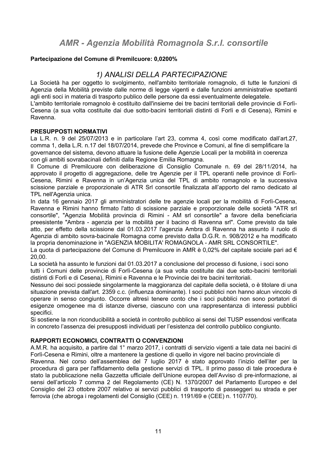### Partecipazione del Comune di Premilcuore: 0.0200%

# 1) ANALISI DELLA PARTECIPAZIONE

La Società ha per oggetto lo svolgimento, nell'ambito territoriale romagnolo, di tutte le funzioni di Agenzia della Mobilità previste dalle norme di legge vigenti e dalle funzioni amministrative spettanti agli enti soci in materia di trasporto publico delle persone da essi eventualmente delegatele. L'ambito territoriale romagnolo è costituito dall'insieme dei tre bacini territoriali delle provincie di Forlì-Cesena (a sua volta costituite dai due sotto-bacini territoriali distinti di Forlì e di Cesena), Rimini e

### **PRESUPPOSTI NORMATIVI**

Ravenna.

La L.R. n. 9 del 25/07/2013 e in particolare l'art 23, comma 4, così come modificato dall'art.27, comma 1, della L.R. n.17 del 18/07/2014, prevede che Province e Comuni, al fine di semplificare la governance del sistema, devono attuare la fusione delle Agenzie Locali per la mobilità in coerenza con gli ambiti sovrabacinali definiti dalla Regione Emilia Romagna.

Il Comune di Premilcuore con deliberazione di Consiglio Comunale n. 69 del 28/11/2014, ha approvato il progetto di aggregazione, delle tre Agenzie per il TPL operanti nelle province di Forlì-Cesena. Rimini e Ravenna in un'Agenzia unica del TPL di ambito romagnolo e la successiva scissione parziale e proporzionale di ATR Srl consortile finalizzata all'apporto del ramo dedicato al TPL nell'Agenzia unica.

In data 16 gennaio 2017 gli amministratori delle tre agenzie locali per la mobilità di Forlì-Cesena, Ravenna e Rimini hanno firmato l'atto di scissione parziale e proporzionale delle società "ATR srl consortile". "Agenzia Mobilità provincia di Rimini - AM srl consortile" a favore della beneficiaria preesistente "Ambra - agenzia per la mobilità per il bacino di Ravenna srl". Come previsto da tale atto, per effetto della scissione dal 01.03.2017 l'agenzia Ambra di Ravenna ha assunto il ruolo di Agenzia di ambito sovra-bacinale Romagna come previsto dalla D.G.R. n. 908/2012 e ha modificato la propria denominazione in "AGENZIA MOBILITA' ROMAGNOLA - AMR SRL CONSORTILE".

La quota di partecipazione del Comune di Premilcuore in AMR è 0,02% del capitale sociale pari ad €  $20.00.$ 

La società ha assunto le funzioni dal 01.03.2017 a conclusione del processo di fusione, i soci sono tutti i Comuni delle provincie di Forlì-Cesena (a sua volta costituite dai due sotto-bacini territoriali distinti di Forlì e di Cesena), Rimini e Ravenna e le Provincie dei tre bacini territoriali.

Nessuno dei soci possiede singolarmente la maggioranza del capitale della società, o è titolare di una situazione prevista dall'art. 2359 c.c. (influenza dominante). I soci pubblici non hanno alcun vincolo di operare in senso congiunto. Occorre altresì tenere conto che i soci pubblici non sono portatori di esigenze omogenee ma di istanze diverse, ciascuno con una rappresentanza di interessi pubblici specifici.

Si sostiene la non riconducibilità a società in controllo pubblico ai sensi del TUSP essendosi verificata in concreto l'assenza dei presupposti individuati per l'esistenza del controllo pubblico congiunto.

### RAPPORTI ECONOMICI. CONTRATTI O CONVENZIONI

A.M.R. ha acquisito, a partire dal 1° marzo 2017, i contratti di servizio vigenti a tale data nei bacini di Forlì-Cesena e Rimini, oltre a mantenere la gestione di quello in vigore nel bacino provinciale di

Ravenna. Nel corso dell'assemblea del 7 luglio 2017 è stato approvato l'inizio dell'iter per la procedura di gara per l'affidamento della gestione servizi di TPL. Il primo passo di tale procedura è stato la pubblicazione nella Gazzetta ufficiale dell'Unione europea dell'Avviso di pre-informazione, ai sensi dell'articolo 7 comma 2 del Regolamento (CE) N. 1370/2007 del Parlamento Europeo e del Consiglio del 23 ottobre 2007 relativo ai servizi pubblici di trasporto di passeggeri su strada e per ferrovia (che abroga i regolamenti del Consiglio (CEE) n. 1191/69 e (CEE) n. 1107/70).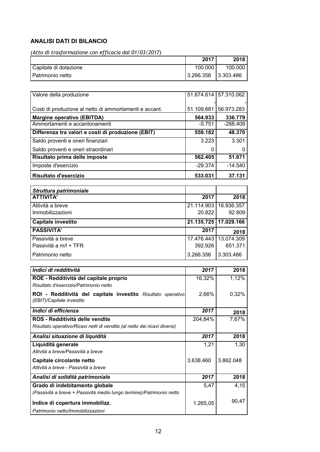### **ANALISI DATI DI BILANCIO**

(Atto di trasformazione con efficacia dal 01/03/2017)

|                       | 2017      | 2018      |
|-----------------------|-----------|-----------|
| Capitale di dotazione | 100.000   | 100.000   |
| I Patrimonio netto    | 3.266.356 | 3.303.486 |

| <b>Risultato d'esercizio</b>                           | 533.031    | 37.131                |
|--------------------------------------------------------|------------|-----------------------|
| Imposte d'esercizio                                    | $-29.374$  | $-14.540$             |
| Risultato prima delle imposte                          | 562.405    | 51.671                |
| Saldo proventi e oneri straordinari                    | 0          | O                     |
| Saldo proventi e oneri finanziari                      | 3.223      | 3.301                 |
| Differenza tra valori e costi di produzione (EBIT)     | 559.182    | 48.370                |
| Ammortamenti e accantonamenti                          | $-5.751$   | $-288.409$            |
| <b>Margine operativo (EBITDA)</b>                      | 564.933    | 336.779               |
| Costi di produzione al netto di ammortamenti e accant. | 51.109.681 | 56.973.283            |
|                                                        |            |                       |
| Valore della produzione                                |            | 51.674.614 57.310.062 |

| Struttura patrimoniale    |            |                         |
|---------------------------|------------|-------------------------|
| <b>ATTIVITA'</b>          | 2017       | 2018                    |
| Attività a breve          | 21.114.903 | 16.936.357              |
| Immobilizzazioni          | 20.822     | 92.809                  |
| <b>Capitale investito</b> |            | 21.135.725   17.029.166 |
| <b>PASSIVITA'</b>         | 2017       | 2018                    |
| Passività a breve         | 17.476.443 | 13.074.309              |
| Passività a m/l + TFR     | 392.926    | 651.371                 |
| Patrimonio netto          | 3.266.356  | 3.303.486               |

| Indici di redditività                                                     | 2017      | 2018      |
|---------------------------------------------------------------------------|-----------|-----------|
| ROE - Redditività del capitale proprio                                    | 16,32%    | 1,12%     |
| Risultato d'esercizio/Patrimonio netto                                    |           |           |
| ROI - Redditività del capitale investito Risultato operativo              | 2,66%     | 0,32%     |
| (EBIT)/Capitale investito                                                 |           |           |
| Indici di efficienza                                                      | 2017      | 2018      |
| ROS - Redditività delle vendite                                           | 204,84%   | 7,67%     |
| Risultato operativo/Ricavi netti di vendita (al netto dei ricavi diversi) |           |           |
| Analisi situazione di liquidità                                           | 2017      | 2018      |
| Liquidità generale                                                        | 1,21      | 1,30      |
| Attività a breve/Passività a breve                                        |           |           |
| Capitale circolante netto                                                 | 3.638.460 | 3.862.048 |
| Attività a breve - Passività a breve                                      |           |           |
| Analisi di solidità patrimoniale                                          | 2017      | 2018      |
| Grado di indebitamento globale                                            | 5,47      | 4,15      |
| (Passività a breve + Passività medio lungo termine)/Patrimonio netto      |           |           |
| Indice di copertura immobilizz.                                           | 1.265,05  | 90,47     |
| Patrimonio netto/Immobilizzazioni                                         |           |           |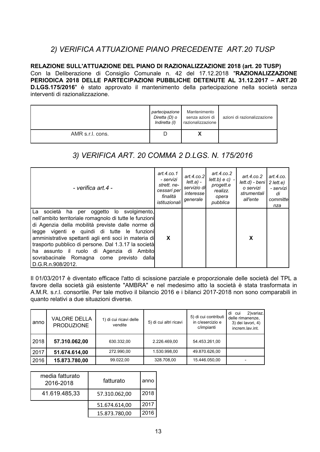# 2) VERIFICA ATTUAZIONE PIANO PRECEDENTE ART.20 TUSP

RELAZIONE SULL'ATTUAZIONE DEL PIANO DI RAZIONALIZZAZIONE 2018 (art. 20 TUSP) Con la Deliberazione di Consiglio Comunale n. 42 del 17.12.2018 "RAZIONALIZZAZIONE PERIODICA 2018 DELLE PARTECIPAZIONI PUBBLICHE DETENUTE AL 31.12.2017 - ART.20 D.LGS.175/2016" è stato approvato il mantenimento della partecipazione nella società senza interventi di razionalizzazione.

|                  | partecipazione<br>Diretta (D) o<br>Indiretta (I) | Mantenimento<br>senza azioni di<br>razionalizzazione | azioni di razionalizzazione |
|------------------|--------------------------------------------------|------------------------------------------------------|-----------------------------|
| AMR s.r.l. cons. |                                                  |                                                      |                             |

# 3) VERIFICA ART. 20 COMMA 2 D.LGS. N. 175/2016

| - verifica art.4 -                                                                                                                                                                                                                                                                                                                                                                                                                              | art. $4$ .co.1<br>- servizi<br>strett, ne-<br>cessari per<br>finalità<br>istituzionali | art.4. $co.2$<br>lett.a) -<br>servizio di<br>interesse<br>generale | art.4.co.2<br>$lett.b) e c$ ) -<br>progett.e<br>realizz.<br>opera<br>pubblica | art. $4$ .co. $2$<br>$lett.d$ ) - beni<br>o servizi<br>strumentali<br>all'ente | art.4.co.<br>$2$ lett.e)<br>- servizi<br>di<br>committel<br>nza |
|-------------------------------------------------------------------------------------------------------------------------------------------------------------------------------------------------------------------------------------------------------------------------------------------------------------------------------------------------------------------------------------------------------------------------------------------------|----------------------------------------------------------------------------------------|--------------------------------------------------------------------|-------------------------------------------------------------------------------|--------------------------------------------------------------------------------|-----------------------------------------------------------------|
| La società<br>oggetto lo svolgimento,<br>ha per<br>nell'ambito territoriale romagnolo di tutte le funzioni<br>di Agenzia della mobilità previste dalle norme di<br>legge vigenti e quindi di tutte le funzioni<br>amministrative spettanti agli enti soci in materia di<br>trasporto pubblico di persone. Dal 1.3.17 la società<br>ha assunto il ruolo di Agenzia di Ambito<br>sovrabacinale Romagna come previsto dalla<br>  D.G.R.n.908/2012. | X                                                                                      |                                                                    |                                                                               | X                                                                              |                                                                 |

Il 01/03/2017 è diventato efficace l'atto di scissione parziale e proporzionale delle società del TPL a favore della società già esistente "AMBRA" e nel medesimo atto la società è stata trasformata in A.M.R. s.r.l. consortile. Per tale motivo il bilancio 2016 e i bilanci 2017-2018 non sono comparabili in quanto relativi a due situazioni diverse.

| anno | <b>VALORE DELLA</b><br><b>PRODUZIONE</b> | 1) di cui ricavi delle<br>vendite | 5) di cui altri ricavi | 5) di cui contributi<br>in c/esercizio e<br>c/impianti | 2) variaz.<br>di<br>cui<br>delle rimanenze,<br>3) dei lavori, 4)<br>increm.lav.int. |
|------|------------------------------------------|-----------------------------------|------------------------|--------------------------------------------------------|-------------------------------------------------------------------------------------|
| 2018 | 57.310.062,00                            | 630.332,00                        | 2.226.469.00           | 54.453.261,00                                          |                                                                                     |
| 2017 | 51.674.614,00                            | 272.990,00                        | 1.530.998,00           | 49.870.626.00                                          |                                                                                     |
| 2016 | 15.873.780,00                            | 99.022.00                         | 328.708.00             | 15.446.050.00                                          |                                                                                     |

| media fatturato<br>2016-2018 | fatturato     | anno |
|------------------------------|---------------|------|
| 41.619.485,33                | 57.310.062,00 | 2018 |
|                              | 51.674.614,00 | 2017 |
|                              | 15.873.780,00 | 2016 |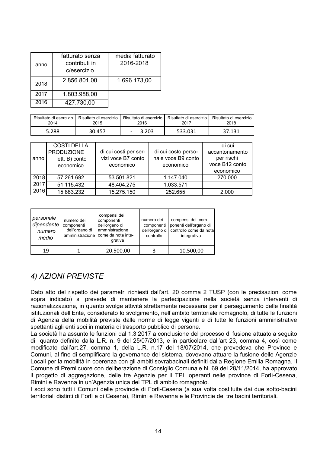| anno | fatturato senza<br>contributi in<br>c/esercizio | media fatturato<br>2016-2018 |
|------|-------------------------------------------------|------------------------------|
| 2018 | 2.856.801,00                                    | 1.696.173,00                 |
| 2017 | 1.803.988,00                                    |                              |
| 2016 | 427.730,00                                      |                              |

| Risultato di esercizio i | Risultato di esercizio | 2016  | Risultato di esercizio I Risultato di esercizio I | Risultato di esercizio |
|--------------------------|------------------------|-------|---------------------------------------------------|------------------------|
| 2014                     | 2015                   |       | 2017                                              | 2018                   |
| 5.288                    | 30.457                 | 3.203 | 533.031                                           | 37.131                 |

| anno | <b>COSTI DELLA</b><br><b>PRODUZIONE</b><br>lett. B) conto<br>economico | di cui costi per ser-<br>vizi voce B7 conto<br>economico | di cui costo perso-<br>nale voce B9 conto<br>economico | di cui<br>accantonamento<br>per rischi<br>voce B12 conto<br>economico |
|------|------------------------------------------------------------------------|----------------------------------------------------------|--------------------------------------------------------|-----------------------------------------------------------------------|
| 2018 | 57.261.692                                                             | 53.501.821                                               | 1.147.040                                              | 270.000                                                               |
| 2017 | 51.115.432                                                             | 48.404.275                                               | 1.033.571                                              |                                                                       |
| 2016 | 15.883.232                                                             | 15.275.150                                               | 252.655                                                | 2.000                                                                 |

| personale<br>dipendente<br>numero<br>medio | numero dei<br>componenti<br>dell'organo di | compensi dei<br>componenti<br>dell'organo di<br>ammnistrazione<br>amministrazione come da nota inte-<br>grativa | numero dei<br>componenti<br>controllo | compensi dei com-<br>ponenti dell'organo di<br>dell'organo di controllo come da nota<br>integrativa |
|--------------------------------------------|--------------------------------------------|-----------------------------------------------------------------------------------------------------------------|---------------------------------------|-----------------------------------------------------------------------------------------------------|
| 19                                         |                                            | 20.500,00                                                                                                       |                                       | 10.500,00                                                                                           |

# 4) AZIONI PREVISTE

Dato atto del rispetto dei parametri richiesti dall'art. 20 comma 2 TUSP (con le precisazioni come sopra indicato) si prevede di mantenere la partecipazione nella società senza interventi di razionalizzazione, in quanto svolge attività strettamente necessaria per il perseguimento delle finalità istituzionali dell'Ente, considerato lo svolgimento, nell'ambito territoriale romagnolo, di tutte le funzioni di Agenzia della mobilità previste dalle norme di legge vigenti e di tutte le funzioni amministrative spettanti agli enti soci in materia di trasporto pubblico di persone.

La società ha assunto le funzioni dal 1.3.2017 a conclusione del processo di fusione attuato a seguito di quanto definito dalla L.R. n. 9 del 25/07/2013, e in particolare dall'art 23, comma 4, così come modificato dall'art.27, comma 1, della L.R. n.17 del 18/07/2014, che prevedeva che Province e Comuni, al fine di semplificare la governance del sistema, dovevano attuare la fusione delle Agenzie Locali per la mobilità in coerenza con gli ambiti sovrabacinali definiti dalla Regione Emilia Romagna. Il Comune di Premilcuore con deliberazione di Consiglio Comunale N. 69 del 28/11/2014, ha approvato il progetto di aggregazione, delle tre Agenzie per il TPL operanti nelle province di Forlì-Cesena, Rimini e Ravenna in un'Agenzia unica del TPL di ambito romagnolo.

I soci sono tutti i Comuni delle provincie di Forlì-Cesena (a sua volta costituite dai due sotto-bacini territoriali distinti di Forlì e di Cesena), Rimini e Ravenna e le Provincie dei tre bacini territoriali.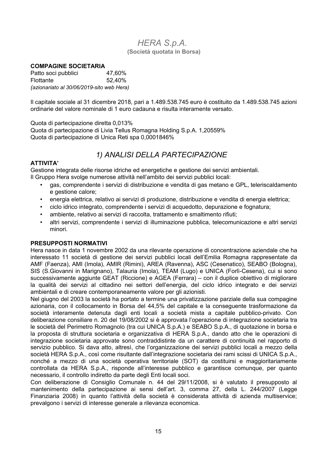### **HERA S.p.A.** (Società quotata in Borsa)

#### **COMPAGINE SOCIETARIA**

Patto soci pubblici 47,60% **Flottante** 52.40% (azionariato al 30/06/2019-sito web Hera)

Il capitale sociale al 31 dicembre 2018, pari a 1.489.538.745 euro è costituito da 1.489.538.745 azioni ordinarie del valore nominale di 1 euro cadauna e risulta interamente versato.

Quota di partecipazione diretta 0.013%

Quota di partecipazione di Livia Tellus Romagna Holding S.p.A. 1,20559% Quota di partecipazione di Unica Reti spa 0,0001846%

# 1) ANALISI DELLA PARTECIPAZIONE

### **ATTIVITA'**

Gestione integrata delle risorse idriche ed energetiche e gestione dei servizi ambientali. Il Gruppo Hera svolge numerose attività nell'ambito dei servizi pubblici locali:

- gas, comprendente i servizi di distribuzione e vendita di gas metano e GPL, teleriscaldamento e gestione calore;
- energia elettrica, relativo ai servizi di produzione, distribuzione e vendita di energia elettrica;
- ciclo idrico integrato, comprendente i servizi di acquedotto, depurazione e fognatura;  $\bullet$
- ambiente, relativo ai servizi di raccolta, trattamento e smaltimento rifiuti;  $\bullet$
- altri servizi, comprendente i servizi di illuminazione pubblica, telecomunicazione e altri servizi minori.

### **PRESUPPOSTI NORMATIVI**

Hera nasce in data 1 novembre 2002 da una rilevante operazione di concentrazione aziendale che ha interessato 11 società di gestione dei servizi pubblici locali dell'Emilia Romagna rappresentate da AMF (Faenza), AMI (Imola), AMIR (Rimini), AREA (Ravenna), ASC (Cesenatico), SEABO (Bologna), SIS (S. Giovanni in Marignano), Talauria (Imola), TEAM (Lugo) e UNICA (Forlì-Cesena), cui si sono successivamente aggiunte GEAT (Riccione) e AGEA (Ferrara) – con il duplice obiettivo di migliorare la qualità dei servizi al cittadino nei settori dell'energia, del ciclo idrico integrato e dei servizi ambientali e di creare contemporaneamente valore per gli azionisti.

Nel giugno del 2003 la società ha portato a termine una privatizzazione parziale della sua compagine azionaria, con il collocamento in Borsa del 44,5% del capitale e la conseguente trasformazione da società interamente detenuta dagli enti locali a società mista a capitale pubblico-privato. Con deliberazione consiliare n. 20 del 19/08/2002 si è approvata l'operazione di integrazione societaria tra le società del Perimetro Romagnolo (tra cui UNICA S.p.A.) e SEABO S.p.A., di guotazione in borsa e la proposta di struttura societaria e organizzativa di HERA S.p.A., dando atto che le operazioni di integrazione societaria approvate sono contraddistinte da un carattere di continuità nel rapporto di servizio pubblico. Si dava atto, altresì, che l'organizzazione dei servizi pubblici locali a mezzo della società HERA S.p.A., così come risultante dall'integrazione societaria dei rami scissi di UNICA S.p.A., nonché a mezzo di una società operativa territoriale (SOT) da costituirsi e maggioritariamente controllata da HERA S.p.A., risponde all'interesse pubblico e garantisce comunque, per quanto necessario, il controllo indiretto da parte degli Enti locali soci.

Con deliberazione di Consiglio Comunale n. 44 del 29/11/2008, si è valutato il presupposto al mantenimento della partecipazione ai sensi dell'art. 3, comma 27, della L. 244/2007 (Legge Finanziaria 2008) in quanto l'attività della società è considerata attività di azienda multiservice; prevalgono i servizi di interesse generale a rilevanza economica.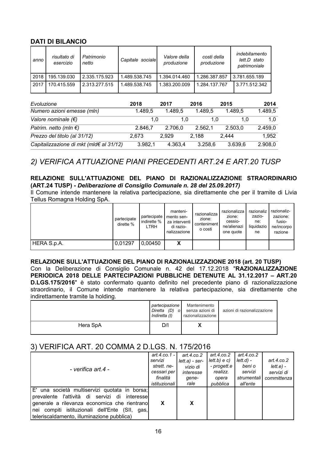### **DATI DI BILANCIO**

| anno | risultato di<br>esercizio | Patrimonio<br>netto | Capitale sociale | Valore della<br>produzione | costi della<br>produzione | indebitamento<br>lett.D stato<br>patrimoniale |
|------|---------------------------|---------------------|------------------|----------------------------|---------------------------|-----------------------------------------------|
| 2018 | 195.139.030               | 2.335.175.923       | .489.538.745     | 1.394.014.460              | 1.286.387.857             | 3.781.655.189                                 |
| 2017 | 170.415.559               | 2.313.277.515       | .489.538.745     | 1.383.200.009              | 1.284.137.767             | 3.771.512.342                                 |

| Evoluzione                              | 2018    | 2017    | 2016    | 2015    | 2014    |
|-----------------------------------------|---------|---------|---------|---------|---------|
| Numero azioni emesse (mln)              | 1.489.5 | 1.489.5 | 1.489,5 | 1.489.5 | 1.489,5 |
| Valore nominale $(\epsilon)$            | 1.0     | 1.0     | 1.0     | 1.0     | 1.0     |
| Patrim. netto (mln $\epsilon$ )         | 2.846,7 | 2.706.0 | 2.562,1 | 2.503.0 | 2.459,0 |
| Prezzo del titolo (al 31/12)            | 2.673   | 2.929   | 2.188   | 2.444   | 1,952   |
| Capitalizzazione di mkt (mld€ al 31/12) | 3.982,1 | 4.363,4 | 3.258,6 | 3.639,6 | 2.908,0 |

# 2) VERIFICA ATTUAZIONE PIANI PRECEDENTI ART.24 E ART.20 TUSP

### RELAZIONE SULL'ATTUAZIONE DEL PIANO DI RAZIONALIZZAZIONE STRAORDINARIO (ART.24 TUSP) - Deliberazione di Consiglio Comunale n. 28 del 25.09.2017)

Il Comune intende mantenere la relativa partecipazione, sia direttamente che per il tramite di Livia Tellus Romagna Holding SpA.

|             | partecipate<br>dirette % | partecipate<br>indirette %<br>LTRH | manteni-<br>mento sen-<br>za interventi<br>di razio-<br>nalizzazione | razionalizza<br>zione:<br>conteniment<br>o costi | razionalizza<br>zione:<br>cessio-<br>ne/alienazi<br>one quote | razionaliz<br>zazio-<br>ne:<br>liquidazio<br>ne | razionaliz-<br>zazione:<br>fusio-<br>ne/incorpo<br>razione |
|-------------|--------------------------|------------------------------------|----------------------------------------------------------------------|--------------------------------------------------|---------------------------------------------------------------|-------------------------------------------------|------------------------------------------------------------|
| HERA S.p.A. | 0,01297                  | 0,00450                            | X                                                                    |                                                  |                                                               |                                                 |                                                            |

### RELAZIONE SULL'ATTUAZIONE DEL PIANO DI RAZIONALIZZAZIONE 2018 (art. 20 TUSP)

Con la Deliberazione di Consiglio Comunale n. 42 del 17.12.2018 "RAZIONALIZZAZIONE PERIODICA 2018 DELLE PARTECIPAZIONI PUBBLICHE DETENUTE AL 31.12.2017 - ART.20 D.LGS.175/2016" è stato confermato quanto definito nel precedente piano di razionalizzazione straordinario, il Comune intende mantenere la relativa partecipazione, sia direttamente che indirettamente tramite la holding.

|          | partecipazione  <br>Diretta (D) o<br>Indiretta (I) | Mantenimento<br>senza azioni di<br>razionalizzazione | azioni di razionalizzazione |
|----------|----------------------------------------------------|------------------------------------------------------|-----------------------------|
| Hera SpA | D/I                                                | $\boldsymbol{\mathcal{N}}$                           |                             |

### 3) VERIFICA ART. 20 COMMA 2 D.LGS. N. 175/2016

| - verifica art.4 -                                                                                                                                                                                                                                 | art.4.co.1 -<br>servizi<br>strett, ne-<br>cessari per l<br>finalità<br>istituzionali | art. $4$ .co. $2$<br>$lett.a) - ser-$<br>vizio di<br>interesse<br>qene-<br>rale | art.4. $co.2$<br>lett.b) e c)<br>- progett.e  <br>realizz.<br>opera<br>pubblica | art.4.co.2<br>lett.d) -<br>beni o<br>servizi<br>strumentali l<br>all'ente | art.4. $co.2$<br>lett.e.<br>servizi di<br>committenza |
|----------------------------------------------------------------------------------------------------------------------------------------------------------------------------------------------------------------------------------------------------|--------------------------------------------------------------------------------------|---------------------------------------------------------------------------------|---------------------------------------------------------------------------------|---------------------------------------------------------------------------|-------------------------------------------------------|
| E' una società multiservizi quotata in borsa;<br>prevalente l'attività di servizi di<br>interessel<br>generale a rilevanza economica che rientrano<br>nei compiti istituzionali dell'Ente (SII, gas,<br>teleriscaldamento, illuminazione pubblica) | X                                                                                    | X                                                                               |                                                                                 |                                                                           |                                                       |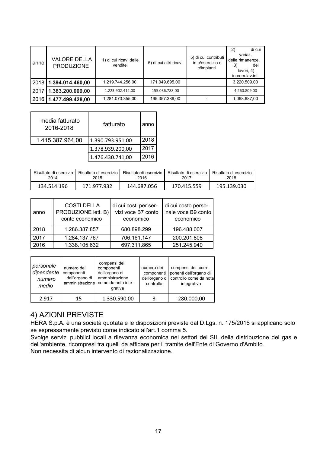| anno | <b>VALORE DELLA</b><br><b>PRODUZIONE</b> | 1) di cui ricavi delle<br>vendite | 5) di cui altri ricavi | 5) di cui contributi<br>in c/esercizio e<br>c/impianti | di cui<br>2)<br>variaz.<br>delle rimanenze,<br>3)<br>dei<br>lavori, 4)<br>increm.lav.int. |
|------|------------------------------------------|-----------------------------------|------------------------|--------------------------------------------------------|-------------------------------------------------------------------------------------------|
|      | 2018   1.394.014.460,00                  | 1.219.744.256.00                  | 171.049.695.00         |                                                        | 3.220.509.00                                                                              |
| 2017 | 1.383.200.009,00                         | 1.223.902.412,00                  | 155.036.788,00         |                                                        | 4.260.809,00                                                                              |
| 2016 | 1.477.499.428,00                         | 1.281.073.355,00                  | 195.357.386,00         |                                                        | 1.068.687,00                                                                              |

| media fatturato<br>2016-2018 | fatturato        | anno |
|------------------------------|------------------|------|
| 1.415.387.964,00             | 1.390.793.951,00 | 2018 |
|                              | 1.378.939.200,00 | 2017 |
|                              | 1.476.430.741,00 | 2016 |

| Risultato di esercizio | Risultato di esercizio | Risultato di esercizio | Risultato di esercizio | Risultato di esercizio |
|------------------------|------------------------|------------------------|------------------------|------------------------|
| 2014                   | 2015                   | 2016                   | 2017                   | 2018                   |
| 134.514.196            | 171.977.932            | 144.687.056            | 170.415.559            | 195.139.030            |

| anno | <b>COSTI DELLA</b><br>PRODUZIONE lett. B)<br>conto economico | di cui costi per ser-<br>vizi voce B7 conto<br>economico | di cui costo perso-<br>nale voce B9 conto<br>economico |
|------|--------------------------------------------------------------|----------------------------------------------------------|--------------------------------------------------------|
| 2018 | 1.286.387.857                                                | 680.898.299                                              | 196.488.007                                            |
| 2017 | 1.284.137.767                                                | 706.161.147                                              | 200.201.808                                            |
| 2016 | 1.338.105.632                                                | 697.311.865                                              | 251.245.940                                            |

| personale<br>dipendente<br>numero<br>medio | numero dei<br>componenti<br>dell'organo di<br>amministrazione | compensi dei<br>componenti<br>dell'organo di<br>ammnistrazione<br>come da nota inte-<br>grativa | numero dei<br>componenti<br>controllo | compensi dei com-<br>ponenti dell'organo di<br>dell'organo di controllo come da nota<br>integrativa |
|--------------------------------------------|---------------------------------------------------------------|-------------------------------------------------------------------------------------------------|---------------------------------------|-----------------------------------------------------------------------------------------------------|
| 2.917                                      | 15                                                            | 1.330.590,00                                                                                    | 3                                     | 280.000,00                                                                                          |

# 4) AZIONI PREVISTE

HERA S.p.A. è una società quotata e le disposizioni previste dal D.Lgs. n. 175/2016 si applicano solo se espressamente previsto come indicato all'art.1 comma 5.

Svolge servizi pubblici locali a rilevanza economica nei settori del SII, della distribuzione del gas e dell'ambiente, ricompresi tra quelli da affidare per il tramite dell'Ente di Governo d'Ambito. Non necessita di alcun intervento di razionalizzazione.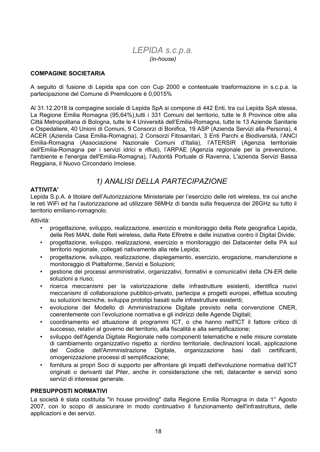### LEPIDA s.c.p.a. (in-house)

#### **COMPAGINE SOCIETARIA**

A sequito di fusione di Lepida spa con con Cup 2000 e contestuale trasformazione in s.c.p.a. la partecipazione del Comune di Premilcuore è 0,0015%

Al 31.12.2018 la compagine sociale di Lepida SpA si compone di 442 Enti, tra cui Lepida SpA stessa, La Regione Emilia Romagna (95,64%), tutti i 331 Comuni del territorio, tutte le 8 Province oltre alla Città Metropolitana di Bologna, tutte le 4 Università dell'Emilia-Romagna, tutte le 13 Aziende Sanitarie e Ospedaliere, 40 Unioni di Comuni, 9 Consorzi di Bonifica, 19 ASP (Azienda Servizi alla Persona), 4 ACER (Azienda Casa Emilia-Romagna), 2 Consorzi Fitosanitari, 3 Enti Parchi e Biodiversità, l'ANCI Emilia-Romagna (Associazione Nazionale Comuni d'Italia), l'ATERSIR (Agenzia territoriale dell'Emilia-Romagna per i servizi idrici e rifiuti), l'ARPAE (Agenzia regionale per la prevenzione, l'ambiente e l'energia dell'Emilia-Romagna). l'Autorità Portuale di Ravenna. L'azienda Servizi Bassa Reggiana, il Nuovo Circondario Imolese.

### 1) ANALISI DELLA PARTECIPAZIONE

#### **ATTIVITA'**

Lepida S.p.A. è titolare dell'Autorizzazione Ministeriale per l'esercizio delle reti wireless, tra cui anche le reti WiFi ed ha l'autorizzazione ad utilizzare 56MHz di banda sulla frequenza dei 26GHz su tutto il territorio emiliano-romagnolo.

Attività:

- progettazione, sviluppo, realizzazione, esercizio e monitoraggio della Rete geografica Lepida, delle Reti MAN, delle Reti wireless, della Rete ERretre e delle iniziative contro il Digital Divide;
- progettazione, sviluppo, realizzazione, esercizio e monitoraggio dei Datacenter della PA sul  $\bullet$ territorio regionale, collegati nativamente alla rete Lepida;
- progettazione, sviluppo, realizzazione, dispiegamento, esercizio, erogazione, manutenzione e  $\bullet$ monitoraggio di Piattaforme, Servizi e Soluzioni;
- gestione dei processi amministrativi, organizzativi, formativi e comunicativi della CN-ER delle  $\bullet$ soluzioni a riuso;
- ricerca meccanismi per la valorizzazione delle infrastrutture esistenti, identifica nuovi  $\bullet$ meccanismi di collaborazione pubblico-privato, partecipa a progetti europei, effettua scouting su soluzioni tecniche, sviluppa prototipi basati sulle infrastrutture esistenti;
- evoluzione del Modello di Amministrazione Digitale previsto nella convenzione CNER, coerentemente con l'evoluzione normativa e gli indirizzi delle Agende Digitali;
- coordinamento ed attuazione di programmi ICT, o che hanno nell'ICT il fattore critico di successo, relativi al governo del territorio, alla fiscalità e alla semplificazione;
- sviluppo dell'Agenda Digitale Regionale nelle componenti telematiche e nelle misure correlate di cambiamento organizzativo rispetto a: riordino territoriale, declinazioni locali, applicazione del Codice dell'Amministrazione Digitale, organizzazione dati certificanti. basi omogenizzazione processi di semplificazione;
- fornitura ai propri Soci di supporto per affrontare gli impatti dell'evoluzione normativa dell'ICT  $\bullet$ originati o derivanti dal Piter, anche in considerazione che reti, datacenter e servizi sono servizi di interesse generale.

#### **PRESUPPOSTI NORMATIVI**

La società è stata costituita "in house providing" dalla Regione Emilia Romagna in data 1° Agosto 2007, con lo scopo di assicurare in modo continuativo il funzionamento dell'infrastruttura, delle applicazioni e dei servizi.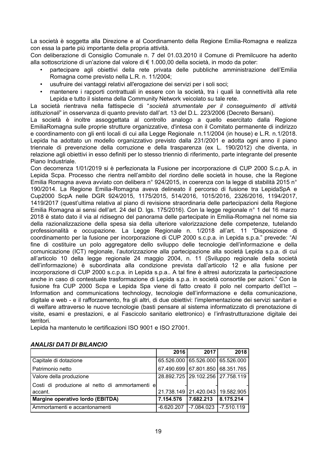La società è soggetta alla Direzione e al Coordinamento della Regione Emilia-Romagna e realizza con essa la parte più importante della propria attività.

Con deliberazione di Consiglio Comunale n. 7 del 01.03.2010 il Comune di Premilcuore ha aderito alla sottoscrizione di un'azione dal valore di € 1.000.00 della società, in modo da poter:

- partecipare agli obiettivi della rete privata delle pubbliche amministrazione dell'Emilia Romagna come previsto nella L.R. n. 11/2004;
- usufruire dei vantaggi relativi all'erogazione dei servizi per i soli soci;
- mantenere i rapporti contrattuali in essere con la società, tra i quali la connettività alla rete Lepida e tutto il sistema della Community Network veicolato su tale rete.

La società rientrava nella fattispecie di "società strumentale per il conseguimento di attività *istituzionali*" in osservanza di quanto previsto dall'art. 13 del D.L. 223/2006 (Decreto Bersani).

La società è inoltre assoggettata al controllo analogo a quello esercitato dalla Regione EmiliaRomagna sulle proprie strutture organizzative, d'intesa con il Comitato permanente di indirizzo e coordinamento con gli enti locali di cui alla Legge Regionale n.11/2004 (in house) e L.R. n.1/2018. Lepida ha adottato un modello organizzativo previsto dalla 231/2001 e adotta ogni anno il piano triennale di prevenzione della corruzione e della trasparenza (ex L. 190/2012) che diventa, in relazione agli obiettivi in esso definiti per lo stesso triennio di riferimento, parte integrante del presente Piano Industriale.

Con decorrenza 1/01/2019 si è perfezionata la Fusione per incorporazione di CUP 2000 S.c.p.A. in Lepida Scpa. Processo che rientra nell'ambito del riordino delle società in house, che la Regione Emilia Romagna aveva avviato con delibera nº 924/2015, in coerenza con la legge di stabilità 2015 nº 190/2014. La Regione Emilia-Romagna aveva delineato il percorso di fusione tra LepidaSpA e Cup2000 ScpA nelle DGR 924/2015, 1175/2015, 514/2016, 1015/2016, 2326/2016, 1194/2017, 1419/2017 (quest'ultima relativa al piano di revisione straordinaria delle partecipazioni della Regione Emilia Romagna ai sensi dell'art. 24 del D. Igs. 175/2016). Con la legge regionale n° 1 del 16 marzo 2018 è stato dato il via al ridisegno del panorama delle partecipate in Emilia-Romagna nel nome sia della razionalizzazione della spesa sia della ulteriore valorizzazione delle competenze, tutelando professionalità e occupazione. La Legge Regionale n. 1/2018 all'art. 11 "Disposizione di coordinamento per la fusione per incorporazione di CUP 2000 s.c.p.a. in Lepida s.p.a." prevede: "Al fine di costituire un polo aggregatore dello sviluppo delle tecnologie dell'informazione e della comunicazione (ICT) regionale, l'autorizzazione alla partecipazione alla società Lepida s.p.a. di cui all'articolo 10 della legge regionale 24 maggio 2004, n. 11 (Sviluppo regionale della società dell'informazione) è subordinata alla condizione prevista dall'articolo 12 e alla fusione per incorporazione di CUP 2000 s.c.p.a. in Lepida s.p.a.. A tal fine è altresì autorizzata la partecipazione anche in caso di contestuale trasformazione di Lepida s.p.a. in società consortile per azioni." Con la fusione fra CUP 2000 Scpa e Lepida Spa viene di fatto creato il polo nel comparto dell'Ict -Information and communications technology, tecnologie dell'informazione e della comunicazione, digitale e web - e il rafforzamento, fra gli altri, di due obiettivi: l'implementazione dei servizi sanitari e di welfare attraverso le nuove tecnologie (basti pensare al sistema informatizzato di prenotazione di visite, esami e prestazioni, e al Fascicolo sanitario elettronico) e l'infrastrutturazione digitale dei territori.

Lepida ha mantenuto le certificazioni ISO 9001 e ISO 27001.

|                                                | 2016      | 2017                                   | 2018      |
|------------------------------------------------|-----------|----------------------------------------|-----------|
| Capitale di dotazione                          |           | 65.526.000 65.526.000 65.526.000       |           |
| Patrimonio netto                               |           | 67.490.699 67.801.850 68.351.765       |           |
| Valore della produzione                        |           | 28.892.725   29.102.256   27.758.119   |           |
| Costi di produzione al netto di ammortamenti e |           |                                        |           |
| accant.                                        |           | 21.738.149   21.420.043   19.582.905   |           |
| Margine operativo lordo (EBITDA)               | 7.154.576 | 17.682.213                             | 8.175.214 |
| Ammortamenti e accantonamenti                  |           | $-6.620.207$   -7.084.023   -7.510.119 |           |

#### **ANALISI DATI DI BILANCIO**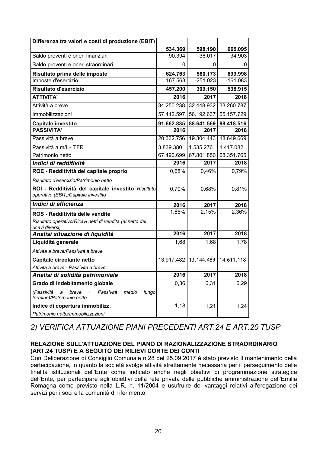| Differenza tra valori e costi di produzione (EBIT)                                        |            |            |            |
|-------------------------------------------------------------------------------------------|------------|------------|------------|
|                                                                                           | 534.369    | 598.190    | 665.095    |
| Saldo proventi e oneri finanziari                                                         | 90.394     | $-38.017$  | 34.903     |
| Saldo proventi e oneri straordinari                                                       | 0          | 0          | 0          |
| Risultato prima delle imposte                                                             | 624.763    | 560.173    | 699.998    |
| Imposte d'esercizio                                                                       | 167.563    | $-251.023$ | $-161.083$ |
| Risultato d'esercizio                                                                     | 457.200    | 309.150    | 538.915    |
| <b>ATTIVITA'</b>                                                                          | 2016       | 2017       | 2018       |
| Attività a breve                                                                          | 34.250.238 | 32.448.932 | 33.260.787 |
| Immobilizzazioni                                                                          | 57.412.597 | 56.192.637 | 55.157.729 |
| Capitale investito                                                                        | 91.662.835 | 88.641.569 | 88.418.516 |
| <b>PASSIVITA'</b>                                                                         | 2016       | 2017       | 2018       |
| Passività a breve                                                                         | 20.332.756 | 19.304.443 | 18.649.669 |
| Passività a m/l + TFR                                                                     | 3.839.380  | 1.535.276  | 1.417.082  |
| Patrimonio netto                                                                          | 67.490.699 | 67.801.850 | 68.351.765 |
| Indici di redditività                                                                     | 2016       | 2017       | 2018       |
| ROE - Redditività del capitale proprio                                                    | 0,68%      | 0,46%      | 0,79%      |
| Risultato d'esercizio/Patrimonio netto                                                    |            |            |            |
| ROI - Redditività del capitale investito Risultato<br>operativo (EBIT)/Capitale investito | 0,70%      | 0,68%      | 0,81%      |
| Indici di efficienza                                                                      | 2016       | 2017       | 2018       |
| ROS - Redditività delle vendite                                                           | 1,86%      | 2,15%      | 2,36%      |
| Risultato operativo/Ricavi netti di vendita (al netto dei<br>ricavi diversi)              |            |            |            |
| Analisi situazione di liquidità                                                           | 2016       | 2017       | 2018       |
| Liquidità generale                                                                        | 1,68       | 1,68       | 1,78       |
| Attività a breve/Passività a breve                                                        |            |            |            |
| Capitale circolante netto                                                                 | 13.917.482 | 13.144.489 | 14.611.118 |
| Attività a breve - Passività a breve                                                      |            |            |            |
| Analisi di solidità patrimoniale                                                          | 2016       | 2017       | 2018       |
| Grado di indebitamento globale                                                            | 0,36       | 0,31       | 0,29       |
| (Passività<br>Passività<br>medio<br>lungo<br>breve<br>termine)/Patrimonio netto           |            |            |            |
| Indice di copertura immobilizz.                                                           | 1,18       | 1,21       | 1,24       |
| Patrimonio netto/Immobilizzazioni                                                         |            |            |            |

# 2) VERIFICA ATTUAZIONE PIANI PRECEDENTI ART.24 E ART.20 TUSP

### RELAZIONE SULL'ATTUAZIONE DEL PIANO DI RAZIONALIZZAZIONE STRAORDINARIO (ART.24 TUSP) E A SEGUITO DEI RILIEVI CORTE DEI CONTI

Con Deliberazione di Consiglio Comunale n.28 del 25.09.2017 è stato previsto il mantenimento della partecipazione, in quanto la società svolge attività strettamente necessaria per il perseguimento delle finalità istituzionali dell'Ente come indicato anche negli obiettivi di programmazione strategica dell'Ente, per partecipare agli obiettivi della rete privata delle pubbliche amministrazione dell'Emilia Romagna come previsto nella L.R. n. 11/2004 e usufruire dei vantaggi relativi all'erogazione dei servizi per i soci e la comunità di riferimento.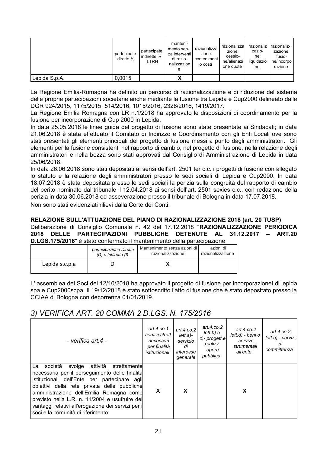|               | partecipate<br>dirette % | partecipate<br>I indirette %<br>LTRH | manteni-<br>mento sen-<br>za interventi l<br>di razio-<br>nalizzazion<br>е | razionalizza<br>zione:<br>conteniment<br>o costi | razionalizza<br>zione:<br>cessio-<br>ne/alienazi<br>one quote | razionaliz<br>zazio-<br>ne:<br>liquidazio<br>ne | razionaliz-<br>zazione:<br>fusio-<br>ne/incorpo<br>razione |
|---------------|--------------------------|--------------------------------------|----------------------------------------------------------------------------|--------------------------------------------------|---------------------------------------------------------------|-------------------------------------------------|------------------------------------------------------------|
| Lepida S.p.A. | 0,0015                   |                                      | v<br>Λ                                                                     |                                                  |                                                               |                                                 |                                                            |

La Regione Emilia-Romagna ha definito un percorso di razionalizzazione e di riduzione del sistema delle proprie partecipazioni societarie anche mediante la fusione tra Lepida e Cup2000 delineato dalle DGR 924/2015, 1175/2015, 514/2016, 1015/2016, 2326/2016, 1419/2017.

La Regione Emilia Romagna con LR n.1/2018 ha approvato le disposizioni di coordinamento per la fusione per incorporazione di Cup 2000 in Lepida.

In data 25.05.2018 le linee guida del progetto di fusione sono state presentate ai Sindacati; in data 21.06.2018 è stata effettuato il Comitato di Indirizzo e Coordinamento con gli Enti Locali ove sono stati presentati gli elementi principali del progetto di fusione messi a punto dagli amministratori. Gli elementi per la fusione consistenti nel rapporto di cambio, nel progetto di fusione, nella relazione degli amministratori e nella bozza sono stati approvati dal Consiglio di Amministrazione di Lepida in data 25/06/2018.

In data 26.06.2018 sono stati depositati ai sensi dell'art. 2501 ter c.c. i progetti di fusione con allegato lo statuto e la relazione degli amministratori presso le sedi sociali di Lepida e Cup2000. In data 18.07.2018 è stata depositata presso le sedi sociali la perizia sulla congruità del rapporto di cambio del perito nominato dal tribunale il 12.04.2018 ai sensi dell'art. 2501 sexies c.c., con redazione della perizia in data 30.06.2018 ed asseverazione presso il tribunale di Bologna in data 17.07.2018. Non sono stati evidenziati rilievi dalla Corte dei Conti

### RELAZIONE SULL'ATTUAZIONE DEL PIANO DI RAZIONALIZZAZIONE 2018 (art. 20 TUSP) Deliberazione di Consiglio Comunale n. 42 del 17.12.2018 "RAZIONALIZZAZIONE PERIODICA

2018 DELLE PARTECIPAZIONI PUBBLICHE DETENUTE AL  $31.12.2017 -$ **ART 20** D.LGS.175/2016" è stato confermato il mantenimento della partecipazione

|                | partecipazione Diretta | Mantenimento senza azioni di l | azioni di         |
|----------------|------------------------|--------------------------------|-------------------|
|                | (D) o Indiretta (I)    | razionalizzazione              | razionalizzazione |
| Lepida s.c.p.a |                        |                                |                   |

L'assemblea dei Soci del 12/10/2018 ha approvato il progetto di fusione per incorporazioneLdi lepida spa e Cup2000scpa. Il 19/12/2018 è stato sottoscritto l'atto di fusione che è stato depositato presso la CCIAA di Bologna con decorrenza 01/01/2019.

## 3) VERIFICA ART. 20 COMMA 2 D.LGS. N. 175/2016

| - verifica art.4 -                                                                                                                                                                                                                                                                                                                                                                           | art.4.co.1-<br>servizi strett.<br>necessari<br>per finalità<br>istituzionali | art.4. $co.2$<br>lett.a)-<br>servizio<br>di<br><i>interesse</i> l<br>generale | art. $4$ .co.2<br>lett.b) e<br>c)- progett.e<br>realizz.<br>opera<br>pubblica | art. $4$ .co.2<br>lett.d) - beni o<br>servizi<br>strumentali<br>all'ente | art. $4$ .co. $2$<br>lett.e) - servizi<br>dı<br>committenza |
|----------------------------------------------------------------------------------------------------------------------------------------------------------------------------------------------------------------------------------------------------------------------------------------------------------------------------------------------------------------------------------------------|------------------------------------------------------------------------------|-------------------------------------------------------------------------------|-------------------------------------------------------------------------------|--------------------------------------------------------------------------|-------------------------------------------------------------|
| La società<br>attività<br>svolge<br>strettamentel<br>necessaria per il perseguimento delle finalità<br>istituzionali dell'Ente per partecipare agli<br>obiettivi della rete privata delle pubbliche<br>amministrazione dell'Emilia Romagna come<br>previsto nella L.R. n. 11/2004 e usufruire dei<br>vantaggi relativi all'erogazione dei servizi per i<br>soci e la comunità di riferimento | X                                                                            | X                                                                             |                                                                               | X                                                                        |                                                             |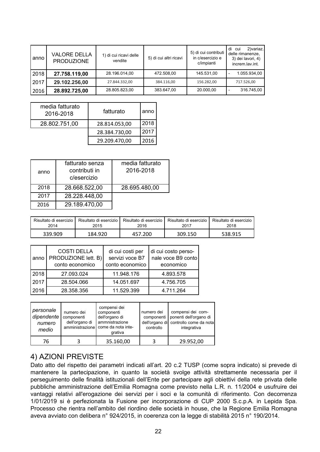| anno | <b>VALORE DELLA</b><br><b>PRODUZIONE</b> | 1) di cui ricavi delle<br>vendite | 5) di cui altri ricavi | 5) di cui contributi<br>in c/esercizio e<br>c/impianti | 2) variaz.<br>di<br>cui<br>delle rimanenze,<br>3) dei lavori, 4)<br>increm.lav.int. |
|------|------------------------------------------|-----------------------------------|------------------------|--------------------------------------------------------|-------------------------------------------------------------------------------------|
| 2018 | 27.758.119,00                            | 28.196.014,00                     | 472.508,00             | 145.531,00                                             | 1.055.934,00                                                                        |
| 2017 | 29.102.256,00                            | 27.844.332,00                     | 384.116,00             | 156.282,00                                             | 717.526,00                                                                          |
| 2016 | 28.892.725,00                            | 28.805.823,00                     | 383.647,00             | 20.000,00                                              | 316.745,00                                                                          |

| media fatturato<br>2016-2018 | fatturato     | anno |
|------------------------------|---------------|------|
| 28.802.751,00                | 28.814.053,00 | 2018 |
|                              | 28.384.730,00 | 2017 |
|                              | 29.209.470,00 | 2016 |

| anno | fatturato senza<br>contributi in<br>c/esercizio | media fatturato<br>2016-2018 |
|------|-------------------------------------------------|------------------------------|
| 2018 | 28.668.522,00                                   | 28.695.480,00                |
| 2017 | 28.228.448,00                                   |                              |
| 2016 | 29.189.470,00                                   |                              |

| Risultato di esercizio I | Risultato di esercizio I | Risultato di esercizio | Risultato di esercizio | Risultato di esercizio |
|--------------------------|--------------------------|------------------------|------------------------|------------------------|
| 2014                     | 2015                     | 2016                   | 2017                   | 2018                   |
| 339.909                  | 184.920                  | 457.200                | 309.150                |                        |

| anno | <b>COSTI DELLA</b><br>PRODUZIONE lett. B)<br>conto economico | di cui costi per<br>servizi voce B7<br>conto economico | di cui costo perso-<br>nale voce B9 conto<br>economico |
|------|--------------------------------------------------------------|--------------------------------------------------------|--------------------------------------------------------|
| 2018 | 27.093.024                                                   | 11.948.176                                             | 4.893.578                                              |
| 2017 | 28.504.066                                                   | 14.051.697                                             | 4.756.705                                              |
| 2016 | 28.358.356                                                   | 11.529.399                                             | 4.711.264                                              |

| personale<br>dipendente<br>numero<br>medio | numero dei<br>componenti<br>dell'organo di<br>amministrazione | compensi dei<br>componenti<br>dell'organo di<br>ammnistrazione<br>come da nota inte-<br>grativa | numero dei<br>componenti<br>controllo | compensi dei com-<br>ponenti dell'organo di<br>dell'organo di controllo come da nota<br>integrativa |
|--------------------------------------------|---------------------------------------------------------------|-------------------------------------------------------------------------------------------------|---------------------------------------|-----------------------------------------------------------------------------------------------------|
| 76                                         |                                                               | 35.160,00                                                                                       |                                       | 29.952,00                                                                                           |

## 4) AZIONI PREVISTE

Dato atto del rispetto dei parametri indicati all'art. 20 c.2 TUSP (come sopra indicato) si prevede di mantenere la partecipazione, in quanto la società svolge attività strettamente necessaria per il perseguimento delle finalità istituzionali dell'Ente per partecipare agli obiettivi della rete privata delle pubbliche amministrazione dell'Emilia Romagna come previsto nella L.R. n. 11/2004 e usufruire dei vantaggi relativi all'erogazione dei servizi per i soci e la comunità di riferimento. Con decorrenza 1/01/2019 si è perfezionata la Fusione per incorporazione di CUP 2000 S.c.p.A. in Lepida Spa. Processo che rientra nell'ambito del riordino delle società in house, che la Regione Emilia Romagna aveva avviato con delibera nº 924/2015, in coerenza con la legge di stabilità 2015 nº 190/2014.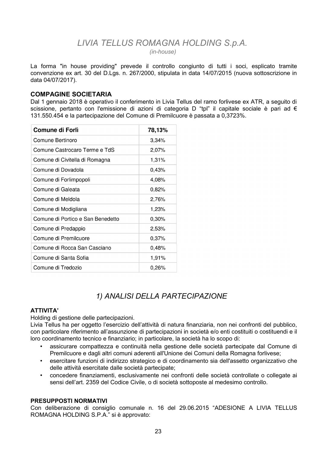### LIVIA TELLUS ROMAGNA HOLDING S.p.A.  $(in-house)$

La forma "in house providing" prevede il controllo congiunto di tutti i soci, esplicato tramite convenzione ex art. 30 del D.Lgs. n. 267/2000, stipulata in data 14/07/2015 (nuova sottoscrizione in data 04/07/2017).

### **COMPAGINE SOCIETARIA**

Dal 1 gennaio 2018 è operativo il conferimento in Livia Tellus del ramo forlivese ex ATR, a seguito di scissione, pertanto con l'emissione di azioni di categoria D "tpl" il capitale sociale è pari ad € 131.550.454 e la partecipazione del Comune di Premilcuore è passata a 0.3723%.

| Comune di Forlì                   | 78,13% |
|-----------------------------------|--------|
| Comune Bertinoro                  | 3,34%  |
| Comune Castrocaro Terme e TdS     | 2,07%  |
| Comune di Civitella di Romagna    | 1,31%  |
| Comune di Dovadola                | 0,43%  |
| Comune di Forlimpopoli            | 4,08%  |
| Comune di Galeata                 | 0,82%  |
| Comune di Meldola                 | 2,76%  |
| Comune di Modigliana              | 1,23%  |
| Comune di Portico e San Benedetto | 0,30%  |
| Comune di Predappio               | 2,53%  |
| Comune di Premilcuore             | 0,37%  |
| Comune di Rocca San Casciano      | 0,48%  |
| Comune di Santa Sofia             | 1,91%  |
| Comune di Tredozio                | 0,26%  |

# 1) ANALISI DELLA PARTECIPAZIONE

### **ATTIVITA'**

Holding di gestione delle partecipazioni.

Livia Tellus ha per oggetto l'esercizio dell'attività di natura finanziaria, non nei confronti del pubblico, con particolare riferimento all'assunzione di partecipazioni in società e/o enti costituiti o costituendi e il loro coordinamento tecnico e finanziario; in particolare, la società ha lo scopo di:

- assicurare compattezza e continuità nella gestione delle società partecipate dal Comune di Premilcuore e dagli altri comuni aderenti all'Unione dei Comuni della Romagna forlivese;
- esercitare funzioni di indirizzo strategico e di coordinamento sia dell'assetto organizzativo che delle attività esercitate dalle società partecipate;
- concedere finanziamenti, esclusivamente nei confronti delle società controllate o collegate ai sensi dell'art. 2359 del Codice Civile, o di società sottoposte al medesimo controllo.

### **PRESUPPOSTI NORMATIVI**

Con deliberazione di consiglio comunale n. 16 del 29.06.2015 "ADESIONE A LIVIA TELLUS ROMAGNA HOLDING S.P.A." si è approvato: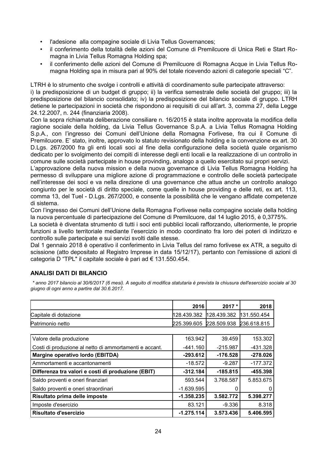- l'adesione alla compagine sociale di Livia Tellus Governances;
- il conferimento della totalità delle azioni del Comune di Premilcuore di Unica Reti e Start Romagna in Livia Tellus Romagna Holding spa;
- il conferimento delle azioni del Comune di Premilcuore di Romagna Acque in Livia Tellus Romagna Holding spa in misura pari al 90% del totale ricevendo azioni di categorie speciali "C".

LTRH è lo strumento che svolge i controlli e attività di coordinamento sulle partecipate attraverso:

i) la predisposizione di un budget di gruppo; ii) la verifica semestrale delle società del gruppo; iii) la predisposizione del bilancio consolidato; iv) la predisposizione del bilancio sociale di gruppo. LTRH detiene le partecipazioni in società che rispondono ai requisiti di cui all'art. 3, comma 27, della Legge 24.12.2007, n. 244 (finanziaria 2008).

Con la sopra richiamata deliberazione consiliare n. 16/2015 è stata inoltre approvata la modifica della ragione sociale della holding, da Livia Tellus Governance S.p.A. a Livia Tellus Romagna Holding S.p.A., con l'ingresso dei Comuni dell'Unione della Romagna Forlivese, fra cui il Comune di Premilcuore. E' stato, inoltre, approvato lo statuto revisionato della holding e la convenzione ex art. 30 D.Lgs. 267/2000 fra gli enti locali soci al fine della configurazione della società quale organismo dedicato per lo svolgimento dei compiti di interesse degli enti locali e la realizzazione di un controllo in comune sulle società partecipate in house provinding, analogo a quello esercitato sui propri servizi.

L'approvazione della nuova mission e della nuova governance di Livia Tellus Romagna Holding ha permesso di sviluppare una migliore azione di programmazione e controllo delle società partecipate nell'interesse dei soci e va nella direzione di una governance che attua anche un controllo analogo congiunto per le società di diritto speciale, come quelle in house providing e delle reti, ex art. 113, comma 13, del Tuel - D.Lgs. 267/2000, e consente la possibilità che le vengano affidate competenze di sistema.

Con l'ingresso dei Comuni dell'Unione della Romagna Forlivese nella compagine sociale della holding la nuova percentuale di partecipazione del Comune di Premilcuore, dal 14 luglio 2015, è 0,3775%.

La società è diventata strumento di tutti i soci enti pubblici locali rafforzando, ulteriormente, le proprie funzioni a livello territoriale mediante l'esercizio in modo coordinato fra loro dei poteri di indirizzo e controllo sulle partecipate e sui servizi svolti dalle stesse.

Dal 1 gennaio 2018 è operativo il conferimento in Livia Tellus del ramo forlivese ex ATR, a seguito di scissione (atto depositato al Registro Imprese in data 15/12/17), pertanto con l'emissione di azioni di categoria D "TPL" il capitale sociale è pari ad € 131.550.454.

### **ANALISI DATI DI BILANCIO**

\* anno 2017 bilancio al 30/6/2017 (6 mesi). A seguito di modifica statutaria è prevista la chiusura dell'esercizio sociale al 30 giugno di ogni anno a partire dal 30.6.2017.

|                                                        | 2016         | $2017 *$    | 2018        |
|--------------------------------------------------------|--------------|-------------|-------------|
| Capitale di dotazione                                  | 128.439.382  | 128.439.382 | 131.550.454 |
| Patrimonio netto                                       | 225.399.605  | 228.509.938 | 236.618.815 |
|                                                        |              |             |             |
| Valore della produzione                                | 163.942      | 39.459      | 153.302     |
| Costi di produzione al netto di ammortamenti e accant. | -441.160     | $-215.987$  | $-431.328$  |
| Margine operativo lordo (EBITDA)                       | -293.612     | $-176.528$  | $-278.026$  |
| Ammortamenti e accantonamenti                          | $-18.572$    | $-9.287$    | $-177.372$  |
| Differenza tra valori e costi di produzione (EBIT)     | $-312.184$   | $-185.815$  | -455.398    |
| Saldo proventi e oneri finanziari                      | 593.544      | 3.768.587   | 5.853.675   |
| Saldo proventi e oneri straordinari                    | $-1.639.595$ |             |             |
| Risultato prima delle imposte                          | $-1.358.235$ | 3.582.772   | 5.398.277   |
| Imposte d'esercizio                                    | 83.121       | -9.336      | 8.318       |
| Risultato d'esercizio                                  | $-1.275.114$ | 3.573.436   | 5.406.595   |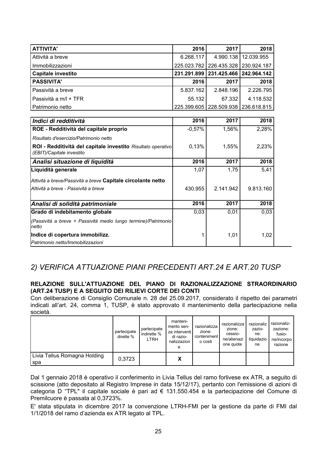| <b>ATTIVITA'</b>          | 2016      | 2017                                    | 2018                                    |
|---------------------------|-----------|-----------------------------------------|-----------------------------------------|
| Attività a breve          | 6.268.117 |                                         | 4.990.138   12.039.955                  |
| Immobilizzazioni          |           | 225.023.782   226.435.328   230.924.187 |                                         |
| <b>Capitale investito</b> |           | 231.291.899   231.425.466   242.964.142 |                                         |
| <b>PASSIVITA'</b>         | 2016      | 2017                                    | 2018                                    |
| Passività a breve         | 5.837.162 | 2.848.196                               | 2.226.795                               |
| Passività a m/l + TFR     | 55.132    | 67.332                                  | 4.118.532                               |
| Patrimonio netto          |           |                                         | 225.399.605   228.509.938   236.618.815 |

| Indici di redditività                                                                     | 2016     | 2017      | 2018      |
|-------------------------------------------------------------------------------------------|----------|-----------|-----------|
| ROE - Redditività del capitale proprio                                                    | $-0,57%$ | 1,56%     | 2,28%     |
| Risultato d'esercizio/Patrimonio netto                                                    |          |           |           |
| ROI - Redditività del capitale investito Risultato operativo<br>(EBIT)/Capitale investito | 0,13%    | 1,55%     | 2,23%     |
| Analisi situazione di liquidità                                                           | 2016     | 2017      | 2018      |
| Liquidità generale                                                                        | 1,07     | 1,75      | 5,41      |
| Attività a breve/Passività a breve <b>Capitale circolante netto</b>                       |          |           |           |
| lAttività a breve - Passività a breve                                                     | 430.955  | 2.141.942 | 9.813.160 |
| Analisi di solidità patrimoniale                                                          | 2016     | 2017      | 2018      |
| Grado di indebitamento globale                                                            | 0,03     | 0,01      | 0,03      |
| (Passività a breve + Passività medio lungo termine)/Patrimonio<br>Inetto                  |          |           |           |
| Indice di copertura immobilizz.                                                           | 1        | 1,01      | 1,02      |
| Patrimonio netto/Immobilizzazioni                                                         |          |           |           |

## 2) VERIFICA ATTUAZIONE PIANI PRECEDENTI ART.24 E ART.20 TUSP

### RELAZIONE SULL'ATTUAZIONE DEL PIANO DI RAZIONALIZZAZIONE STRAORDINARIO (ART.24 TUSP) E A SEGUITO DEI RILIEVI CORTE DEI CONTI

Con deliberazione di Consiglio Comunale n. 28 del 25.09.2017, considerato il rispetto dei parametri indicati all'art. 24, comma 1, TUSP, è stato approvato il mantenimento della partecipazione nella società.

|                                     | partecipate<br>dirette % | partecipate<br>indirette %<br>LTRH | manteni-<br>mento sen-<br>za interventi l<br>di razio-<br>nalizzazion<br>e | razionalizza<br>zione:<br>conteniment<br>o costi | razionalizza<br>zione:<br>cessio-<br>ne/alienazi<br>one quote | razionaliz<br>zazio-<br>ne:<br>liquidazio<br>ne | razionaliz-<br>zazione:<br>fusio-<br>ne/incorpo<br>razione |
|-------------------------------------|--------------------------|------------------------------------|----------------------------------------------------------------------------|--------------------------------------------------|---------------------------------------------------------------|-------------------------------------------------|------------------------------------------------------------|
| Livia Tellus Romagna Holding<br>spa | 0,3723                   |                                    | х                                                                          |                                                  |                                                               |                                                 |                                                            |

Dal 1 gennaio 2018 è operativo il conferimento in Livia Tellus del ramo forlivese ex ATR, a seguito di scissione (atto depositato al Registro Imprese in data 15/12/17), pertanto con l'emissione di azioni di categoria D "TPL" il capitale sociale è pari ad € 131.550.454 e la partecipazione del Comune di Premilcuore è passata al 0.3723%.

E' stata stipulata in dicembre 2017 la convenzione LTRH-FMI per la gestione da parte di FMI dal 1/1/2018 del ramo d'azienda ex ATR legato al TPL.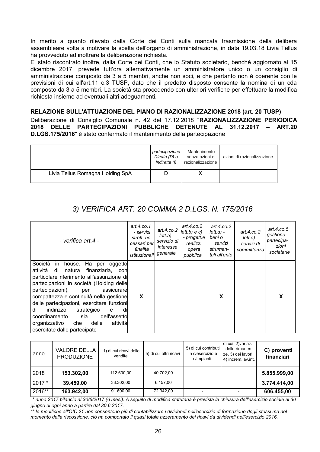In merito a quanto rilevato dalla Corte dei Conti sulla mancata trasmissione della delibera assembleare volta a motivare la scelta dell'organo di amministrazione, in data 19.03.18 Livia Tellus ha provveduto ad inoltrare la deliberazione richiesta.

E' stato riscontrato inoltre, dalla Corte dei Conti, che lo Statuto societario, benché aggiornato al 15 dicembre 2017, prevede tutt'ora alternativamente un amministratore unico o un consiglio di amministrazione composto da 3 a 5 membri, anche non soci, e che pertanto non è coerente con le previsioni di cui all'art.11 c.3 TUSP, dato che il predetto disposto consente la nomina di un cda composto da 3 a 5 membri. La società sta procedendo con ulteriori verifiche per effettuare la modifica richiesta insieme ad eventuali altri adeguamenti.

### RELAZIONE SULL'ATTUAZIONE DEL PIANO DI RAZIONALIZZAZIONE 2018 (art. 20 TUSP)

Deliberazione di Consiglio Comunale n. 42 del 17.12.2018 "RAZIONALIZZAZIONE PERIODICA 2018 DELLE PARTECIPAZIONI PUBBLICHE DETENUTE AL 31.12.2017 - ART.20 D.LGS.175/2016" è stato confermato il mantenimento della partecipazione

|                                  | partecipazione<br>Diretta (D) o<br>Indiretta (I) | Mantenimento<br>senza azioni di<br>razionalizzazione | azioni di razionalizzazione |
|----------------------------------|--------------------------------------------------|------------------------------------------------------|-----------------------------|
| Livia Tellus Romagna Holding SpA |                                                  | $\lambda$                                            |                             |

# 3) VERIFICA ART. 20 COMMA 2 D.LGS. N. 175/2016

| - verifica art.4 -                                                                                                                                                                                                                                                                                                                                                                                                                                                                         | art.4. $co.1$<br>- servizi<br>strett, ne-<br>cessari per<br>finalità<br><i>istituzionali</i> l | art.4.co.2<br>$lett.a) -$<br>servizio di<br>interesse<br>generale | art.4. $co.2$<br>lett.b) e c)<br>- progett.e<br>realizz.<br>opera<br>pubblica | art.4. $co.2$<br>$lettd$ ) -<br>beni o<br>servizi<br>strumen-<br>tali all'ente | art. $4$ .co.2<br>$lette) -$<br>servizi di<br>committenzal | art. $4$ .co.5<br>qestione<br>partecipa-<br>zioni<br>societarie |
|--------------------------------------------------------------------------------------------------------------------------------------------------------------------------------------------------------------------------------------------------------------------------------------------------------------------------------------------------------------------------------------------------------------------------------------------------------------------------------------------|------------------------------------------------------------------------------------------------|-------------------------------------------------------------------|-------------------------------------------------------------------------------|--------------------------------------------------------------------------------|------------------------------------------------------------|-----------------------------------------------------------------|
| Società<br>house. Ha per<br>oggetto<br>in.<br>attività<br>natura<br>di<br>finanziaria,<br>con<br>particolare riferimento all'assunzione di<br>partecipazioni in società (Holding delle<br>partecipazioni),<br>assicurarel<br>per<br>compattezza e continuità nella gestione<br>delle partecipazioni, esercitare funzioni<br>di<br>indirizzo<br>strategico<br>di<br>e<br>coordinamento<br>dell'assetto<br>sia<br>attivitàl<br>organizzativo<br>delle<br>che<br>esercitate dalle partecipate | $\boldsymbol{\mathsf{x}}$                                                                      |                                                                   |                                                                               | X                                                                              |                                                            | X                                                               |

| anno     | <b>VALORE DELLA</b><br><b>PRODUZIONE</b> | 1) di cui ricavi delle<br>vendite | 5) di cui altri ricavi | 5) di cui contributi<br>in c/esercizio e<br>c/impianti | di cui 2) variaz.<br>delle rimanen-<br>ze, 3) dei lavori,<br>4) increm.lav.int. | C) proventi<br>finanziari |
|----------|------------------------------------------|-----------------------------------|------------------------|--------------------------------------------------------|---------------------------------------------------------------------------------|---------------------------|
| 2018     | 153.302,00                               | 112.600.00                        | 40.702.00              |                                                        |                                                                                 | 5.855.999,00              |
| $2017 *$ | 39.459,00                                | 33.302.00                         | 6.157.00               |                                                        |                                                                                 | 3.774.414,00              |
| 2016**   | 163.942,00                               | 91.600,00                         | 72.342.00              |                                                        |                                                                                 | 606.455,00                |

\* anno 2017 bilancio al 30/6/2017 (6 mesi). A sequito di modifica statutaria è prevista la chiusura dell'esercizio sociale al 30 giugno di ogni anno a partire dal 30.6.2017.

\*\* le modifiche all'OIC 21 non consentono più di contabilizzare i dividendi nell'esercizio di formazione degli stessi ma nel momento della riscossione, ciò ha comportato il quasi totale azzeramento dei ricavi da dividendi nell'esercizio 2016.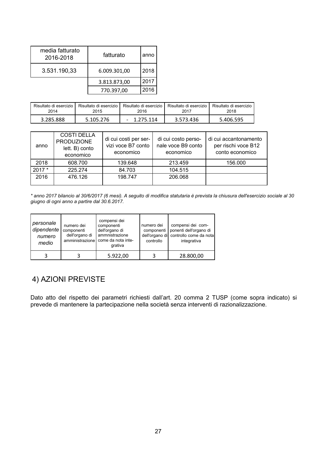| media fatturato<br>2016-2018 | fatturato    | anno |
|------------------------------|--------------|------|
| 3.531.190,33                 | 6.009.301,00 | 2018 |
|                              | 3.813.873,00 | 2017 |
|                              | 770.397,00   | 2016 |

| Risultato di esercizio | Risultato di esercizio | Risultato di esercizio | Risultato di esercizio | Risultato di esercizio |
|------------------------|------------------------|------------------------|------------------------|------------------------|
| 2014                   | 2015                   | 2016                   | 2017                   | 2018                   |
| 3.285.888              | 5.105.276              | $-1.275.114$           | 3.573.436              | 5.406.595              |

| anno    | <b>COSTI DELLA</b><br><b>PRODUZIONE</b><br>lett. B) conto<br>economico | di cui costi per ser-<br>vizi voce B7 conto<br>economico | di cui costo perso-<br>nale voce B9 conto<br>economico | di cui accantonamento<br>per rischi voce B12<br>conto economico |
|---------|------------------------------------------------------------------------|----------------------------------------------------------|--------------------------------------------------------|-----------------------------------------------------------------|
| 2018    | 608.700                                                                | 139.648                                                  | 213.459                                                | 156,000                                                         |
| $2017*$ | 225.274                                                                | 84.703                                                   | 104.515                                                |                                                                 |
| 2016    | 476.126                                                                | 198.747                                                  | 206.068                                                |                                                                 |

\* anno 2017 bilancio al 30/6/2017 (6 mesi). A seguito di modifica statutaria è prevista la chiusura dell'esercizio sociale al 30<br>giugno di ogni anno a partire dal 30.6.2017.

| personale<br>dipendente  <br>numero<br>medio | numero dei<br>componenti<br>dell'organo di | compensi dei<br>componenti<br>dell'organo di<br>ammnistrazione<br>amministrazione come da nota inte-<br>grativa | numero dei<br>componenti<br>dell'organo di<br>controllo | compensi dei com-<br>ponenti dell'organo di<br>controllo come da nota<br>integrativa |
|----------------------------------------------|--------------------------------------------|-----------------------------------------------------------------------------------------------------------------|---------------------------------------------------------|--------------------------------------------------------------------------------------|
|                                              |                                            | 5.922,00                                                                                                        |                                                         | 28.800,00                                                                            |

# 4) AZIONI PREVISTE

Dato atto del rispetto dei parametri richiesti dall'art. 20 comma 2 TUSP (come sopra indicato) si prevede di mantenere la partecipazione nella società senza interventi di razionalizzazione.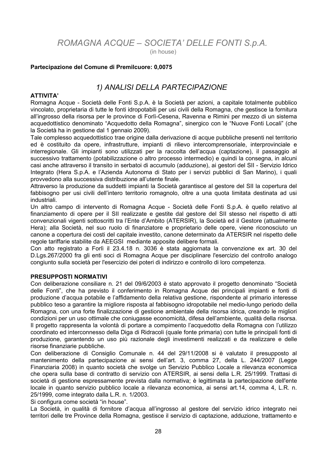ROMAGNA ACQUE - SOCIETA' DELLE FONTI S.p.A.

(in house)

### Partecipazione del Comune di Premilcuore: 0,0075

### 1) ANALISI DELLA PARTECIPAZIONE

#### **ATTIVITA'**

Romagna Acque - Società delle Fonti S.p.A. è la Società per azioni, a capitale totalmente pubblico vincolato, proprietaria di tutte le fonti idropotabili per usi civili della Romagna, che gestisce la fornitura all'ingrosso della risorsa per le province di Forlì-Cesena, Ravenna e Rimini per mezzo di un sistema acquedottistico denominato "Acquedotto della Romagna", sinergico con le "Nuove Fonti Locali" (che la Società ha in gestione dal 1 gennaio 2009).

Tale complesso acquedottistico trae origine dalla derivazione di acque pubbliche presenti nel territorio ed è costituito da opere, infrastrutture, impianti di rilievo intercomprensoriale, interprovinciale e interregionale. Gli impianti sono utilizzati per la raccolta dell'acqua (captazione), il passaggio al successivo trattamento (potabilizzazione o altro processo intermedio) e quindi la consegna, in alcuni casi anche attraverso il transito in serbatoi di accumulo (adduzione), ai gestori del SII - Servizio Idrico Integrato (Hera S.p.A. e l'Azienda Autonoma di Stato per i servizi pubblici di San Marino), i quali provvedono alla successiva distribuzione all'utente finale.

Attraverso la produzione da suddetti impianti la Società garantisce al gestore del SII la copertura del fabbisogno per usi civili dell'intero territorio romagnolo, oltre a una quota limitata destinata ad usi industriali.

Un altro campo di intervento di Romagna Acque - Società delle Fonti S.p.A. è quello relativo al finanziamento di opere per il SII realizzate e gestite dal gestore del SII stesso nel rispetto di atti convenzionali vigenti sottoscritti tra l'Ente d'Ambito (ATERSIR), la Società ed il Gestore (attualmente Hera); alla Società, nel suo ruolo di finanziatore e proprietario delle opere, viene riconosciuto un canone a copertura dei costi del capitale investito, canone determinato da ATERSIR nel rispetto delle regole tariffarie stabilite da AEEGSI mediante apposite delibere formali.

Con atto registrato a Forlì il 23.4.18 n. 3036 è stata aggiornata la convenzione ex art. 30 del D.Lgs.267/2000 fra gli enti soci di Romagna Acque per disciplinare l'esercizio del controllo analogo congiunto sulla società per l'esercizio dei poteri di indirizzo e controllo di loro competenza.

#### **PRESUPPOSTI NORMATIVI**

Con deliberazione consiliare n. 21 del 09/6/2003 è stato approvato il progetto denominato "Società delle Fonti", che ha previsto il conferimento in Romagna Acque dei principali impianti e fonti di produzione d'acqua potabile e l'affidamento della relativa gestione, rispondente al primario interesse pubblico teso a garantire la migliore risposta al fabbisogno idropotabile nel medio-lungo periodo della Romagna, con una forte finalizzazione di gestione ambientale della risorsa idrica, creando le migliori condizioni per un uso ottimale che coniugasse economicità, difesa dell'ambiente, qualità della risorsa. Il progetto rappresenta la volontà di portare a compimento l'acquedotto della Romagna con l'utilizzo coordinato ed interconnesso della Diga di Ridracoli (quale fonte primaria) con tutte le principali fonti di produzione, garantendo un uso più razionale degli investimenti realizzati e da realizzare e delle risorse finanziarie pubbliche.

Con deliberazione di Consiglio Comunale n. 44 del 29/11/2008 si è valutato il presupposto al mantenimento della partecipazione ai sensi dell'art. 3, comma 27, della L. 244/2007 (Legge Finanziaria 2008) in quanto società che svolge un Servizio Pubblico Locale a rilevanza economica che opera sulla base di contratto di servizio con ATERSIR, ai sensi della L.R. 25/1999. Trattasi di società di gestione espressamente prevista dalla normativa; è legittimata la partecipazione dell'ente locale in quanto servizio pubblico locale a rilevanza economica, ai sensi art.14, comma 4, L.R. n. 25/1999, come integrato dalla L.R. n. 1/2003.

Si configura come società "in house".

La Società, in qualità di fornitore d'acqua all'ingrosso al gestore del servizio idrico integrato nei territori delle tre Province della Romagna, gestisce il servizio di captazione, adduzione, trattamento e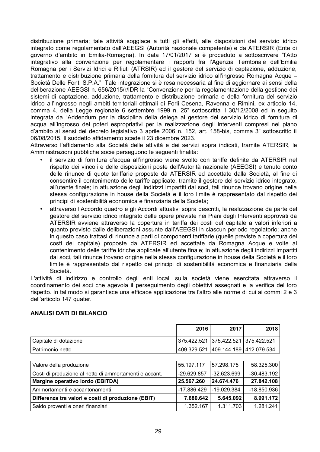distribuzione primaria; tale attività soggiace a tutti gli effetti, alle disposizioni del servizio idrico integrato come regolamentato dall'AEEGSI (Autorità nazionale competente) e da ATERSIR (Ente di governo d'ambito in Emilia-Romagna). In data 17/01/2017 si è proceduto a sottoscrivere "l'Atto integrativo alla convenzione per regolamentare i rapporti fra l'Agenzia Territoriale dell'Emilia Romagna per i Servizi Idrici e Rifiuti (ATRSIR) ed il gestore del servizio di captazione, adduzione, trattamento e distribuzione primaria della fornitura del servizio idrico all'ingrosso Romagna Acque -Società Delle Fonti S.P.A.". Tale integrazione si è resa necessaria al fine di aggiornare ai sensi della deliberazione AEEGSI n. 656/2015/r/IDR la "Convenzione per la regolamentazione della gestione dei sistemi di captazione, adduzione, trattamento e distribuzione primaria e della fornitura del servizio idrico all'ingrosso negli ambiti territoriali ottimali di Forlì-Cesena, Ravenna e Rimini, ex articolo 14, comma 4, della Legge regionale 6 settembre 1999 n. 25" sottoscritta il 30/12/2008 ed in seguito integrata da "Addendum per la disciplina della delega al gestore del servizio idrico di fornitura di acqua all'ingrosso dei poteri espropriativi per la realizzazione degli interventi compresi nel piano d'ambito ai sensi del decreto legislativo 3 aprile 2006 n. 152, art. 158-bis, comma 3" sottoscritto il 06/08/2015. Il suddetto affidamento scade il 23 dicembre 2023.

Attraverso l'affidamento alla Società delle attività e dei servizi sopra indicati, tramite ATERSIR, le Amministrazioni pubbliche socie perseguono le sequenti finalità:

- il servizio di fornitura d'acqua all'ingrosso viene svolto con tariffe definite da ATERSIR nel rispetto dei vincoli e delle disposizioni poste dell'Autorità nazionale (AEEGSI) e tenuto conto delle rinunce di quote tariffarie proposte da ATERSIR ed accettate dalla Società, al fine di consentire il contenimento delle tariffe applicate, tramite il gestore del servizio idrico integrato. all'utente finale; in attuazione degli indirizzi impartiti dai soci, tali rinunce trovano origine nella stessa configurazione in house della Società e il loro limite è rappresentato dal rispetto dei principi di sostenibilità economica e finanziaria della Società;
- attraverso l'Accordo quadro e gli Accordi attuativi sopra descritti, la realizzazione da parte del gestore del servizio idrico integrato delle opere previste nei Piani degli Interventi approvati da ATERSIR avviene attraverso la copertura in tariffa dei costi del capitale a valori inferiori a quanto previsto dalle deliberazioni assunte dall'AEEGSI in ciascun periodo regolatorio; anche in questo caso trattasi di rinunce a parti di componenti tariffarie (quelle previste a copertura dei costi del capitale) proposte da ATERSIR ed accettate da Romagna Acque e volte al contenimento delle tariffe idriche applicate all'utente finale; in attuazione degli indirizzi impartiti dai soci, tali rinunce trovano origine nella stessa configurazione in house della Società e il loro limite è rappresentato dal rispetto dei principi di sostenibilità economica e finanziaria della Società.

L'attività di indirizzo e controllo degli enti locali sulla società viene esercitata attraverso il coordinamento dei soci che agevola il perseguimento degli obiettivi assegnati e la verifica del loro rispetto. In tal modo si garantisce una efficace applicazione tra l'altro alle norme di cui ai commi 2 e 3 dell'articolo 147 quater.

### **ANALISI DATI DI BILANCIO**

|                       | 2016                                    | 2017 | 2018 |
|-----------------------|-----------------------------------------|------|------|
| Capitale di dotazione | 375.422.521   375.422.521   375.422.521 |      |      |
| I Patrimonio netto    | 409.329.521   409.144.189   412.079.534 |      |      |

| Valore della produzione                                | 55.197.117  | 157.298.175   | 58.325.300    |
|--------------------------------------------------------|-------------|---------------|---------------|
| Costi di produzione al netto di ammortamenti e accant. | -29.629.857 | $-32.623.699$ | $-30.483.192$ |
| Margine operativo lordo (EBITDA)                       | 25.567.260  | 24.674.476    | 27.842.108    |
| Ammortamenti e accantonamenti                          | -17.886.429 | -19.029.384   | $-18.850.936$ |
| Differenza tra valori e costi di produzione (EBIT)     | 7.680.642   | 5.645.092     | 8.991.172     |
| Saldo proventi e oneri finanziari                      | 1.352.167   | 1.311.703     | 1.281.241     |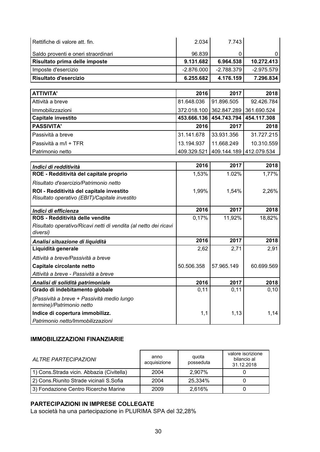| Rettifiche di valore att. fin.      | 2.034        | 7.743      |            |
|-------------------------------------|--------------|------------|------------|
| Saldo proventi e oneri straordinari | 96.839       |            |            |
| Risultato prima delle imposte       | 9.131.682    | 6.964.538  | 10.272.413 |
| Imposte d'esercizio                 | $-2.876.000$ | -2.788.379 | -2.975.579 |
| Risultato d'esercizio               | 6.255.682    | 4.176.159  | 7.296.834  |

| <b>ATTIVITA'</b>          | 2016       | 2017                                    | 2018       |
|---------------------------|------------|-----------------------------------------|------------|
| Attività a breve          | 81.648.036 | 91.896.505                              | 92.426.784 |
| Immobilizzazioni          |            | 372.018.100 362.847.289 361.690.524     |            |
| <b>Capitale investito</b> |            | 453.666.136   454.743.794   454.117.308 |            |
| <b>PASSIVITA'</b>         | 2016       | 2017                                    | 2018       |
| Passività a breve         | 31.141.678 | 33.931.356                              | 31.727.215 |
| Passività a m/l + TFR     | 13.194.937 | 11.668.249                              | 10.310.559 |
| Patrimonio netto          |            | 409.329.521   409.144.189   412.079.534 |            |

| Indici di redditività                                            | 2016       | 2017       | 2018       |
|------------------------------------------------------------------|------------|------------|------------|
| ROE - Redditività del capitale proprio                           | 1,53%      | 1.02%      | 1,77%      |
| Risultato d'esercizio/Patrimonio netto                           |            |            |            |
| ROI - Redditività del capitale investito                         | 1,99%      | 1,54%      | 2,26%      |
| Risultato operativo (EBIT)/Capitale investito                    |            |            |            |
| Indici di efficienza                                             | 2016       | 2017       | 2018       |
| ROS - Redditività delle vendite                                  | 0,17%      | 11,92%     | 18,82%     |
| Risultato operativo/Ricavi netti di vendita (al netto dei ricavi |            |            |            |
| diversi)                                                         |            |            |            |
| Analisi situazione di liquidità                                  | 2016       | 2017       | 2018       |
| Liquidità generale                                               | 2,62       | 2,71       | 2,91       |
| Attività a breve/Passività a breve                               |            |            |            |
| Capitale circolante netto                                        | 50.506.358 | 57.965.149 | 60.699.569 |
| Attività a breve - Passività a breve                             |            |            |            |
| Analisi di solidità patrimoniale                                 | 2016       | 2017       | 2018       |
| Grado di indebitamento globale                                   | 0,11       | 0,11       | 0, 10      |
| (Passività a breve + Passività medio lungo                       |            |            |            |
| termine)/Patrimonio netto                                        |            |            |            |
| Indice di copertura immobilizz.                                  | 1,1        | 1,13       | 1,14       |
| Patrimonio netto/Immobilizzazioni                                |            |            |            |

### **IMMOBILIZZAZIONI FINANZIARIE**

| ALTRE PARTECIPAZIONI                       | quota<br>anno<br>posseduta<br>acquisizione |         | valore iscrizione<br>bilancio al<br>31.12.2018 |
|--------------------------------------------|--------------------------------------------|---------|------------------------------------------------|
| 1) Cons. Strada vicin. Abbazia (Civitella) | 2004                                       | 2.907%  |                                                |
| 2) Cons. Riunito Strade vicinali S. Sofia  | 2004                                       | 25,334% |                                                |
| 3) Fondazione Centro Ricerche Marine       | 2009                                       | 2,616%  |                                                |

### PARTECIPAZIONI IN IMPRESE COLLEGATE

La società ha una partecipazione in PLURIMA SPA del 32,28%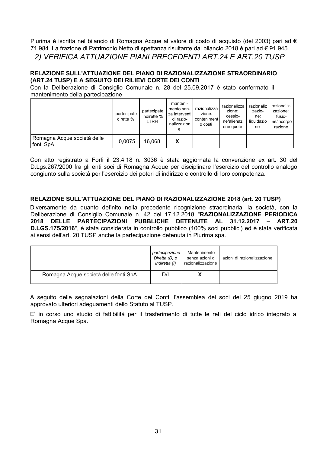Plurima è iscritta nel bilancio di Romagna Acque al valore di costo di acquisto (del 2003) pari ad € 71.984. La frazione di Patrimonio Netto di spettanza risultante dal bilancio 2018 è pari ad € 91.945. 2) VERIFICA ATTUAZIONE PIANI PRECEDENTI ART.24 E ART.20 TUSP

### RELAZIONE SULL'ATTUAZIONE DEL PIANO DI RAZIONALIZZAZIONE STRAORDINARIO (ART.24 TUSP) E A SEGUITO DEI RILIEVI CORTE DEI CONTI

Con la Deliberazione di Consiglio Comunale n. 28 del 25.09.2017 è stato confermato il mantenimento della partecipazione

|                                          | partecipate<br>dirette $%$ | partecipate<br>indirette %<br>LTRH | manteni-<br>mento sen-<br>za interventi l<br>di razio-<br>nalizzazion<br>е | razionalizza<br>zione:<br>conteniment<br>o costi | razionalizza<br>zione:<br>cessio-<br>ne/alienazi<br>one quote | razionaliz<br>zazio-<br>ne:<br>liquidazio<br>ne | razionaliz-<br>zazione:<br>fusio-<br>ne/incorpo<br>razione |
|------------------------------------------|----------------------------|------------------------------------|----------------------------------------------------------------------------|--------------------------------------------------|---------------------------------------------------------------|-------------------------------------------------|------------------------------------------------------------|
| Romagna Acque società delle<br>fonti SpA | 0.0075                     | 16,068                             | х                                                                          |                                                  |                                                               |                                                 |                                                            |

Con atto registrato a Forlì il 23.4.18 n. 3036 è stata aggiornata la convenzione ex art. 30 del D.Lgs.267/2000 fra gli enti soci di Romagna Acque per disciplinare l'esercizio del controllo analogo congiunto sulla società per l'esercizio dei poteri di indirizzo e controllo di loro competenza.

### RELAZIONE SULL'ATTUAZIONE DEL PIANO DI RAZIONALIZZAZIONE 2018 (art. 20 TUSP)

Diversamente da quanto definito nella precedente ricognizione straordinaria, la società, con la Deliberazione di Consiglio Comunale n. 42 del 17.12.2018 "RAZIONALIZZAZIONE PERIODICA 2018 DELLE PARTECIPAZIONI PUBBLICHE DETENUTE AL 31.12.2017 - ART.20 D.LGS.175/2016", è stata considerata in controllo pubblico (100% soci pubblici) ed è stata verificata ai sensi dell'art. 20 TUSP anche la partecipazione detenuta in Plurima spa.

|                                       | partecipazione<br>Diretta (D) o<br>Indiretta (I) | Mantenimento<br>senza azioni di<br>razionalizzazione | azioni di razionalizzazione |
|---------------------------------------|--------------------------------------------------|------------------------------------------------------|-----------------------------|
| Romagna Acque società delle fonti SpA | D/I                                              |                                                      |                             |

A sequito delle segnalazioni della Corte dei Conti, l'assemblea dei soci del 25 giugno 2019 ha approvato ulteriori adequamenti dello Statuto al TUSP.

E' in corso uno studio di fattibilità per il trasferimento di tutte le reti del ciclo idrico integrato a Romagna Acque Spa.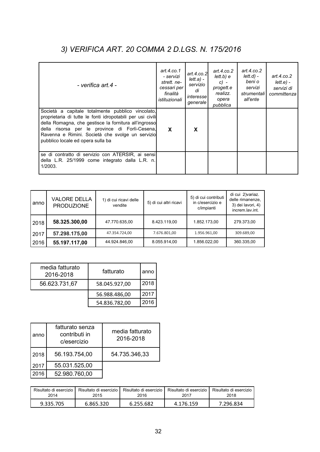# 3) VERIFICA ART. 20 COMMA 2 D.LGS. N. 175/2016

| - verifica art.4 -                                                                                                                                                                                                                                                                                                  | art. $4$ .co.1<br>- servizi<br>strett, ne-<br>cessari per<br>finalità<br>istituzionali | art.4. $co.2$<br>$lett.a) -$<br>servizio<br>di<br>interessel<br>generale | art.4. $co.2$<br>$lett.b)$ e<br>$c) -$<br>progett.e<br>realizz.<br>opera<br>pubblica | art. $4$ .co.2<br>$lett.d$ ) -<br>beni o<br>servizi<br>strumentali I<br>all'ente | art.4. $co.2$<br>lett.e.<br>servizi di<br>committenza |
|---------------------------------------------------------------------------------------------------------------------------------------------------------------------------------------------------------------------------------------------------------------------------------------------------------------------|----------------------------------------------------------------------------------------|--------------------------------------------------------------------------|--------------------------------------------------------------------------------------|----------------------------------------------------------------------------------|-------------------------------------------------------|
| Società a capitale totalmente pubblico vincolato,<br>proprietaria di tutte le fonti idropotabili per usi civili<br>della Romagna, che gestisce la fornitura all'ingrosso<br>della risorsa per le province di Forlì-Cesena,<br>Ravenna e Rimini. Società che svolge un servizio<br>pubblico locale ed opera sulla ba | X                                                                                      | X                                                                        |                                                                                      |                                                                                  |                                                       |
| se di contratto di servizio con ATERSIR, ai sensi<br>della L.R. 25/1999 come integrato dalla L.R. n.<br>1/2003.                                                                                                                                                                                                     |                                                                                        |                                                                          |                                                                                      |                                                                                  |                                                       |

| anno | <b>VALORE DELLA</b><br><b>PRODUZIONE</b> | 1) di cui ricavi delle<br>vendite | 5) di cui altri ricavi | 5) di cui contributi<br>in c/esercizio e<br>c/impianti | di cui 2) variaz.<br>delle rimanenze,<br>3) dei lavori, 4)<br>increm.lav.int. |
|------|------------------------------------------|-----------------------------------|------------------------|--------------------------------------------------------|-------------------------------------------------------------------------------|
| 2018 | 58.325.300,00                            | 47.770.635,00                     | 8.423.119,00           | 1.852.173,00                                           | 279.373,00                                                                    |
| 2017 | 57.298.175,00                            | 47.354.724,00                     | 7.676.801,00           | 1.956.961,00                                           | 309.689,00                                                                    |
| 2016 | 55.197.117,00                            | 44.924.846,00                     | 8.055.914,00           | 1.856.022,00                                           | 360.335,00                                                                    |

| media fatturato<br>2016-2018 | fatturato     | anno |
|------------------------------|---------------|------|
| 56.623.731,67                | 58.045.927,00 | 2018 |
|                              | 56.988.486,00 | 2017 |
|                              | 54.836.782,00 | 2016 |

| anno | fatturato senza<br>contributi in<br>c/esercizio | media fatturato<br>2016-2018 |
|------|-------------------------------------------------|------------------------------|
| 2018 | 56.193.754,00                                   | 54.735.346,33                |
| 2017 | 55.031.525,00                                   |                              |
| 2016 | 52.980.760,00                                   |                              |

| Risultato di esercizio | Risultato di esercizio | Risultato di esercizio | Risultato di esercizio | Risultato di esercizio |
|------------------------|------------------------|------------------------|------------------------|------------------------|
| 2014                   | 2015                   | 2016                   | 2017                   | 2018                   |
| 9.335.705              | 6.865.320              | 6.255.682              | 4.176.159              | 7.296.834              |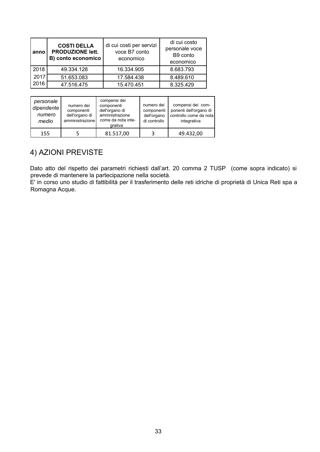| anno | <b>COSTI DELLA</b><br><b>PRODUZIONE lett.</b><br>B) conto economico | di cui costi per servizi<br>voce B7 conto<br>economico | di cui costo<br>personale voce<br>B9 conto<br>economico |
|------|---------------------------------------------------------------------|--------------------------------------------------------|---------------------------------------------------------|
| 2018 | 49.334.128                                                          | 16.334.905                                             | 8.683.793                                               |
| 2017 | 51.653.083                                                          | 17.584.438                                             | 8.489.610                                               |
| 2016 | 47.516.475                                                          | 15.470.451                                             | 8.325.429                                               |

| personale<br>dipendente<br>numero<br>medio | numero dei<br>componenti<br>dell'organo di<br>amministrazione | compensi dei<br>componenti<br>dell'organo di<br>ammnistrazione<br>come da nota inte-<br>grativa | numero dei<br>componenti<br>dell'organo<br>di controllo | compensi dei com-<br>ponenti dell'organo di<br>controllo come da notal<br>integrativa |
|--------------------------------------------|---------------------------------------------------------------|-------------------------------------------------------------------------------------------------|---------------------------------------------------------|---------------------------------------------------------------------------------------|
| 155                                        |                                                               | 81.517,00                                                                                       | 3                                                       | 49.432,00                                                                             |

# 4) AZIONI PREVISTE

Dato atto del rispetto dei parametri richiesti dall'art. 20 comma 2 TUSP (come sopra indicato) si prevede di mantenere la partecipazione nella società.

E' in corso uno studio di fattibilità per il trasferimento delle reti idriche di proprietà di Unica Reti spa a Romagna Acque.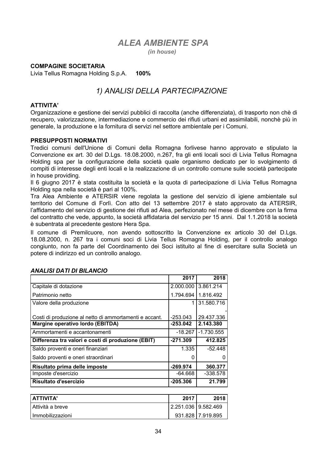# **ALEA AMBIENTE SPA**

(in house)

### **COMPAGINE SOCIETARIA**

Livia Tellus Romagna Holding S.p.A. 100%

# 1) ANALISI DELLA PARTECIPAZIONE

#### **ATTIVITA'**

Organizzazione e gestione dei servizi pubblici di raccolta (anche differenziata), di trasporto non chè di recupero, valorizzazione, intermediazione e commercio dei rifiuti urbani ed assimilabili, nonchè più in generale, la produzione e la fornitura di servizi nel settore ambientale per i Comuni.

#### **PRESUPPOSTI NORMATIVI**

Tredici comuni dell'Unione di Comuni della Romagna forlivese hanno approvato e stipulato la Convenzione ex art. 30 del D.Lgs. 18.08.2000, n.267, fra gli enti locali soci di Livia Tellus Romagna Holding spa per la configurazione della società quale organismo dedicato per lo svolgimento di compiti di interesse degli enti locali e la realizzazione di un controllo comune sulle società partecipate in house providing.

Il 6 giugno 2017 è stata costituita la società e la guota di partecipazione di Livia Tellus Romagna Holding spa nella società è pari al 100%.

Tra Alea Ambiente e ATERSIR viene regolata la gestione del servizio di igiene ambientale sul territorio del Comune di Forlì. Con atto del 13 settembre 2017 è stato approvato da ATERSIR. l'affidamento del servizio di gestione dei rifiuti ad Alea, perfezionato nel mese di dicembre con la firma del contratto che vede, appunto, la società affidataria del servizio per 15 anni. Dal 1.1.2018 la società è subentrata al precedente gestore Hera Spa.

Il comune di Premilcuore, non avendo sottoscritto la Convenzione ex articolo 30 del D.Lqs. 18.08.2000, n. 267 tra i comuni soci di Livia Tellus Romagna Holding, per il controllo analogo congiunto, non fa parte del Coordinamento dei Soci istituito al fine di esercitare sulla Società un potere di indirizzo ed un controllo analogo.

|                                                        | 2017       | 2018         |
|--------------------------------------------------------|------------|--------------|
| Capitale di dotazione                                  | 2.000.000  | 3.861.214    |
| Patrimonio netto                                       | 1.794.694  | 1.816.492    |
| Valore della produzione                                |            | 31.580.716   |
|                                                        |            |              |
| Costi di produzione al netto di ammortamenti e accant. | -253.043   | 29.437.336   |
| Margine operativo lordo (EBITDA)                       | $-253.042$ | 2.143.380    |
| Ammortamenti e accantonamenti                          | -18.267    | $-1.730.555$ |
| Differenza tra valori e costi di produzione (EBIT)     | $-271.309$ | 412.825      |
| Saldo proventi e oneri finanziari                      | 1.335      | $-52.448$    |
| Saldo proventi e oneri straordinari                    | 0          | $\mathbf{0}$ |
| Risultato prima delle imposte                          | $-269.974$ | 360,377      |
| Imposte d'esercizio                                    | -64.668    | $-338.578$   |
| Risultato d'esercizio                                  | $-205.306$ | 21.799       |

#### **ANALISI DATI DI BILANCIO**

| I ATTIVITA'        | 2017                  | 2018 l            |
|--------------------|-----------------------|-------------------|
| l Attività a breve | 2.251.036   9.582.469 |                   |
| l Immobilizzazioni |                       | 931.828 7.919.895 |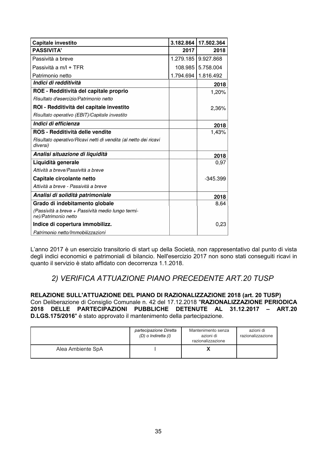| Capitale investito                                                           | 3.182.864 | 17.502.364 |
|------------------------------------------------------------------------------|-----------|------------|
| <b>PASSIVITA'</b>                                                            | 2017      | 2018       |
| Passività a breve                                                            | 1.279.185 | 9.927.868  |
| Passività a m/l + TFR                                                        | 108.985   | 5.758.004  |
| Patrimonio netto                                                             | 1.794.694 | 1.816.492  |
| Indici di redditività                                                        |           | 2018       |
| ROE - Redditività del capitale proprio                                       |           | 1,20%      |
| Risultato d'esercizio/Patrimonio netto                                       |           |            |
| ROI - Redditività del capitale investito                                     |           | 2,36%      |
| Risultato operativo (EBIT)/Capitale investito                                |           |            |
| Indici di efficienza                                                         |           | 2018       |
| ROS - Redditività delle vendite                                              |           | 1,43%      |
| Risultato operativo/Ricavi netti di vendita (al netto dei ricavi<br>diversi) |           |            |
| Analisi situazione di liquidità                                              |           | 2018       |
| Liquidità generale                                                           |           | 0,97       |
| Attività a breve/Passività a breve                                           |           |            |
| Capitale circolante netto                                                    |           | $-345.399$ |
| Attività a breve - Passività a breve                                         |           |            |
| Analisi di solidità patrimoniale                                             |           | 2018       |
| Grado di indebitamento globale                                               |           | 8,64       |
| (Passività a breve + Passività medio lungo termi-<br>ne)/Patrimonio netto    |           |            |
| Indice di copertura immobilizz.                                              |           | 0,23       |
| Patrimonio netto/Immobilizzazioni                                            |           |            |

L'anno 2017 è un esercizio transitorio di start up della Società, non rappresentativo dal punto di vista degli indici economici e patrimoniali di bilancio. Nell'esercizio 2017 non sono stati conseguiti ricavi in quanto il servizio è stato affidato con decorrenza 1.1.2018.

## 2) VERIFICA ATTUAZIONE PIANO PRECEDENTE ART.20 TUSP

RELAZIONE SULL'ATTUAZIONE DEL PIANO DI RAZIONALIZZAZIONE 2018 (art. 20 TUSP) Con Deliberazione di Consiglio Comunale n. 42 del 17.12.2018 "RAZIONALIZZAZIONE PERIODICA 2018 DELLE PARTECIPAZIONI PUBBLICHE DETENUTE AL 31.12.2017 - ART.20 D.LGS.175/2016" è stato approvato il mantenimento della partecipazione.

|                   | partecipazione Diretta<br>(D) o Indiretta (I) | Mantenimento senza<br>azioni di<br>razionalizzazione | azioni di<br>razionalizzazione |
|-------------------|-----------------------------------------------|------------------------------------------------------|--------------------------------|
| Alea Ambiente SpA |                                               |                                                      |                                |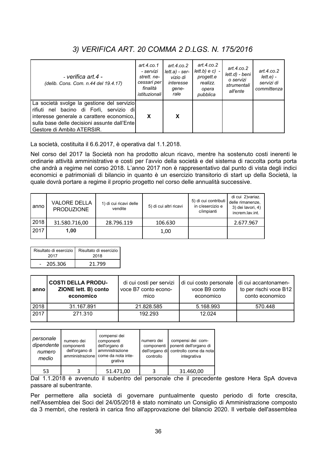# 3) VERIFICA ART. 20 COMMA 2 D.LGS. N. 175/2016

| - verifica art.4 -<br>(delib. Cons. Com. n.44 del 19.4.17)                                                                                                                                                         | art.4. $co.1$<br>- servizi<br>strett, ne-<br>cessari per<br>finalità<br><i>istituzionali</i> | art.4. $co.2$<br>$lett.a) - ser-$<br>vizio di<br>interesse<br>qene-<br>rale | art.4.co.2<br>$lett.b) e c$ ) -<br>progett.e<br>realizz.<br>opera<br>pubblica | art.4.co.2<br>lett.d) - beni<br>o servizi<br>strumentali<br>all'ente | art.4.co.2<br>$lett.e) -$<br>servizi di<br>committenza |
|--------------------------------------------------------------------------------------------------------------------------------------------------------------------------------------------------------------------|----------------------------------------------------------------------------------------------|-----------------------------------------------------------------------------|-------------------------------------------------------------------------------|----------------------------------------------------------------------|--------------------------------------------------------|
| La società svolge la gestione del servizio<br>rifiuti nel bacino di Forlì, servizio di<br>interesse generale a carattere economico,<br>sulla base delle decisioni assunte dall'Entel<br>Gestore di Ambito ATERSIR. | X                                                                                            | X                                                                           |                                                                               |                                                                      |                                                        |

La società, costituita il 6.6.2017, è operativa dal 1.1.2018.

Nel corso del 2017 la Società non ha prodotto alcun ricavo, mentre ha sostenuto costi inerenti le ordinarie attività amministrative e costi per l'avvio della società e del sistema di raccolta porta porta che andrà a regime nel corso 2018. L'anno 2017 non è rappresentativo dal punto di vista degli indici economici e patrimoniali di bilancio in quanto è un esercizio transitorio di start up della Società, la quale dovrà portare a regime il proprio progetto nel corso delle annualità successive.

| anno | <b>VALORE DELLA</b><br><b>PRODUZIONE</b> | 1) di cui ricavi delle<br>vendite | 5) di cui altri ricavi | 5) di cui contributi<br>in c/esercizio e<br>c/impianti | di cui 2) variaz.<br>delle rimanenze,<br>3) dei lavori, 4)<br>increm.lav.int. |
|------|------------------------------------------|-----------------------------------|------------------------|--------------------------------------------------------|-------------------------------------------------------------------------------|
| 2018 | 31.580.716,00                            | 28.796.119                        | 106.630                |                                                        | 2.677.967                                                                     |
| 2017 | 1.00                                     |                                   | 1,00                   |                                                        |                                                                               |

| Risultato di esercizio | Risultato di esercizio |
|------------------------|------------------------|
| 2017                   | 2018                   |
| 205.306                | 21.799                 |

| anno | <b>COSTI DELLA PRODU-</b><br>ZIONE lett. B) conto<br>economico | di cui costi per servizi<br>voce B7 conto econo-<br>mico | di cui costo personale<br>voce B9 conto<br>economico | di cui accantonamen-<br>to per rischi voce B12<br>conto economico |
|------|----------------------------------------------------------------|----------------------------------------------------------|------------------------------------------------------|-------------------------------------------------------------------|
| 2018 | 31.167.891                                                     | 21.828.585                                               | 5.168.993                                            | 570.448                                                           |
| 2017 | 271.310                                                        | 192.293                                                  | 12.024                                               |                                                                   |

| personale<br>dipendente<br>numero<br>medio | numero dei<br>componenti<br>dell'organo di<br>amministrazione | compensi dei<br>componenti<br>dell'organo di<br>ammnistrazione<br>come da nota inte-<br>grativa | numero dei<br>componenti<br>controllo | compensi dei com-<br>ponenti dell'organo di<br>dell'organo di controllo come da nota<br>integrativa |
|--------------------------------------------|---------------------------------------------------------------|-------------------------------------------------------------------------------------------------|---------------------------------------|-----------------------------------------------------------------------------------------------------|
| 53                                         |                                                               | 51.471,00                                                                                       |                                       | 31.460,00                                                                                           |

Dal 1.1.2018 è avvenuto il subentro del personale che il precedente gestore Hera SpA doveva passare al subentrante.

Per permettere alla società di governare puntualmente questo periodo di forte crescita, nell'Assemblea dei Soci del 24/05/2018 è stato nominato un Consiglio di Amministrazione composto da 3 membri, che resterà in carica fino all'approvazione del bilancio 2020. Il verbale dell'assemblea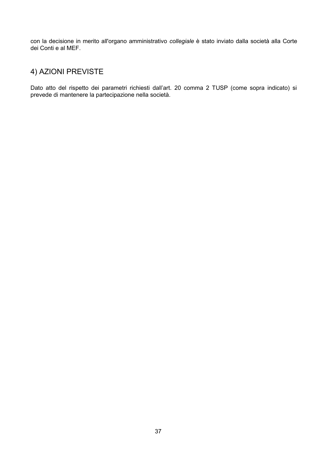con la decisione in merito all'organo amministrativo collegiale è stato inviato dalla società alla Corte dei Conti e al MEF.

# 4) AZIONI PREVISTE

Dato atto del rispetto dei parametri richiesti dall'art. 20 comma 2 TUSP (come sopra indicato) si prevede di mantenere la partecipazione nella società.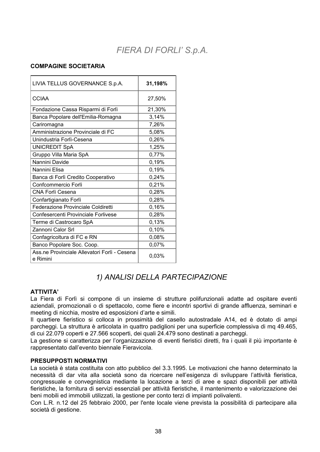# FIERA DI FORLI'S.p.A.

#### **COMPAGINE SOCIETARIA**

| LIVIA TELLUS GOVERNANCE S.p.A.                           | 31,198% |
|----------------------------------------------------------|---------|
| <b>CCIAA</b>                                             | 27,50%  |
| Fondazione Cassa Risparmi di Forlì                       | 21,30%  |
| Banca Popolare dell'Emilia-Romagna                       | 3,14%   |
| Cariromagna                                              | 7,26%   |
| Amministrazione Provinciale di FC                        | 5,08%   |
| Unindustria Forlì-Cesena                                 | 0,26%   |
| <b>UNICREDIT SpA</b>                                     | 1,25%   |
| Gruppo Villa Maria SpA                                   | 0,77%   |
| Nannini Davide                                           | 0,19%   |
| Nannini Elisa                                            | 0,19%   |
| Banca di Forlì Credito Cooperativo                       | 0,24%   |
| Confcommercio Forlì                                      | 0,21%   |
| <b>CNA Forlì Cesena</b>                                  | 0,28%   |
| Confartigianato Forlì                                    | 0,28%   |
| Federazione Provinciale Coldiretti                       | 0,16%   |
| Confesercenti Provinciale Forlivese                      | 0,28%   |
| Terme di Castrocaro SpA                                  | 0,13%   |
| Zannoni Calor Srl                                        | 0,10%   |
| Confagricoltura di FC e RN                               | 0,08%   |
| Banco Popolare Soc. Coop.                                | 0,07%   |
| Ass.ne Provinciale Allevatori Forlì - Cesena<br>e Rimini | 0,03%   |

## 1) ANALISI DELLA PARTECIPAZIONE

#### **ATTIVITA'**

La Fiera di Forlì si compone di un insieme di strutture polifunzionali adatte ad ospitare eventi aziendali, promozionali o di spettacolo, come fiere e incontri sportivi di grande affluenza, seminari e meeting di nicchia, mostre ed esposizioni d'arte e simili.

Il quartiere fieristico si colloca in prossimità del casello autostradale A14, ed è dotato di ampi parcheggi. La struttura è articolata in quattro padiglioni per una superficie complessiva di mg 49.465. di cui 22.079 coperti e 27.566 scoperti, dei quali 24.479 sono destinati a parcheggi.

La gestione si caratterizza per l'organizzazione di eventi fieristici diretti, fra i quali il più importante è rappresentato dall'evento biennale Fieravicola.

#### **PRESUPPOSTI NORMATIVI**

La società è stata costituita con atto pubblico del 3.3.1995. Le motivazioni che hanno determinato la necessità di dar vita alla società sono da ricercare nell'esigenza di sviluppare l'attività fieristica, congressuale e convegnistica mediante la locazione a terzi di aree e spazi disponibili per attività fieristiche, la fornitura di servizi essenziali per attività fieristiche, il mantenimento e valorizzazione dei beni mobili ed immobili utilizzati, la gestione per conto terzi di impianti polivalenti.

Con L.R. n.12 del 25 febbraio 2000, per l'ente locale viene prevista la possibilità di partecipare alla società di gestione.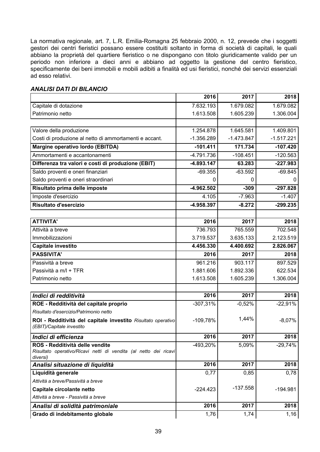La normativa regionale, art. 7, L.R. Emilia-Romagna 25 febbraio 2000, n. 12, prevede che i soggetti gestori dei centri fieristici possano essere costituiti soltanto in forma di società di capitali, le quali abbiano la proprietà del quartiere fieristico o ne dispongano con titolo giuridicamente valido per un periodo non inferiore a dieci anni e abbiano ad oggetto la gestione del centro fieristico, specificamente dei beni immobili e mobili adibiti a finalità ed usi fieristici, nonché dei servizi essenziali ad esso relativi.

|                                                                  | 2016         | 2017         | 2018         |
|------------------------------------------------------------------|--------------|--------------|--------------|
| Capitale di dotazione                                            | 7.632.193    | 1.679.082    | 1.679.082    |
| Patrimonio netto                                                 | 1.613.508    | 1.605.239    | 1.306.004    |
|                                                                  |              |              |              |
| Valore della produzione                                          | 1.254.878    | 1.645.581    | 1.409.801    |
| Costi di produzione al netto di ammortamenti e accant.           | $-1.356.289$ | $-1.473.847$ | $-1.517.221$ |
| Margine operativo lordo (EBITDA)                                 | $-101.411$   | 171.734      | $-107.420$   |
| Ammortamenti e accantonamenti                                    | $-4.791.736$ | $-108.451$   | $-120.563$   |
| Differenza tra valori e costi di produzione (EBIT)               | -4.893.147   | 63.283       | $-227.983$   |
| Saldo proventi e oneri finanziari                                | $-69.355$    | $-63.592$    | $-69.845$    |
| Saldo proventi e oneri straordinari                              | 0            | 0            |              |
| Risultato prima delle imposte                                    | $-4.962.502$ | $-309$       | $-297.828$   |
| Imposte d'esercizio                                              | 4.105        | $-7.963$     | $-1.407$     |
| Risultato d'esercizio                                            | -4.958.397   | $-8.272$     | $-299.235$   |
|                                                                  |              |              |              |
| <b>ATTIVITA'</b>                                                 | 2016         | 2017         | 2018         |
| Attività a breve                                                 | 736.793      | 765.559      | 702.548      |
| Immobilizzazioni                                                 | 3.719.537    | 3.635.133    | 2.123.519    |
| Capitale investito                                               | 4.456.330    | 4.400.692    | 2.826.067    |
| <b>PASSIVITA'</b>                                                | 2016         | 2017         | 2018         |
| Passività a breve                                                | 961.216      | 903.117      | 897.529      |
| Passività a m/l + TFR                                            | 1.881.606    | 1.892.336    | 622.534      |
| Patrimonio netto                                                 | 1.613.508    | 1.605.239    | 1.306.004    |
|                                                                  |              |              |              |
| Indici di redditività                                            | 2016         | 2017         | 2018         |
| ROE - Redditività del capitale proprio                           | $-307,31%$   | $-0,52%$     | $-22,91%$    |
| Risultato d'esercizio/Patrimonio netto                           |              |              |              |
| ROI - Redditività del capitale investito Risultato operativo     | $-109,78%$   | 1,44%        | $-8,07%$     |
| (EBIT)/Capitale investito                                        |              |              |              |
| Indici di efficienza                                             | 2016         | 2017         | 2018         |
| ROS - Redditività delle vendite                                  | -493,20%     | 5,09%        | $-29,74%$    |
| Risultato operativo/Ricavi netti di vendita (al netto dei ricavi |              |              |              |
| diversi)<br>Analisi situazione di liquidità                      | 2016         | 2017         | 2018         |
| Liquidità generale                                               | 0,77         | 0,85         | 0,78         |
| Attività a breve/Passività a breve                               |              |              |              |
| Capitale circolante netto                                        | $-224.423$   | $-137.558$   | $-194.981$   |
| Attività a breve - Passività a breve                             |              |              |              |
| Analisi di solidità patrimoniale                                 | 2016         | 2017         | 2018         |
| Grado di indebitamento globale                                   | 1,76         | 1,74         | 1,16         |
|                                                                  |              |              |              |

#### **ANALISI DATI DI BILANCIO**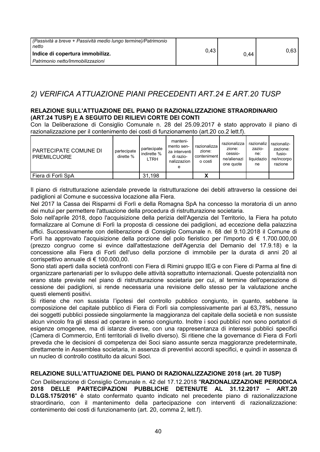| I (Passività a breve + Passività medio lungo termine)/Patrimonio<br>netto |      |      |       |
|---------------------------------------------------------------------------|------|------|-------|
| Indice di copertura immobilizz.                                           | 0,43 | 0,44 | 0.63. |
| Patrimonio netto/Immobilizzazioni                                         |      |      |       |

## 2) VERIFICA ATTUAZIONE PIANI PRECEDENTI ART.24 E ART.20 TUSP

#### RELAZIONE SULL'ATTUAZIONE DEL PIANO DI RAZIONALIZZAZIONE STRAORDINARIO (ART.24 TUSP) E A SEGUITO DEI RILIEVI CORTE DEI CONTI

Con la Deliberazione di Consiglio Comunale n. 28 del 25.09.2017 è stato approvato il piano di razionalizzazione per il contenimento dei costi di funzionamento (art.20 co.2 lett.f).

| <b>PARTECIPATE COMUNE DI</b><br><b>PREMILCUORE</b> | partecipate<br>dirette % | partecipate<br>indirette %<br><b>LTRH</b> | manteni-<br>mento sen-<br>za interventi l<br>di razio-<br>nalizzazion<br>е | razionalizza<br>zione:<br>conteniment<br>o costi | razionalizza<br>zione:<br>cessio-<br>ne/alienazi<br>one quote | razionaliz<br>zazio-<br>ne:<br>liguidazio<br>ne | razionaliz-<br>zazione:<br>fusio-<br>ne/incorpo<br>razione |
|----------------------------------------------------|--------------------------|-------------------------------------------|----------------------------------------------------------------------------|--------------------------------------------------|---------------------------------------------------------------|-------------------------------------------------|------------------------------------------------------------|
| l Fiera di Forlì SpA                               |                          | 31,198                                    |                                                                            |                                                  |                                                               |                                                 |                                                            |

Il piano di ristrutturazione aziendale prevede la ristrutturazione dei debiti attraverso la cessione dei padiglioni al Comune e successiva locazione alla Fiera.

Nel 2017 la Cassa dei Risparmi di Forlì e della Romagna SpA ha concesso la moratoria di un anno dei mutui per permettere l'attuazione della procedura di ristrutturazione societaria.

Solo nell'aprile 2018, dopo l'acquisizione della perizia dell'Agenzia del Territorio, la Fiera ha potuto formalizzare al Comune di Forlì la proposta di cessione dei padiglioni, ad eccezione della palazzina uffici. Successivamente con deliberazione di Consiglio Comunale n. 68 del 9.10.2018 il Comune di Forlì ha approvato l'acquisizione della porzione del polo fieristico per l'importo di  $\epsilon$  1.700.000,00 (prezzo congruo come si evince dall'attestazione dell'Agenzia del Demanio del 17.9.18) e la concessione alla Fiera di Forlì dell'uso della porzione di immobile per la durata di anni 20 al corrispettivo annuale di € 100.000.00.

Sono stati aperti dalla società confronti con Fiera di Rimini gruppo IEG e con Fiere di Parma al fine di organizzare partenariati per lo sviluppo delle attività soprattutto internazionali. Queste potenzialità non erano state previste nel piano di ristrutturazione societaria per cui, al termine dell'operazione di cessione dei padiglioni, si rende necessaria una revisione dello stesso per la valutazione anche questi elementi positivi.

Si ritiene che non sussista l'ipotesi del controllo pubblico congiunto, in quanto, sebbene la composizione del capitale pubblico di Fiera di Forlì sia complessivamente pari al 63,78%, nessuno dei soggetti pubblici possiede singolarmente la maggioranza del capitale della società e non sussiste alcun vincolo fra gli stessi ad operare in senso congiunto. Inoltre i soci pubblici non sono portatori di esigenze omogenee, ma di istanze diverse, con una rappresentanza di interessi pubblici specifici (Camera di Commercio, Enti territoriali di livello diverso). Si ritiene che la governance di Fiera di Forlì preveda che le decisioni di competenza dei Soci siano assunte senza maggioranze predeterminate, direttamente in Assemblea societaria, in assenza di preventivi accordi specifici, e quindi in assenza di un nucleo di controllo costituito da alcuni Soci.

#### RELAZIONE SULL'ATTUAZIONE DEL PIANO DI RAZIONALIZZAZIONE 2018 (art. 20 TUSP)

Con Deliberazione di Consiglio Comunale n. 42 del 17.12.2018 "RAZIONALIZZAZIONE PERIODICA 2018 DELLE PARTECIPAZIONI PUBBLICHE DETENUTE AL 31.12.2017 - ART.20 D.LGS.175/2016" è stato confermato quanto indicato nel precedente piano di razionalizzazione straordinario, con il mantenimento della partecipazione con interventi di razionalizzazione: contenimento dei costi di funzionamento (art. 20, comma 2, lett.f).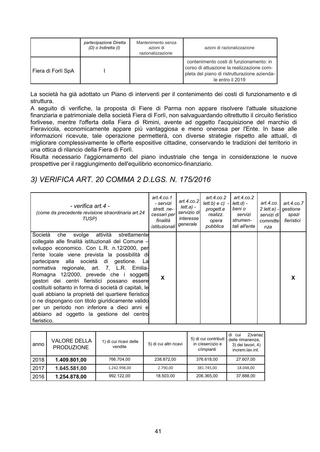|                    | partecipazione Diretta<br>(D) o Indiretta (I) | Mantenimento senza<br>azioni di<br>razionalizzazione | azioni di razionalizzazione                                                                                                                              |
|--------------------|-----------------------------------------------|------------------------------------------------------|----------------------------------------------------------------------------------------------------------------------------------------------------------|
| Fiera di Forlì SpA |                                               |                                                      | contenimento costi di funzionamento: in<br>corso di attuazione la realizzazione com-<br>pleta del piano di ristrutturazione azienda-<br>le entro il 2019 |

La società ha già adottato un Piano di interventi per il contenimento dei costi di funzionamento e di struttura.

A seguito di verifiche, la proposta di Fiere di Parma non appare risolvere l'attuale situazione finanziaria e patrimoniale della società Fiera di Forlì, non salvaguardando oltrettutto il circuito fieristico forlivese, mentre l'offerta della Fiera di Rimini, avente ad oggetto l'acquisizione del marchio di Fieravicola, economicamente appare più vantaggiosa e meno onerosa per l'Ente. In base alle informazioni ricevute, tale operazione permetterà, con diverse strategie rispetto alle attuali, di migliorare complessivamente le offerte espositive cittadine, conservando le tradizioni del territorio in una ottica di rilancio della Fiera di Forlì.

Risulta necessario l'aggiornamento del piano industriale che tenga in considerazione le nuove prospettive per il raggiungimento dell'equilibrio economico-finanziario.

### 3) VERIFICA ART. 20 COMMA 2 D.LGS. N. 175/2016

| - verifica art.4 -<br>(come da precedente revisione straordinaria art. 24<br>TUSP)                                                                                                                                                                                                                                                                                                                                                                                                                                                                                                                                                                                                      | art.4.co.1<br>- servizi<br>strett. ne-<br>cessari per<br>finalità<br>istituzionali | art.4. $co.2$<br>lett.a) -<br>servizio di<br>interesse<br>generale | art.4.co.2<br>$lett.b) e c$ ) -<br>progett.e<br>realizz.<br>opera<br>pubblica | art. $4$ .co. $2$<br>$lett.d$ ) -<br>beni o<br>servizi<br>strumen-<br>tali all'ente | art.4.co.<br>$2$ lett.e) -<br>servizi di l<br>committel<br>nza | art.4.co.7<br>gestione<br>spazi<br>fieristici |
|-----------------------------------------------------------------------------------------------------------------------------------------------------------------------------------------------------------------------------------------------------------------------------------------------------------------------------------------------------------------------------------------------------------------------------------------------------------------------------------------------------------------------------------------------------------------------------------------------------------------------------------------------------------------------------------------|------------------------------------------------------------------------------------|--------------------------------------------------------------------|-------------------------------------------------------------------------------|-------------------------------------------------------------------------------------|----------------------------------------------------------------|-----------------------------------------------|
| Società<br>svolge<br>attività<br>strettamentel<br>che<br>collegate alle finalità istituzionali del Comune -<br>sviluppo economico. Con L.R. n.12/2000, per<br>l'ente locale viene prevista la possibilità di<br>partecipare alla società di gestione.<br>La<br>normativa regionale, art. 7, L.R. Emilia-<br>Romagna 12/2000, prevede che i soggetti<br>gestori dei centri fieristici possano<br>essere<br>costituiti soltanto in forma di società di capitali, le<br>quali abbiano la proprietà del quartiere fieristico<br>o ne dispongano con titolo giuridicamente valido<br>per un periodo non inferiore a dieci anni e<br>abbiano ad oggetto la gestione del centro<br>fieristico. | X                                                                                  |                                                                    |                                                                               |                                                                                     |                                                                | X                                             |

| anno                 | <b>VALORE DELLA</b><br>1) di cui ricavi delle<br>vendite<br><b>PRODUZIONE</b> |              | 5) di cui altri ricavi | 5) di cui contributi<br>in c/esercizio e<br>c/impianti | 2) variaz.<br>di<br>cui<br>delle rimanenze,<br>3) dei lavori, 4)<br>increm.lav.int. |
|----------------------|-------------------------------------------------------------------------------|--------------|------------------------|--------------------------------------------------------|-------------------------------------------------------------------------------------|
| 2018<br>1.409.801,00 |                                                                               | 766.704,00   | 238.872,00             | 376.618,00                                             | 27.607,00                                                                           |
| 2017                 | 1.645.581,00                                                                  | 1.242.998.00 | 2.790.00               | 381.745,00                                             | 18.048,00                                                                           |
| 2016                 | 1.254.878,00                                                                  | 992.122,00   | 18.503,00              | 206.365,00                                             | 37.888,00                                                                           |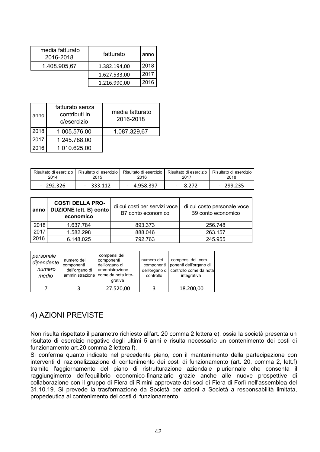| media fatturato<br>2016-2018 | fatturato    | anno |
|------------------------------|--------------|------|
| 1.408.905,67                 | 1.382.194,00 |      |
|                              | 1.627.533,00 | 2017 |
|                              | 1.216.990,00 | 2016 |

| anno | fatturato senza<br>contributi in<br>c/esercizio | media fatturato<br>2016-2018 |
|------|-------------------------------------------------|------------------------------|
| 2018 | 1.005.576,00                                    | 1.087.329,67                 |
| 2017 | 1.245.788,00                                    |                              |
| 2016 | 1.010.625,00                                    |                              |

| Risultato di esercizio | Risultato di esercizio | Risultato di esercizio | Risultato di esercizio | Risultato di esercizio |
|------------------------|------------------------|------------------------|------------------------|------------------------|
| 2014                   | 2015                   | 2016                   | 2017                   | 2018                   |
| - 292.326              | 333.112                | 4.958.397              | 8 2 7 2                | $-299.235$             |

| anno | <b>COSTI DELLA PRO-</b><br>DUZIONE lett. B) conto<br>economico | di cui costi per servizi voce<br>B7 conto economico | di cui costo personale voce<br>B9 conto economico |
|------|----------------------------------------------------------------|-----------------------------------------------------|---------------------------------------------------|
| 2018 | 1.637.784                                                      | 893.373                                             | 256.748                                           |
| 2017 | 1.582.298                                                      | 888.046                                             | 263.157                                           |
| 2016 | 6.148.025                                                      | 792.763                                             | 245.955                                           |

| personale<br>dipendente<br>numero<br>medio | numero dei<br>componenti<br>dell'organo di | compensi dei<br>componenti<br>dell'organo di<br>ammnistrazione<br>amministrazione come da nota inte-<br>grativa | numero dei<br>controllo | compensi dei com-<br>componenti   ponenti dell'organo di<br>dell'organo di controllo come da nota<br>integrativa |
|--------------------------------------------|--------------------------------------------|-----------------------------------------------------------------------------------------------------------------|-------------------------|------------------------------------------------------------------------------------------------------------------|
|                                            |                                            | 27.520,00                                                                                                       |                         | 18.200,00                                                                                                        |

### 4) AZIONI PREVISTE

Non risulta rispettato il parametro richiesto all'art. 20 comma 2 lettera e), ossia la società presenta un risultato di esercizio negativo degli ultimi 5 anni e risulta necessario un contenimento dei costi di funzionamento art.20 comma 2 lettera f).

Si conferma quanto indicato nel precedente piano, con il mantenimento della partecipazione con interventi di razionalizzazione di contenimento dei costi di funzionamento (art. 20, comma 2, lett.f) tramite l'aggiornamento del piano di ristrutturazione aziendale pluriennale che consenta il raggiungimento dell'equilibrio economico-finanziario grazie anche alle nuove prospettive di collaborazione con il gruppo di Fiera di Rimini approvate dai soci di Fiera di Forlì nell'assemblea del 31.10.19. Si prevede la trasformazione da Società per azioni a Società a responsabilità limitata, propedeutica al contenimento dei costi di funzionamento.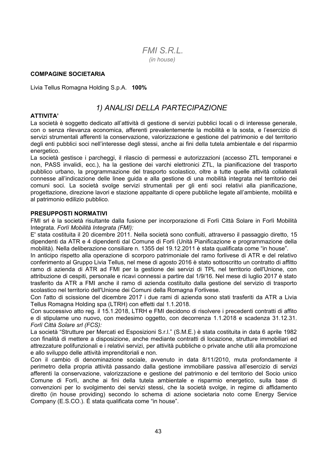### $FMISRI$ (in house)

#### **COMPAGINE SOCIETARIA**

Livia Tellus Romagna Holding S.p.A. 100%

### 1) ANALISI DELLA PARTECIPAZIONE

#### **ATTIVITA'**

La società è soggetto dedicato all'attività di gestione di servizi pubblici locali o di interesse generale, con o senza rilevanza economica, afferenti prevalentemente la mobilità e la sosta, e l'esercizio di servizi strumentali afferenti la conservazione, valorizzazione e gestione del patrimonio e del territorio degli enti pubblici soci nell'interesse degli stessi, anche ai fini della tutela ambientale e del risparmio energetico.

La società gestisce i parcheggi, il rilascio di permessi e autorizzazioni (accesso ZTL temporanei e non, PASS invalidi, ecc.), ha la gestione dei varchi elettronici ZTL, la pianificazione del trasporto pubblico urbano, la programmazione del trasporto scolastico, oltre a tutte quelle attività collaterali connesse all'indicazione delle linee guida e alla gestione di una mobilità integrata nel territorio dei comuni soci. La società svolge servizi strumentali per gli enti soci relativi alla pianificazione, progettazione, direzione lavori e stazione appaltante di opere pubbliche legate all'ambiente, mobilità e al patrimonio edilizio pubblico.

#### **PRESUPPOSTI NORMATIVI**

FMI srl è la società risultante dalla fusione per incorporazione di Forlì Città Solare in Forlì Mobilità Integrata. Forlì Mobilità Integrata (FMI):

E' stata costituita il 20 dicembre 2011. Nella società sono confluiti, attraverso il passaggio diretto, 15 dipendenti da ATR e 4 dipendenti dal Comune di Forlì (Unità Pianificazione e programmazione della mobilità). Nella deliberazione consiliare n. 1355 del 19.12.2011 è stata qualificata come "in house".

In anticipo rispetto alla operazione di scorporo patrimoniale del ramo forlivese di ATR e del relativo conferimento al Gruppo Livia Tellus, nel mese di agosto 2016 è stato sottoscritto un contratto di affitto ramo di azienda di ATR ad FMI per la gestione dei servizi di TPL nel territorio dell'Unione, con attribuzione di cespiti, personale e ricavi connessi a partire dal 1/9/16. Nel mese di luglio 2017 è stato trasferito da ATR a FMI anche il ramo di azienda costituito dalla gestione del servizio di trasporto scolastico nel territorio dell'Unione dei Comuni della Romagna Forlivese.

Con l'atto di scissione del dicembre 2017 i due rami di azienda sono stati trasferiti da ATR a Livia Tellus Romagna Holding spa (LTRH) con effetti dal 1.1.2018.

Con successivo atto reg. il 15.1.2018, LTRH e FMI decidono di risolvere i precedenti contratti di affito e di stipularne uno nuovo, con medesimo oggetto, con decorrenza 1.1.2018 e scadenza 31.12.31. Forlì Città Solare srl (FCS):

La società "Strutture per Mercati ed Esposizioni S.r.l." (S.M.E.) è stata costituita in data 6 aprile 1982 con finalità di mettere a disposizione, anche mediante contratti di locazione, strutture immobiliari ed attrezzature polifunzionali e i relativi servizi, per attività pubbliche o private anche utili alla promozione e allo sviluppo delle attività imprenditoriali e non.

Con il cambio di denominazione sociale, avvenuto in data 8/11/2010, muta profondamente il perimetro della propria attività passando dalla gestione immobiliare passiva all'esercizio di servizi afferenti la conservazione, valorizzazione e gestione del patrimonio e del territorio del Socio unico Comune di Forlì, anche ai fini della tutela ambientale e risparmio energetico, sulla base di convenzioni per lo svolgimento dei servizi stessi, che la società svolge, in regime di affidamento diretto (in house providing) secondo lo schema di azione societaria noto come Energy Service Company (E.S.CO.). È stata qualificata come "in house".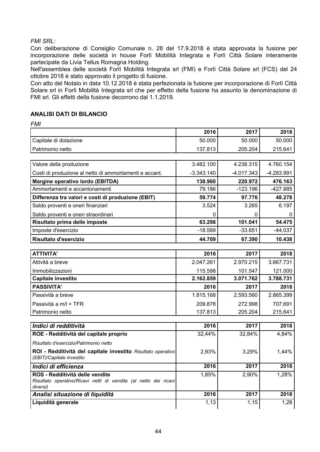#### **FMI SRL:**

Con deliberazione di Consiglio Comunale n. 28 del 17.9.2018 è stata approvata la fusione per incorporazione delle società in house Forlì Mobilità Integrata e Forlì Città Solare interamente partecipate da Livia Tellus Romagna Holding.

Nell'assemblea delle società Forlì Mobilità Integrata srl (FMI) e Forlì Città Solare srl (FCS) del 24 ottobre 2018 è stato approvato il progetto di fusione.

Con atto del Notaio in data 10.12.2018 è stata perfezionata la fusione per incorporazione di Forlì Città Solare srl in Forlì Mobilità Integrata srl che per effetto della fusione ha assunto la denominazione di FMI srl. Gli effetti della fusione decorrono dal 1.1.2019.

#### **ANALISI DATI DI BILANCIO**

**FMI** 

|                                                                                                                 | 2016         | 2017         | 2018         |
|-----------------------------------------------------------------------------------------------------------------|--------------|--------------|--------------|
| Capitale di dotazione                                                                                           | 50.000       | 50.000       | 50.000       |
| Patrimonio netto                                                                                                | 137.813      | 205.204      | 215.641      |
|                                                                                                                 |              |              |              |
| Valore della produzione                                                                                         | 3.482.100    | 4.238.315    | 4.760.154    |
| Costi di produzione al netto di ammortamenti e accant.                                                          | $-3.343.140$ | $-4.017.343$ | $-4.283.991$ |
| Margine operativo lordo (EBITDA)                                                                                | 138.960      | 220.972      | 476.163      |
| Ammortamenti e accantonamenti                                                                                   | 79.186       | $-123.196$   | $-427.885$   |
| Differenza tra valori e costi di produzione (EBIT)                                                              | 59.774       | 97.776       | 48.278       |
| Saldo proventi e oneri finanziari                                                                               | 3.524        | 3.265        | 6.197        |
| Saldo proventi e oneri straordinari                                                                             | 0            |              |              |
| Risultato prima delle imposte                                                                                   | 63.298       | 101.041      | 54.475       |
| Imposte d'esercizio                                                                                             | $-18.589$    | $-33.651$    | $-44.037$    |
| Risultato d'esercizio                                                                                           | 44.709       | 67.390       | 10.438       |
|                                                                                                                 |              |              |              |
| <b>ATTIVITA'</b>                                                                                                | 2016         | 2017         | 2018         |
| Attività a breve                                                                                                | 2.047.261    | 2.970.215    | 3.667.731    |
| Immobilizzazioni                                                                                                | 115.598      | 101.547      | 121.000      |
| Capitale investito                                                                                              | 2.162.859    | 3.071.762    | 3.788.731    |
| <b>PASSIVITA'</b>                                                                                               | 2016         | 2017         | 2018         |
| Passività a breve                                                                                               | 1.815.168    | 2.593.560    | 2.865.399    |
| Passività a m/l + TFR                                                                                           | 209.878      | 272.998      | 707.691      |
| Patrimonio netto                                                                                                | 137.813      | 205.204      | 215.641      |
|                                                                                                                 |              |              |              |
| Indici di redditività                                                                                           | 2016         | 2017         | 2018         |
| ROE - Redditività del capitale proprio                                                                          | 32,44%       | 32,84%       | 4,84%        |
| Risultato d'esercizio/Patrimonio netto                                                                          |              |              |              |
| ROI - Redditività del capitale investito Risultato operativo<br>(EBIT)/Capitale investito                       | 2,93%        | 3,29%        | 1,44%        |
| Indici di efficienza                                                                                            | 2016         | 2017         | 2018         |
| ROS - Redditività delle vendite<br>Risultato operativo/Ricavi netti di vendita (al netto dei ricavi<br>diversi) | 1,85%        | 2,90%        | 1,28%        |
| Analisi situazione di liquidità                                                                                 | 2016         | 2017         | 2018         |
| Liquidità generale                                                                                              | 1,13         | 1,15         | 1,28         |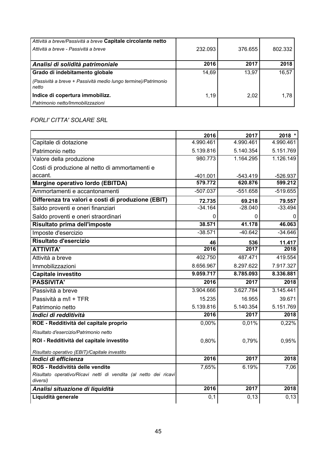| Attività a breve/Passività a breve Capitale circolante netto<br>Attività a breve - Passività a breve | 232.093 | 376.655 | 802.332 |
|------------------------------------------------------------------------------------------------------|---------|---------|---------|
| Analisi di solidità patrimoniale                                                                     | 2016    | 2017    | 2018    |
| Grado di indebitamento globale                                                                       | 14,69   | 13,97   | 16,57   |
| (Passività a breve + Passività medio lungo termine)/Patrimonio<br>netto                              |         |         |         |
| Indice di copertura immobilizz.                                                                      | 1,19    | 2.02    | 1.78    |
| Patrimonio netto/Immobilizzazioni                                                                    |         |         |         |

#### FORLI' CITTA' SOLARE SRL

|                                                                              | 2016       | 2017       | 2018 *     |
|------------------------------------------------------------------------------|------------|------------|------------|
| Capitale di dotazione                                                        | 4.990.461  | 4.990.461  | 4.990.461  |
| Patrimonio netto                                                             | 5.139.816  | 5.140.354  | 5.151.769  |
| Valore della produzione                                                      | 980.773    | 1.164.295  | 1.126.149  |
| Costi di produzione al netto di ammortamenti e                               |            |            |            |
| accant.                                                                      | $-401.001$ | $-543.419$ | $-526.937$ |
| Margine operativo lordo (EBITDA)                                             | 579.772    | 620.876    | 599.212    |
| Ammortamenti e accantonamenti                                                | $-507.037$ | $-551.658$ | $-519.655$ |
| Differenza tra valori e costi di produzione (EBIT)                           | 72.735     | 69.218     | 79.557     |
| Saldo proventi e oneri finanziari                                            | $-34.164$  | $-28.040$  | $-33.494$  |
| Saldo proventi e oneri straordinari                                          | 0          | 0          | 0          |
| Risultato prima dell'imposte                                                 | 38.571     | 41.178     | 46.063     |
| Imposte d'esercizio                                                          | $-38.571$  | $-40.642$  | $-34.646$  |
| Risultato d'esercizio                                                        | 46         | 536        | 11.417     |
| <b>ATTIVITA'</b>                                                             | 2016       | 2017       | 2018       |
| Attività a breve                                                             | 402.750    | 487.471    | 419.554    |
| Immobilizzazioni                                                             | 8.656.967  | 8.297.622  | 7.917.327  |
| <b>Capitale investito</b>                                                    | 9.059.717  | 8.785.093  | 8.336.881  |
| <b>PASSIVITA'</b>                                                            | 2016       | 2017       | 2018       |
| Passività a breve                                                            | 3.904.666  | 3.627.784  | 3.145.441  |
| Passività a m/l + TFR                                                        | 15.235     | 16.955     | 39.671     |
| Patrimonio netto                                                             | 5.139.816  | 5.140.354  | 5.151.769  |
| Indici di redditività                                                        | 2016       | 2017       | 2018       |
| ROE - Redditività del capitale proprio                                       | 0,00%      | 0,01%      | 0,22%      |
| Risultato d'esercizio/Patrimonio netto                                       |            |            |            |
| ROI - Redditività del capitale investito                                     | 0,80%      | 0,79%      | 0,95%      |
| Risultato operativo (EBIT)/Capitale investito                                |            |            |            |
| Indici di efficienza                                                         | 2016       | 2017       | 2018       |
| ROS - Reddivitità delle vendite                                              | 7,65%      | 6.19%      | 7,06       |
| Risultato operativo/Ricavi netti di vendita (al netto dei ricavi<br>diversi) |            |            |            |
| Analisi situazione di liquidità                                              | 2016       | 2017       | 2018       |
| Liquidità generale                                                           | 0,1        | 0, 13      | 0,13       |
|                                                                              |            |            |            |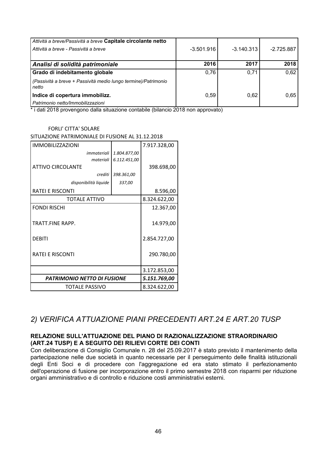| Attività a breve/Passività a breve Capitale circolante netto<br>Attività a breve - Passività a breve | $-3.501.916$ | $-3.140.313$ | $-2.725.887$ |
|------------------------------------------------------------------------------------------------------|--------------|--------------|--------------|
| Analisi di solidità patrimoniale                                                                     | 2016         | 2017         | 2018         |
| Grado di indebitamento globale                                                                       | 0.76         | 0,71         | 0.62         |
| (Passività a breve + Passività medio lungo termine)/Patrimonio<br>netto                              |              |              |              |
| Indice di copertura immobilizz.                                                                      | 0.59         | 0.62         | 0.65         |
| Patrimonio netto/Immobilizzazioni                                                                    |              |              |              |

\* i dati 2018 provengono dalla situazione contabile (bilancio 2018 non approvato)

#### **FORLI' CITTA' SOLARE**

SITUAZIONE PATRIMONIALE DI FUSIONE AL 31.12.2018

| <b>IMMOBILIZZAZIONI</b>     |              | 7.917.328,00 |
|-----------------------------|--------------|--------------|
| immateriali                 | 1.804.877,00 |              |
| materiali                   | 6.112.451,00 |              |
| <b>ATTIVO CIRCOLANTE</b>    |              | 398.698,00   |
| crediti                     | 398.361,00   |              |
| disponibilità liquide       | 337,00       |              |
| RATEI E RISCONTI            |              | 8.596,00     |
| <b>TOTALE ATTIVO</b>        | 8.324.622,00 |              |
| <b>FONDI RISCHI</b>         |              | 12.367,00    |
| <b>TRATT.FINE RAPP.</b>     | 14.979,00    |              |
| <b>DEBITI</b>               | 2.854.727,00 |              |
| RATEI E RISCONTI            | 290.780,00   |              |
|                             |              | 3.172.853,00 |
| PATRIMONIO NETTO DI FUSIONE | 5.151.769,00 |              |
| TOTALE PASSIVO              | 8.324.622,00 |              |

## 2) VERIFICA ATTUAZIONE PIANI PRECEDENTI ART.24 E ART.20 TUSP

#### RELAZIONE SULL'ATTUAZIONE DEL PIANO DI RAZIONALIZZAZIONE STRAORDINARIO (ART.24 TUSP) E A SEGUITO DEI RILIEVI CORTE DEI CONTI

Con deliberazione di Consiglio Comunale n. 28 del 25.09.2017 è stato previsto il mantenimento della partecipazione nelle due società in quanto necessarie per il perseguimento delle finalità istituzionali degli Enti Soci e di procedere con l'aggregazione ed era stato stimato il perfezionamento dell'operazione di fusione per incorporazione entro il primo semestre 2018 con risparmi per riduzione organi amministrativo e di controllo e riduzione costi amministrativi esterni.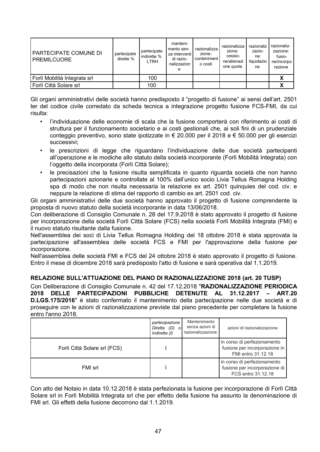| PARTECIPATE COMUNE DI<br><b>PREMILCUORE</b> | partecipate<br>dirette % | partecipate<br>indirette %<br><b>LTRH</b> | manteni-<br>mento sen-<br>za interventi l<br>di razio-<br>nalizzazion<br>е | razionalizza<br>zione:<br>conteniment<br>o costi | razionalizza<br>zione:<br>cessio-<br>ne/alienazi<br>one quote | razionaliz<br>zazio-<br>ne:<br>liquidazio<br>ne | razionaliz-<br>zazione:<br>fusio-<br>ne/incorpo<br>razione |
|---------------------------------------------|--------------------------|-------------------------------------------|----------------------------------------------------------------------------|--------------------------------------------------|---------------------------------------------------------------|-------------------------------------------------|------------------------------------------------------------|
| Forlì Mobilità Integrata srl                |                          | 100                                       |                                                                            |                                                  |                                                               |                                                 |                                                            |
| Forlì Città Solare srl                      |                          | 100                                       |                                                                            |                                                  |                                                               |                                                 |                                                            |

Gli organi amministrativi delle società hanno predisposto il "progetto di fusione" ai sensi dell'art. 2501 ter del codice civile corredato da scheda tecnica a integrazione progetto fusione FCS-FMI, da cui risulta:

- l'individuazione delle economie di scala che la fusione comporterà con riferimento ai costi di  $\bullet$ struttura per il funzionamento societario e ai costi gestionali che, ai soli fini di un prudenziale conteggio preventivo, sono state ipotizzate in € 20.000 per il 2018 e € 50.000 per gli esercizi successivi;
- $\bullet$ le prescrizioni di legge che riguardano l'individuazione delle due società partecipanti all'operazione e le modiche allo statuto della società incorporante (Forlì Mobilità Integrata) con l'oggetto della incorporata (Forlì Città Solare):
- $\bullet$ le precisazioni che la fusione risulta semplificata in quanto riguarda società che non hanno partecipazioni azionarie e controllate al 100% dall'unico socio Livia Tellus Romagna Holding spa di modo che non risulta necessaria la relazione ex art. 2501 guinquies del cod. civ. è neppure la relazione di stima del rapporto di cambio ex art. 2501 cod. civ.

Gli organi amministrativi delle due società hanno approvato il progetto di fusione comprendente la proposta di nuovo statuto della società incorporante in data 13/06/2018.

Con deliberazione di Consiglio Comunale n. 28 del 17.9.2018 è stato approvato il progetto di fusione per incorporazione della società Forlì Città Solare (FCS) nella società Forlì Mobilità Integrata (FMI) e il nuovo statuto risultante dalla fusione.

Nell'assemblea dei soci di Livia Tellus Romagna Holding del 18 ottobre 2018 è stata approvata la partecipazione all'assemblea delle società FCS e FMI per l'approvazione della fusione per incorporazione.

Nell'assemblea delle società FMI e FCS del 24 ottobre 2018 è stato approvato il progetto di fusione. Entro il mese di dicembre 2018 sarà predisposto l'atto di fusione e sarà operativa dal 1.1.2019.

#### RELAZIONE SULL'ATTUAZIONE DEL PIANO DI RAZIONALIZZAZIONE 2018 (art. 20 TUSP)

Con Deliberazione di Consiglio Comunale n. 42 del 17.12.2018 "RAZIONALIZZAZIONE PERIODICA 2018 DELLE PARTECIPAZIONI PUBBLICHE DETENUTE AL 31.12.2017 - ART.20 D.LGS.175/2016" è stato confermato il mantenimento della partecipazione nelle due società e di proseguire con le azioni di razionalizzazione previste dal piano precedente per completare la fusione entro l'anno 2018.

|                              | partecipazione<br>Diretta (D) o<br>Indiretta (I) | Mantenimento<br>senza azioni di<br>razionalizzazione | azioni di razionalizzazione                                                        |
|------------------------------|--------------------------------------------------|------------------------------------------------------|------------------------------------------------------------------------------------|
| Forlì Città Solare srl (FCS) |                                                  |                                                      | in corso di perfezionamento<br>fusione per incorporazione in<br>FMI entro 31.12.18 |
| FMI srl                      |                                                  |                                                      | in corso di perfezionamento<br>fusione per incorporazione di<br>FCS entro 31.12.18 |

Con atto del Notaio in data 10.12.2018 è stata perfezionata la fusione per incorporazione di Forlì Città Solare srl in Forlì Mobilità Integrata srl che per effetto della fusione ha assunto la denominazione di FMI srl. Gli effetti della fusione decorrono dal 1.1.2019.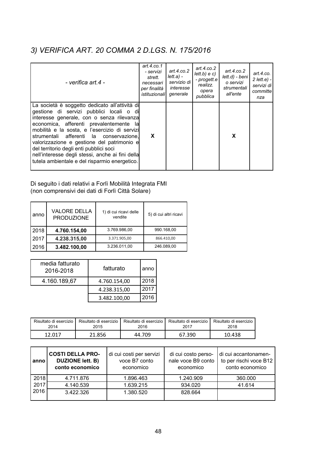# 3) VERIFICA ART. 20 COMMA 2 D.LGS. N. 175/2016

| - verifica art.4 -                                                                                                                                                                                                                                                                                                                                                                                                                                                              | art.4.co.1<br>- servizi<br>strett.<br>necessari<br>per finalità<br>istituzionalil | art. $4$ .co.2<br>lett.a) -<br>servizio di<br>interesse<br>generale | art. $4$ .co. $2$<br>lett.b) e c)<br>- progett.e<br>realizz.<br>opera<br>pubblica | art.4. $co.2$<br>lett.d) - beni<br>o servizi<br>strumentali<br>all'ente | art.4.co.<br>$2$ lett.e) -<br>servizi di<br>committe<br>nza |
|---------------------------------------------------------------------------------------------------------------------------------------------------------------------------------------------------------------------------------------------------------------------------------------------------------------------------------------------------------------------------------------------------------------------------------------------------------------------------------|-----------------------------------------------------------------------------------|---------------------------------------------------------------------|-----------------------------------------------------------------------------------|-------------------------------------------------------------------------|-------------------------------------------------------------|
| La società è soggetto dedicato all'attività di<br>gestione di servizi pubblici locali o di<br>interesse generale, con o senza rilevanza<br>economica, afferenti prevalentemente<br>la<br>mobilità e la sosta, e l'esercizio di servizi<br>strumentali afferenti la conservazione,<br>valorizzazione e gestione del patrimonio e<br>del territorio degli enti pubblici soci<br>nell'interesse degli stessi, anche ai fini della<br>tutela ambientale e del risparmio energetico. | X                                                                                 |                                                                     |                                                                                   | X                                                                       |                                                             |

Di seguito i dati relativi a Forlì Mobilità Integrata FMI (non comprensivi dei dati di Forlì Città Solare)

| anno | <b>VALORE DELLA</b><br><b>PRODUZIONE</b> | 1) di cui ricavi delle<br>vendite | 5) di cui altri ricavi |
|------|------------------------------------------|-----------------------------------|------------------------|
| 2018 | 4.760.154,00                             | 3.769.986.00                      | 990.168,00             |
| 2017 | 4.238.315,00                             | 3.371.905,00                      | 866.410,00             |
| 2016 | 3.482.100,00                             | 3.236.011.00                      | 246.089.00             |

| media fatturato<br>2016-2018 | fatturato    | anno |
|------------------------------|--------------|------|
| 4.160.189,67                 | 4.760.154,00 | 2018 |
|                              | 4.238.315,00 | 2017 |
|                              | 3.482.100,00 | 2016 |

| Risultato di esercizio | Risultato di esercizio | Risultato di esercizio | Risultato di esercizio | Risultato di esercizio |
|------------------------|------------------------|------------------------|------------------------|------------------------|
| 2014                   | 2015                   | 2016                   | 2017                   | 2018                   |
| 12.017                 | 21.856                 | 44.709                 | 67.390                 | 10.438                 |

| anno | <b>COSTI DELLA PRO-</b><br><b>DUZIONE lett. B)</b><br>conto economico | di cui costi per servizi<br>voce B7 conto<br>economico | di cui costo perso-<br>nale voce B9 conto<br>economico | di cui accantonamen-<br>to per rischi voce B12<br>conto economico |
|------|-----------------------------------------------------------------------|--------------------------------------------------------|--------------------------------------------------------|-------------------------------------------------------------------|
| 2018 | 4.711.876                                                             | 1.896.463                                              | 1.240.909                                              | 360.000                                                           |
| 2017 | 4.140.539                                                             | 1.639.215                                              | 934.020                                                | 41.614                                                            |
| 2016 | 3.422.326                                                             | 1.380.520                                              | 828.664                                                |                                                                   |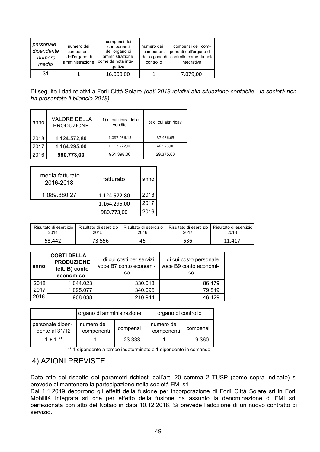| personale<br>dipendente<br>numero<br>medio | numero dei<br>componenti<br>dell'organo di<br>amministrazione | compensi dei<br>componenti<br>dell'organo di<br>ammnistrazione<br>come da nota inte-<br>grativa | numero dei<br>componenti<br>controllo | compensi dei com-<br>ponenti dell'organo di<br>dell'organo di controllo come da nota<br>integrativa |
|--------------------------------------------|---------------------------------------------------------------|-------------------------------------------------------------------------------------------------|---------------------------------------|-----------------------------------------------------------------------------------------------------|
| 31                                         |                                                               | 16.000,00                                                                                       |                                       | 7.079,00                                                                                            |

Di seguito i dati relativi a Forlì Città Solare (dati 2018 relativi alla situazione contabile - la società non ha presentato il bilancio 2018)

| anno | <b>VALORE DELLA</b><br><b>PRODUZIONE</b> | 1) di cui ricavi delle<br>vendite | 5) di cui altri ricavi |
|------|------------------------------------------|-----------------------------------|------------------------|
| 2018 | 1.124.572,80                             | 1.087.086,15                      | 37.486,65              |
| 2017 | 1.164.295,00                             | 1.117.722.00                      | 46.573.00              |
| 2016 | 980.773,00                               | 951.398.00                        | 29.375,00              |

| media fatturato<br>2016-2018 | fatturato    | anno |
|------------------------------|--------------|------|
| 1.089.880,27                 | 1.124.572,80 | 2018 |
|                              | 1.164.295,00 | 2017 |
|                              | 980.773,00   | 2016 |

| Risultato di esercizio | Risultato di esercizio i | Risultato di esercizio | Risultato di esercizio | Risultato di esercizio l |
|------------------------|--------------------------|------------------------|------------------------|--------------------------|
| 2014                   | 2015                     | 2016                   | 2017                   | 2018                     |
| 53.442                 | 73.556                   | 46                     | 536                    | 11.417                   |

| anno | <b>COSTI DELLA</b><br><b>PRODUZIONE</b><br>lett. B) conto<br>economico | di cui costi per servizi<br>voce B7 conto economi-<br>CO | di cui costo personale<br>voce B9 conto economi-<br>CO |
|------|------------------------------------------------------------------------|----------------------------------------------------------|--------------------------------------------------------|
| 2018 | 1.044.023                                                              | 330.013                                                  | 86.479                                                 |
| 2017 | 1.095.077                                                              | 340.095                                                  | 79.819                                                 |
| 2016 | 908.038                                                                | 210.944                                                  | 46.429                                                 |

|                                    | organo di amministrazione |          | organo di controllo      |          |  |
|------------------------------------|---------------------------|----------|--------------------------|----------|--|
| personale dipen-<br>dente al 31/12 | numero dei<br>componenti  | compensi | numero dei<br>componenti | compensi |  |
| $1 + 1$ **                         |                           | 23.333   |                          | 9.360    |  |

\*\* 1 dipendente a tempo indeterminato e 1 dipendente in comando

### 4) AZIONI PREVISTE

Dato atto del rispetto dei parametri richiesti dall'art. 20 comma 2 TUSP (come sopra indicato) si prevede di mantenere la partecipazione nella società FMI srl.

Dal 1.1.2019 decorrono gli effetti della fusione per incorporazione di Forlì Città Solare srl in Forlì Mobilità Integrata srl che per effetto della fusione ha assunto la denominazione di FMI srl, perfezionata con atto del Notaio in data 10.12.2018. Si prevede l'adozione di un nuovo contratto di servizio.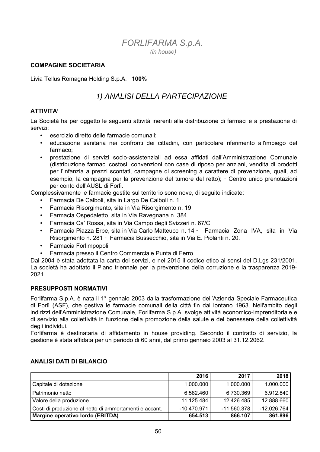### **FORLIFARMA S.p.A.**  $(in house)$

#### **COMPAGINE SOCIETARIA**

Livia Tellus Romagna Holding S.p.A. 100%

## 1) ANALISI DELLA PARTECIPAZIONE

#### **ATTIVITA'**

La Società ha per oggetto le seguenti attività inerenti alla distribuzione di farmaci e a prestazione di servizi<sup>-</sup>

- esercizio diretto delle farmacie comunali:
- · educazione sanitaria nei confronti dei cittadini, con particolare riferimento all'impiego del farmaco;
- prestazione di servizi socio-assistenziali ad essa affidati dall'Amministrazione Comunale (distribuzione farmaci costosi, convenzioni con case di riposo per anziani, vendita di prodotti per l'infanzia a prezzi scontati, campagne di screening a carattere di prevenzione, quali, ad esempio. la campagna per la prevenzione del tumore del retto): - Centro unico prenotazioni per conto dell'AUSL di Forlì.

Complessivamente le farmacie gestite sul territorio sono nove, di seguito indicate:

- Farmacia De Calboli, sita in Largo De Calboli n. 1
- Farmacia Risorgimento, sita in Via Risorgimento n. 19
- Farmacia Ospedaletto, sita in Via Ravegnana n. 384
- Farmacia Ca' Rossa, sita in Via Campo degli Svizzeri n. 67/C
- Farmacia Piazza Erbe, sita in Via Carlo Matteucci n. 14 Farmacia Zona IVA, sita in Via Risorgimento n. 281 - Farmacia Bussecchio, sita in Via E. Piolanti n. 20.
- Farmacia Forlimpopoli
- Farmacia presso il Centro Commerciale Punta di Ferro

Dal 2004 è stata adottata la carta dei servizi, e nel 2015 il codice etico ai sensi del D.Lqs 231/2001. La società ha adottato il Piano triennale per la prevenzione della corruzione e la trasparenza 2019- $2021.$ 

#### **PRESUPPOSTI NORMATIVI**

Forlifarma S.p.A. è nata il 1º gennaio 2003 dalla trasformazione dell'Azienda Speciale Farmaceutica di Forlì (ASF), che gestiva le farmacie comunali della città fin dal lontano 1963. Nell'ambito degli indirizzi dell'Amministrazione Comunale, Forlifarma S.p.A. svolge attività economico-imprenditoriale e di servizio alla collettività in funzione della promozione della salute e del benessere della collettività deali individui.

Forlifarma è destinataria di affidamento in house providing. Secondo il contratto di servizio, la gestione è stata affidata per un periodo di 60 anni, dal primo gennaio 2003 al 31.12.2062.

|                                                        | 2016          | 2017          | 2018        |
|--------------------------------------------------------|---------------|---------------|-------------|
| Capitale di dotazione                                  | 1.000.000     | 1.000.000     | 1.000.000   |
| Patrimonio netto                                       | 6.582.460     | 6.730.369     | 6.912.840   |
| Valore della produzione                                | 11.125.484    | 12.426.485    | 12.888.660  |
| Costi di produzione al netto di ammortamenti e accant. | $-10.470.971$ | $-11.560.378$ | -12.026.764 |
| Margine operativo lordo (EBITDA)                       | 654.513       | 866.107       | 861.896     |

#### **ANALISI DATI DI BILANCIO**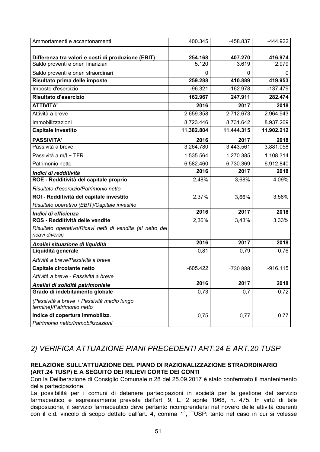| Ammortamenti e accantonamenti                                           | 400.345    | -458.837   | -444.922   |
|-------------------------------------------------------------------------|------------|------------|------------|
|                                                                         |            |            |            |
| Differenza tra valori e costi di produzione (EBIT)                      | 254.168    | 407.270    | 416.974    |
| Saldo proventi e oneri finanziari                                       | 5.120      | 3.619      | 2.979      |
| Saldo proventi e oneri straordinari                                     | 0          | 0          |            |
| Risultato prima delle imposte                                           | 259.288    | 410.889    | 419.953    |
| Imposte d'esercizio                                                     | $-96.321$  | $-162.978$ | $-137.479$ |
| Risultato d'esercizio                                                   | 162.967    | 247.911    | 282.474    |
| <b>ATTIVITA'</b>                                                        | 2016       | 2017       | 2018       |
| Attività a breve                                                        | 2.659.358  | 2.712.673  | 2.964.943  |
| Immobilizzazioni                                                        | 8.723.446  | 8.731.642  | 8.937.269  |
| Capitale investito                                                      | 11.382.804 | 11.444.315 | 11.902.212 |
| <b>PASSIVITA'</b>                                                       | 2016       | 2017       | 2018       |
| Passività a breve                                                       | 3.264.780  | 3.443.561  | 3.881.058  |
| Passività a m/l + TFR                                                   | 1.535.564  | 1.270.385  | 1.108.314  |
| Patrimonio netto                                                        | 6.582.460  | 6.730.369  | 6.912.840  |
| Indici di redditività                                                   | 2016       | 2017       | 2018       |
| ROE - Redditività del capitale proprio                                  | 2,48%      | 3,68%      | 4,09%      |
| Risultato d'esercizio/Patrimonio netto                                  |            |            |            |
| ROI - Redditività del capitale investito                                | 2,37%      | 3,66%      | 3,58%      |
| Risultato operativo (EBIT)/Capitale investito                           |            |            |            |
| Indici di efficienza                                                    | 2016       | 2017       | 2018       |
| ROS - Redditività delle vendite                                         | 2,36%      | 3,43%      | 3,33%      |
| Risultato operativo/Ricavi netti di vendita (al netto dei               |            |            |            |
| ricavi diversi)                                                         |            |            |            |
| Analisi situazione di liquidità                                         | 2016       | 2017       | 2018       |
| Liquidità generale                                                      | 0,81       | 0,79       | 0,76       |
| Attività a breve/Passività a breve                                      |            |            |            |
| Capitale circolante netto                                               | $-605.422$ | -730.888   | $-916.115$ |
| Attività a breve - Passività a breve                                    |            |            |            |
| Analisi di solidità patrimoniale                                        | 2016       | 2017       | 2018       |
| Grado di indebitamento globale                                          | 0,73       | 0,7        | 0,72       |
| (Passività a breve + Passività medio lungo<br>termine)/Patrimonio netto |            |            |            |
| Indice di copertura immobilizz.                                         | 0,75       | 0,77       | 0,77       |
| Patrimonio netto/Immobilizzazioni                                       |            |            |            |

### 2) VERIFICA ATTUAZIONE PIANI PRECEDENTI ART.24 E ART.20 TUSP

#### RELAZIONE SULL'ATTUAZIONE DEL PIANO DI RAZIONALIZZAZIONE STRAORDINARIO (ART.24 TUSP) E A SEGUITO DEI RILIEVI CORTE DEI CONTI

Con la Deliberazione di Consiglio Comunale n.28 del 25.09.2017 è stato confermato il mantenimento della partecipazione.

La possibilità per i comuni di detenere partecipazioni in società per la gestione del servizio farmaceutico è espressamente prevista dall'art. 9, L. 2 aprile 1968, n. 475. In virtù di tale disposizione, il servizio farmaceutico deve pertanto ricomprendersi nel novero delle attività coerenti con il c.d. vincolo di scopo dettato dall'art. 4, comma 1°, TUSP: tanto nel caso in cui si volesse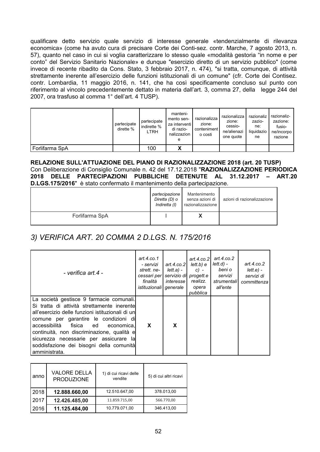qualificare detto servizio quale servizio di interesse generale «tendenzialmente di rilevanza economica» (come ha avuto cura di precisare Corte dei Conti-sez. contr. Marche, 7 agosto 2013, n. 57), quanto nel caso in cui si voglia caratterizzare lo stesso quale «modalità gestoria "in nome e per conto" del Servizio Sanitario Nazionale» e dunque "esercizio diretto di un servizio pubblico" (come invece di recente ribadito da Cons. Stato, 3 febbraio 2017, n. 474), "si tratta, comunque, di attività strettamente inerente all'esercizio delle funzioni istituzionali di un comune" (cfr. Corte dei Contisez. contr. Lombardia, 11 maggio 2016, n. 141, che ha così specificamente concluso sul punto con riferimento al vincolo precedentemente dettato in materia dall'art. 3, comma 27, della legge 244 del 2007, ora trasfuso al comma 1° dell'art. 4 TUSP).

|                | partecipate<br>dirette % | partecipate<br>indirette %<br>LTRH | manteni-<br>mento sen-<br>za interventi l<br>di razio-<br>nalizzazion<br>е | razionalizza<br>zione:<br>conteniment<br>o costi | razionalizza<br>zione:<br>cessio-<br>ne/alienazi<br>one quote | razionaliz<br>zazio-<br>ne:<br>liguidazio<br>ne | razionaliz-<br>zazione:<br>fusio-<br>ne/incorpo<br>razione |
|----------------|--------------------------|------------------------------------|----------------------------------------------------------------------------|--------------------------------------------------|---------------------------------------------------------------|-------------------------------------------------|------------------------------------------------------------|
| Forlifarma SpA |                          | 100                                | v<br>Λ                                                                     |                                                  |                                                               |                                                 |                                                            |

RELAZIONE SULL'ATTUAZIONE DEL PIANO DI RAZIONALIZZAZIONE 2018 (art. 20 TUSP) Con Deliberazione di Consiglio Comunale n. 42 del 17.12.2018 "RAZIONALIZZAZIONE PERIODICA 2018 DELLE PARTECIPAZIONI PUBBLICHE DETENUTE AL 31.12.2017 - ART.20 D.LGS.175/2016" è stato confermato il mantenimento della partecipazione.

|                | partecipazione<br>Diretta (D) o<br>Indiretta (I) | Mantenimento<br>senza azioni di<br>razionalizzazione | azioni di razionalizzazione |
|----------------|--------------------------------------------------|------------------------------------------------------|-----------------------------|
| Forlifarma SpA |                                                  |                                                      |                             |

## 3) VERIFICA ART. 20 COMMA 2 D.LGS. N. 175/2016

| - verifica art 4 -                                                                                                                                                                                                                                                                                                                                                                      | art.4.co.1<br>- servizi<br>strett, ne-<br>cessari per<br>finalità<br><i>istituzionali</i> generale | art.4. $co.2$<br>lett.a) -<br><i>interesse</i> l | lett.b) e<br>$c)$ -<br>servizio di progett.e<br>realizz.<br>opera<br>pubblica | $art.4.co.2$ art.4.co.2<br>lett.d) -<br>beni o<br>servizi<br>strumentali<br>all'ente | art.4. $co.2$<br>lett.e.<br>servizi di<br>committenza |
|-----------------------------------------------------------------------------------------------------------------------------------------------------------------------------------------------------------------------------------------------------------------------------------------------------------------------------------------------------------------------------------------|----------------------------------------------------------------------------------------------------|--------------------------------------------------|-------------------------------------------------------------------------------|--------------------------------------------------------------------------------------|-------------------------------------------------------|
| La società gestisce 9 farmacie comunali.<br>Si tratta di attività strettamente inerentel<br>all'esercizio delle funzioni istituzionali di un<br>comune per garantire le condizioni di<br>fisica ed<br>accessibilità<br>economica.l<br>continuità, non discriminazione, qualità e<br>sicurezza necessarie per assicurare la<br>soddisfazione dei bisogni della comunità<br>amministrata. | X                                                                                                  | X                                                |                                                                               |                                                                                      |                                                       |

| anno | <b>VALORE DELLA</b><br><b>PRODUZIONE</b> | 1) di cui ricavi delle<br>vendite | 5) di cui altri ricavi |
|------|------------------------------------------|-----------------------------------|------------------------|
| 2018 | 12.888.660,00                            | 12.510.647.00                     | 378.013.00             |
| 2017 | 12.426.485,00                            | 11.859.715,00                     | 566.770,00             |
| 2016 | 11.125.484,00                            | 10.779.071,00                     | 346.413.00             |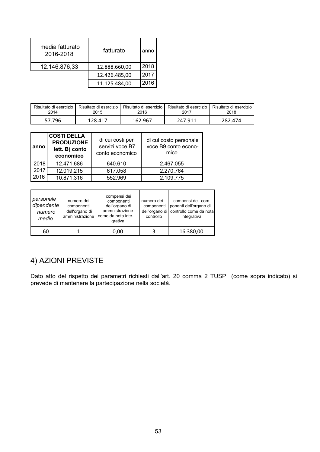| media fatturato<br>2016-2018 | fatturato     | anno |
|------------------------------|---------------|------|
| 12.146.876,33                | 12.888.660,00 | 2018 |
|                              | 12.426.485,00 | 2017 |
|                              | 11.125.484,00 | 2016 |

| Risultato di esercizio | Risultato di esercizio | Risultato di esercizio | Risultato di esercizio | Risultato di esercizio |
|------------------------|------------------------|------------------------|------------------------|------------------------|
| 2014                   | 2015                   | 2016                   | 2017                   | 2018                   |
| 57.796                 | 128.417                | 162.967                | 247.911                | 282.474                |

| anno | <b>COSTI DELLA</b><br><b>PRODUZIONE</b><br>lett. B) conto<br>economico | di cui costi per<br>servizi voce B7<br>conto economico | di cui costo personale<br>voce B9 conto econo-<br>mico |
|------|------------------------------------------------------------------------|--------------------------------------------------------|--------------------------------------------------------|
| 2018 | 12.471.686                                                             | 640.610                                                | 2.467.055                                              |
| 2017 | 12.019.215                                                             | 617.058                                                | 2.270.764                                              |
| 2016 | 10.871.316                                                             | 552.969                                                | 2.109.775                                              |

| personale<br>dipendente<br>numero<br>medio | numero dei<br>componenti<br>dell'organo di<br>amministrazione | compensi dei<br>componenti<br>dell'organo di<br>ammnistrazione<br>come da nota inte-<br>grativa | numero dei<br>componenti<br>controllo | compensi dei com-<br>ponenti dell'organo di<br>dell'organo di controllo come da nota<br>integrativa |
|--------------------------------------------|---------------------------------------------------------------|-------------------------------------------------------------------------------------------------|---------------------------------------|-----------------------------------------------------------------------------------------------------|
| 60                                         |                                                               | 0.00                                                                                            |                                       | 16.380,00                                                                                           |

# 4) AZIONI PREVISTE

Dato atto del rispetto dei parametri richiesti dall'art. 20 comma 2 TUSP (come sopra indicato) si prevede di mantenere la partecipazione nella società.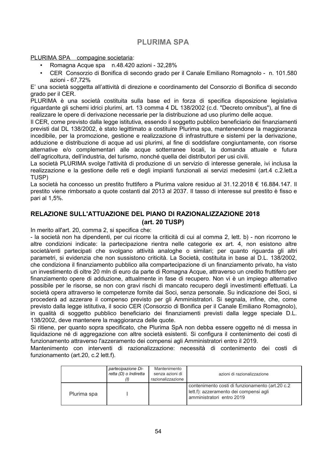### **PLURIMA SPA**

#### PLURIMA SPA compagine societaria:

- Romagna Acque spa n.48.420 azioni 32,28%
- CER Consorzio di Bonifica di secondo grado per il Canale Emiliano Romagnolo n. 101.580 azioni - 67.72%

E' una società soggetta all'attività di direzione e coordinamento del Consorzio di Bonifica di secondo grado per il CER.

PLURIMA è una società costituita sulla base ed in forza di specifica disposizione legislativa riguardante gli schemi idrici plurimi, art. 13 comma 4 DL 138/2002 (c.d. "Decreto omnibus"), al fine di realizzare le opere di derivazione necessarie per la distribuzione ad uso plurimo delle acque.

Il CER, come previsto dalla legge istitutiva, essendo il soggetto pubblico beneficiario dei finanziamenti previsti dal DL 138/2002, è stato legittimato a costituire Plurima spa, mantenendone la maggioranza incedibile, per la promozione, gestione e realizzazione di infrastrutture e sistemi per la derivazione, adduzione e distribuzione di acque ad usi plurimi, al fine di soddisfare congiuntamente, con risorse alternative e/o complementari alle acque sotterranee locali, la domanda attuale e futura dell'agricoltura, dell'industria, del turismo, nonché quella dei distributori per usi civili.

La società PLURIMA svolge l'attività di produzione di un servizio di interesse generale, ivi inclusa la realizzazione e la gestione delle reti e degli impianti funzionali ai servizi medesimi (art.4 c.2. lett. a TUSP)

La società ha concesso un prestito fruttifero a Plurima valore residuo al 31.12.2018 € 16.884.147. Il prestito viene rimborsato a quote costanti dal 2013 al 2037. Il tasso di interesse sul prestito è fisso e pari al 1.5%.

#### RELAZIONE SULL'ATTUAZIONE DEL PIANO DI RAZIONALIZZAZIONE 2018 (art. 20 TUSP)

In merito all'art. 20, comma 2, si specifica che:

- la società non ha dipendenti, per cui ricorre la criticità di cui al comma 2, lett. b) - non ricorrono le altre condizioni indicate: la partecipazione rientra nelle categorie ex art. 4, non esistono altre società/enti partecipati che svolgano attività analoghe o similari; per quanto riguarda gli altri parametri, si evidenzia che non sussistono criticità. La Società, costituita in base al D.L. 138/2002, che condiziona il finanziamento pubblico alla compartecipazione di un finanziamento privato, ha visto un investimento di oltre 20 mln di euro da parte di Romagna Acque, attraverso un credito fruttifero per finanziamento opere di adduzione, attualmente in fase di recupero. Non vi è un impiego alternativo possibile per le risorse, se non con gravi rischi di mancato recupero degli investimenti effettuati. La società opera attraverso le competenze fornite dai Soci, senza personale. Su indicazione dei Soci, si procederà ad azzerare il compenso previsto per gli Amministratori. Si segnala, infine, che, come previsto dalla legge istitutiva, il socio CER (Consorzio di Bonifica per il Canale Emiliano Romagnolo), in qualità di soggetto pubblico beneficiario dei finanziamenti previsti dalla legge speciale D.L. 138/2002, deve mantenere la maggioranza delle quote.

Si ritiene, per quanto sopra specificato, che Plurima SpA non debba essere oggetto né di messa in liquidazione né di aggregazione con altre società esistenti. Si configura il contenimento dei costi di funzionamento attraverso l'azzeramento dei compensi agli Amministratori entro il 2019.

Mantenimento con interventi di razionalizzazione: necessità di contenimento dei costi di funzionamento (art.20, c.2 lett.f).

|             | partecipazione Di-<br>retta (D) o Indiretta | Mantenimento<br>senza azioni di<br>razionalizzazione | azioni di razionalizzazione                                                                                             |
|-------------|---------------------------------------------|------------------------------------------------------|-------------------------------------------------------------------------------------------------------------------------|
| Plurima spa |                                             |                                                      | contenimento costi di funzionamento (art.20 c.2)<br>lett.f): azzeramento dei compensi agli<br>amministratori entro 2019 |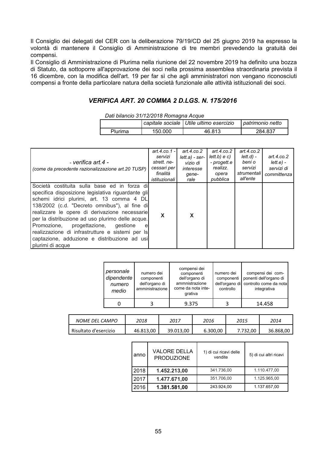Il Consiglio dei delegati del CER con la deliberazione 79/19/CD del 25 giugno 2019 ha espresso la volontà di mantenere il Consiglio di Amministrazione di tre membri prevedendo la gratuità dei compensi.

Il Consiglio di Amministrazione di Plurima nella riunione del 22 novembre 2019 ha definito una bozza di Statuto, da sottoporre all'approvazione dei soci nella prossima assemblea straordinaria prevista il 16 dicembre, con la modifica dell'art. 19 per far sì che agli amministratori non vengano riconosciuti compensi a fronte della particolare natura della società funzionale alle attività istituzionali dei soci.

#### VERIFICA ART. 20 COMMA 2 D.LGS. N. 175/2016

Dati bilancio 31/12/2018 Romagna Acque

|         |         | capitale sociale   Utile ultimo esercizio | patrimonio netto |  |  |
|---------|---------|-------------------------------------------|------------------|--|--|
| Plurima | 150.000 | 46.813                                    | 284.837          |  |  |

| - verifica art.4 -<br>(come da precedente razionalizzazione art. 20 TUSP)                                                                                                                                                                                                                                                                                                                                                                                                       | art.4.co.1 -<br>servizi<br>strett, ne-<br>cessari per<br>finalità<br><i>istituzionali</i> | art. $4$ .co. $2$<br>$lett.a) - ser-$<br>vizio di<br>interesse<br>qene-<br>rale | art. $4$ .co.2<br>lett.b) e c)<br>- progett.e<br>realizz.<br>opera<br>pubblica | art. $4$ .co.2<br>lett.d) -<br>beni o<br>servizi<br>strumentali<br>all'ente | art.4. $co.2$<br>lett.e.<br>servizi di<br>committenza |
|---------------------------------------------------------------------------------------------------------------------------------------------------------------------------------------------------------------------------------------------------------------------------------------------------------------------------------------------------------------------------------------------------------------------------------------------------------------------------------|-------------------------------------------------------------------------------------------|---------------------------------------------------------------------------------|--------------------------------------------------------------------------------|-----------------------------------------------------------------------------|-------------------------------------------------------|
| Società costituita sulla base ed in forza di<br>specifica disposizione legislativa riguardante gli<br>schemi idrici plurimi, art. 13 comma 4 DL<br>138/2002 (c.d. "Decreto omnibus"), al fine di<br>realizzare le opere di derivazione necessarie<br>per la distribuzione ad uso plurimo delle acque.<br>progettazione,<br>Promozione,<br>qestione<br>e<br>realizzazione di infrastrutture e sistemi per Is<br>captazione, adduzione e distribuzione ad usi<br>plurimi di acque | X                                                                                         | X                                                                               |                                                                                |                                                                             |                                                       |

| personale<br>dipendente<br>numero<br>medio | numero dei<br>componenti<br>dell'organo di<br>amministrazione | compensi dei<br>componenti<br>dell'organo di<br>ammnistrazione<br>come da nota inte-<br>grativa | numero dei<br>componenti<br>dell'organo di<br>controllo | compensi dei com-<br>ponenti dell'organo di<br>controllo come da nota<br>integrativa |
|--------------------------------------------|---------------------------------------------------------------|-------------------------------------------------------------------------------------------------|---------------------------------------------------------|--------------------------------------------------------------------------------------|
|                                            |                                                               | 9.375                                                                                           |                                                         | 14.458                                                                               |

| NOME DEL CAMPO        | 2018      | 2017      | 2016     | 2015     | 2014      |
|-----------------------|-----------|-----------|----------|----------|-----------|
| Risultato d'esercizio | 46.813,00 | 39.013,00 | 6.300,00 | 7.732.00 | 36.868,00 |

| anno | <b>VALORE DELLA</b><br><b>PRODUZIONE</b> | 1) di cui ricavi delle<br>vendite | 5) di cui altri ricavi |
|------|------------------------------------------|-----------------------------------|------------------------|
| 2018 | 1.452.213,00                             | 341.736,00                        | 1.110.477.00           |
| 2017 | 1.477.671,00                             | 351.706,00                        | 1.125.965.00           |
| 2016 | 1.381.581,00                             | 243.924.00                        | 1.137.657,00           |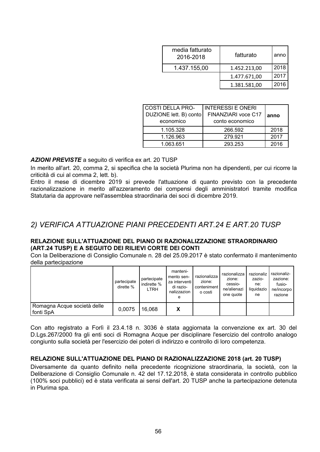| media fatturato<br>2016-2018 | fatturato    | anno |
|------------------------------|--------------|------|
| 1.437.155,00                 | 1.452.213,00 | 2018 |
|                              | 1.477.671,00 | 2017 |
|                              | 1.381.581,00 | 2016 |

| <b>COSTI DELLA PRO-</b><br>DUZIONE lett. B) conto<br>economico | <b>INTERESSI E ONERI</b><br>FINANZIARI voce C17<br>conto economico | anno |
|----------------------------------------------------------------|--------------------------------------------------------------------|------|
| 1.105.328                                                      | 266.592                                                            | 2018 |
| 1.126.963                                                      | 279.921                                                            | 2017 |
| 1.063.651                                                      | 293.253                                                            | 2016 |

**AZIONI PREVISTE** a seguito di verifica ex art. 20 TUSP

In merito all'art. 20, comma 2, si specifica che la società Plurima non ha dipendenti, per cui ricorre la criticità di cui al comma 2, lett. b).

Entro il mese di dicembre 2019 si prevede l'attuazione di quanto previsto con la precedente razionalizzazione in merito all'azzeramento dei compensi degli amministratori tramite modifica Statutaria da approvare nell'assemblea straordinaria dei soci di dicembre 2019.

### 2) VERIFICA ATTUAZIONE PIANI PRECEDENTI ART.24 E ART.20 TUSP

#### RELAZIONE SULL'ATTUAZIONE DEL PIANO DI RAZIONALIZZAZIONE STRAORDINARIO (ART.24 TUSP) E A SEGUITO DEI RILIEVI CORTE DEI CONTI

Con la Deliberazione di Consiglio Comunale n. 28 del 25.09.2017 è stato confermato il mantenimento della partecipazione

|                                          | partecipate<br>dirette % | partecipate<br>I indirette %<br>LTRH | manteni-<br>mento sen-<br>za interventi l<br>di razio-<br>nalizzazion<br>е | razionalizza<br>zione:<br>conteniment<br>o costi | razionalizza<br>zione:<br>cessio-<br>ne/alienazi<br>one quote | razionaliz<br>zazio-<br>ne:<br>liguidazio<br>ne | razionaliz-<br>zazione:<br>fusio-<br>ne/incorpo<br>razione |
|------------------------------------------|--------------------------|--------------------------------------|----------------------------------------------------------------------------|--------------------------------------------------|---------------------------------------------------------------|-------------------------------------------------|------------------------------------------------------------|
| Romagna Acque società delle<br>fonti SpA | 0.0075                   | 16,068                               | х                                                                          |                                                  |                                                               |                                                 |                                                            |

Con atto registrato a Forlì il 23.4.18 n. 3036 è stata aggiornata la convenzione ex art. 30 del D.Lgs.267/2000 fra gli enti soci di Romagna Acque per disciplinare l'esercizio del controllo analogo congiunto sulla società per l'esercizio dei poteri di indirizzo e controllo di loro competenza.

#### RELAZIONE SULL'ATTUAZIONE DEL PIANO DI RAZIONALIZZAZIONE 2018 (art. 20 TUSP)

Diversamente da quanto definito nella precedente ricognizione straordinaria, la società, con la Deliberazione di Consiglio Comunale n. 42 del 17.12.2018, è stata considerata in controllo pubblico (100% soci pubblici) ed è stata verificata ai sensi dell'art. 20 TUSP anche la partecipazione detenuta in Plurima spa.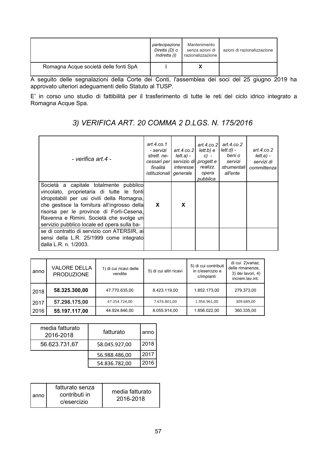|                                       | partecipazione<br>Diretta (D) o<br>Indiretta (I) | Mantenimento<br>senza azioni di<br>razionalizzazione | azioni di razionalizzazione |
|---------------------------------------|--------------------------------------------------|------------------------------------------------------|-----------------------------|
| Romagna Acque società delle fonti SpA |                                                  |                                                      |                             |

A seguito delle segnalazioni della Corte dei Conti, l'assemblea dei soci del 25 giugno 2019 ha approvato ulteriori adeguamenti dello Statuto al TUSP.

E' in corso uno studio di fattibilità per il trasferimento di tutte le reti del ciclo idrico integrato a Romagna Acque Spa.

# 3) VERIFICA ART. 20 COMMA 2 D.LGS. N. 175/2016

| - verifica art.4 -                                                                                                                                                                                                                                                                                                      | art.4.co.1<br>- servizi<br>strett, ne-<br>cessari per<br>finalità<br><i>istituzionali</i>   <i>generale</i> | art.4. $co.2$<br><i>lett.a</i> ) - 1<br><i>interesse</i> l | art.4. $co.21$<br>lett.b) e<br>$C$ ) –<br>servizio di progett.e<br>realizz.<br>opera<br>pubblica | art. $4$ .co.2<br>lett.d) -<br>beni o<br>servizi<br>strumentali<br>all'ente | art. $4$ .co.2<br>lett.e.<br>servizi di<br>committenza |
|-------------------------------------------------------------------------------------------------------------------------------------------------------------------------------------------------------------------------------------------------------------------------------------------------------------------------|-------------------------------------------------------------------------------------------------------------|------------------------------------------------------------|--------------------------------------------------------------------------------------------------|-----------------------------------------------------------------------------|--------------------------------------------------------|
| Società a capitale totalmente pubblico<br>vincolato, proprietaria di tutte le fonti<br>idropotabili per usi civili della Romagna,<br>che gestisce la fornitura all'ingrosso della<br>risorsa per le province di Forlì-Cesena,<br>Ravenna e Rimini. Società che svolge un<br>servizio pubblico locale ed opera sulla ba- | X                                                                                                           | X                                                          |                                                                                                  |                                                                             |                                                        |
| se di contratto di servizio con ATERSIR, ai<br>sensi della L.R. 25/1999 come integrato<br>dalla L.R. n. 1/2003.                                                                                                                                                                                                         |                                                                                                             |                                                            |                                                                                                  |                                                                             |                                                        |

| anno | <b>VALORE DELLA</b><br><b>PRODUZIONE</b> | 1) di cui ricavi delle<br>vendite | 5) di cui altri ricavi | 5) di cui contributi<br>in c/esercizio e<br>c/impianti | di cui 2) variaz.<br>delle rimanenze,<br>3) dei lavori, 4)<br>increm.lav.int. |
|------|------------------------------------------|-----------------------------------|------------------------|--------------------------------------------------------|-------------------------------------------------------------------------------|
| 2018 | 58.325.300,00                            | 47.770.635,00                     | 8.423.119.00           | 1.852.173.00                                           | 279.373,00                                                                    |
| 2017 | 57.298.175,00                            | 47.354.724.00                     | 7.676.801,00           | 1.956.961,00                                           | 309.689,00                                                                    |
| 2016 | 55.197.117,00                            | 44.924.846,00                     | 8.055.914,00           | 1.856.022.00                                           | 360.335,00                                                                    |

| media fatturato<br>2016-2018 | fatturato     | anno |
|------------------------------|---------------|------|
| 56.623.731,67                | 58.045.927,00 | 2018 |
|                              | 56.988.486,00 | 2017 |
|                              | 54.836.782,00 | 2016 |

| anno. | fatturato senza<br>contributi in<br>c/esercizio | media fatturato<br>2016-2018 |
|-------|-------------------------------------------------|------------------------------|
|-------|-------------------------------------------------|------------------------------|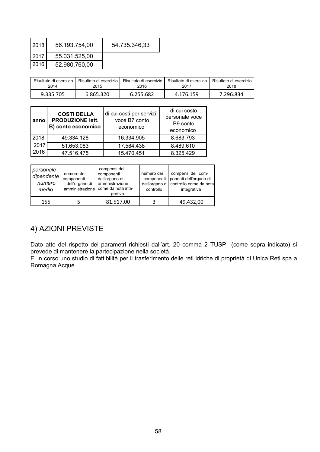| 2018 | 56.193.754,00 | 54.735.346,33 |
|------|---------------|---------------|
| 2017 | 55.031.525,00 |               |
| 2016 | 52.980.760,00 |               |

| Risultato di esercizio I | Risultato di esercizio I | Risultato di esercizio | Risultato di esercizio I | Risultato di esercizio |
|--------------------------|--------------------------|------------------------|--------------------------|------------------------|
| 2014                     | 2015                     | 2016                   | 2017                     | 2018                   |
| 9.335.705                | 6.865.320                | 6.255.682              | 4.176.159                | 7.296.834              |

| anno | <b>COSTI DELLA</b><br><b>PRODUZIONE lett.</b><br>B) conto economico | di cui costi per servizi<br>voce B7 conto<br>economico | di cui costo<br>personale voce<br>B9 conto<br>economico |
|------|---------------------------------------------------------------------|--------------------------------------------------------|---------------------------------------------------------|
| 2018 | 49.334.128                                                          | 16.334.905                                             | 8.683.793                                               |
| 2017 | 51.653.083                                                          | 17.584.438                                             | 8.489.610                                               |
| 2016 | 47.516.475                                                          | 15.470.451                                             | 8.325.429                                               |

| personale<br>dipendente<br>numero<br>medio | numero dei<br>componenti<br>dell'organo di<br>amministrazione | compensi dei<br>componenti<br>dell'organo di<br>ammnistrazione<br>come da nota inte-<br>grativa | numero dei<br>componenti<br>controllo | compensi dei com-<br>ponenti dell'organo di<br>dell'organo di controllo come da nota<br>integrativa |
|--------------------------------------------|---------------------------------------------------------------|-------------------------------------------------------------------------------------------------|---------------------------------------|-----------------------------------------------------------------------------------------------------|
| 155                                        |                                                               | 81.517,00                                                                                       |                                       | 49.432,00                                                                                           |

# 4) AZIONI PREVISTE

Dato atto del rispetto dei parametri richiesti dall'art. 20 comma 2 TUSP (come sopra indicato) si prevede di mantenere la partecipazione nella società.

E' in corso uno studio di fattibilità per il trasferimento delle reti idriche di proprietà di Unica Reti spa a Romagna Acque.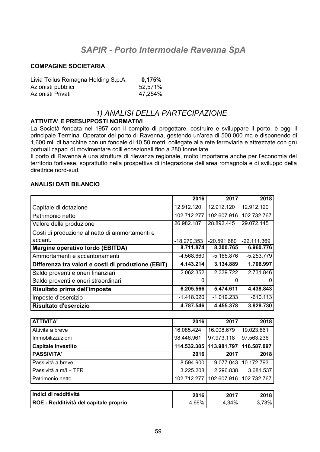# **SAPIR - Porto Intermodale Ravenna SpA**

#### **COMPAGINE SOCIETARIA**

| Livia Tellus Romagna Holding S.p.A. | 0.175%  |
|-------------------------------------|---------|
| Azionisti pubblici                  | 52,571% |
| Azionisti Privati                   | 47,254% |

#### 1) ANALISI DELLA PARTECIPAZIONE

#### **ATTIVITA' E PRESUPPOSTI NORMATIVI**

La Società fondata nel 1957 con il compito di progettare, costruire e sviluppare il porto, è oggi il principale Terminal Operator del porto di Ravenna, gestendo un'area di 500.000 mq e disponendo di 1,600 ml. di banchine con un fondale di 10,50 metri, collegate alla rete ferroviaria e attrezzate con gru portuali capaci di movimentare colli eccezionali fino a 280 tonnellate.

Il porto di Ravenna è una struttura di rilevanza regionale, molto importante anche per l'economia del territorio forlivese, soprattutto nella prospettiva di integrazione dell'area romagnola e di sviluppo della direttrice nord-sud.

#### **ANALISI DATI BILANCIO**

|                                                    | 2016          | 2017          | 2018          |
|----------------------------------------------------|---------------|---------------|---------------|
| Capitale di dotazione                              | 12.912.120    | 12.912.120    | 12.912.120    |
| Patrimonio netto                                   | 102.712.277   | 102.607.916   | 102.732.767   |
| Valore della produzione                            | 26.982.187    | 28.892.445    | 29.072.145    |
| Costi di produzione al netto di ammortamenti e     |               |               |               |
| accant.                                            | $-18.270.353$ | $-20.591.680$ | $-22.111.369$ |
| Margine operativo lordo (EBITDA)                   | 8.711.874     | 8.300.765     | 6.960.776     |
| Ammortamenti e accantonamenti                      | $-4.568.660$  | $-5.165.876$  | $-5.253.779$  |
| Differenza tra valori e costi di produzione (EBIT) | 4.143.214     | 3.134.889     | 1.706.997     |
| Saldo proventi e oneri finanziari                  | 2.062.352     | 2.339.722     | 2.731.846     |
| Saldo proventi e oneri straordinari                |               |               | 0             |
| Risultato prima dell'imposte                       | 6.205.566     | 5.474.611     | 4.438.843     |
| Imposte d'esercizio                                | $-1.418.020$  | $-1.019.233$  | $-610.113$    |
| Risultato d'esercizio                              | 4.787.546     | 4.455.378     | 3.828.730     |

| 16.085.424 |            |                                                                      |
|------------|------------|----------------------------------------------------------------------|
|            | 16.008.679 | 19.023.861                                                           |
| 98.446.961 | 97.973.118 | 97.563.236                                                           |
|            |            |                                                                      |
| 2016       | 2017       | 2018                                                                 |
| 8.594.900  | 9.077.043  | 10.172.793                                                           |
| 3.225.208  | 2.296.838  | 3.681.537                                                            |
|            |            | 102.732.767                                                          |
|            |            | 114.532.385   113.981.797   116.587.097<br>102.712.277   102.607.916 |

| Indici di redditività                  | 2016  | 2017  | 2018 l |
|----------------------------------------|-------|-------|--------|
| ROE - Redditività del capitale proprio | 4.66% | 4.34% | 73% .  |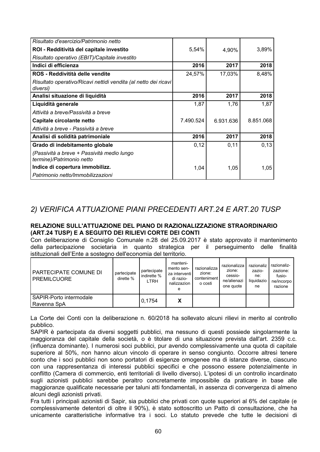| Risultato d'esercizio/Patrimonio netto                           |           |           |           |
|------------------------------------------------------------------|-----------|-----------|-----------|
| ROI - Redditività del capitale investito                         | 5,54%     | 4,90%     | 3,89%     |
| Risultato operativo (EBIT)/Capitale investito                    |           |           |           |
| Indici di efficienza                                             | 2016      | 2017      | 2018      |
| ROS - Reddivitità delle vendite                                  | 24,57%    | 17,03%    | 8,48%     |
| Risultato operativo/Ricavi nettidi vendita (al netto dei ricavi) |           |           |           |
| diversi)                                                         |           |           |           |
| Analisi situazione di liquidità                                  | 2016      | 2017      | 2018      |
| Liquidità generale                                               | 1,87      | 1,76      | 1,87      |
| Attività a breve/Passività a breve                               |           |           |           |
| Capitale circolante netto                                        | 7.490.524 | 6.931.636 | 8.851.068 |
| Attività a breve - Passività a breve                             |           |           |           |
| Analisi di solidità patrimoniale                                 | 2016      | 2017      | 2018      |
| Grado di indebitamento globale                                   | 0,12      | 0,11      | 0,13      |
| (Passività a breve + Passività medio lungo                       |           |           |           |
| termine)/Patrimonio netto                                        |           |           |           |
| Indice di copertura immobilizz.                                  | 1,04      | 1,05      | 1,05      |
| Patrimonio netto/Immobilizzazioni                                |           |           |           |

## 2) VERIFICA ATTUAZIONE PIANI PRECEDENTI ART.24 E ART.20 TUSP

#### RELAZIONE SULL'ATTUAZIONE DEL PIANO DI RAZIONALIZZAZIONE STRAORDINARIO (ART.24 TUSP) E A SEGUITO DEI RILIEVI CORTE DEI CONTI

Con deliberazione di Consiglio Comunale n.28 del 25.09.2017 è stato approvato il mantenimento della partecipazione societaria in quanto strategica per il perseguimento delle finalità istituzionali dell'Ente a sostegno dell'economia del territorio.

| PARTECIPATE COMUNE DI<br><b>PREMILCUORE</b> | partecipate<br>dirette % | partecipate<br>indirette %<br>LTRH | manteni-<br>mento sen-<br>za interventi l<br>di razio-<br>nalizzazion<br>е | razionalizza<br>zione:<br>conteniment<br>o costi | razionalizza<br>zione:<br>cessio-<br>ne/alienazi<br>one quote | razionaliz<br>zazio-<br>ne:<br>liguidazio<br>ne | razionaliz-<br>zazione:<br>fusio-<br>ne/incorpo<br>razione |
|---------------------------------------------|--------------------------|------------------------------------|----------------------------------------------------------------------------|--------------------------------------------------|---------------------------------------------------------------|-------------------------------------------------|------------------------------------------------------------|
| SAPIR-Porto intermodale<br>Ravenna SpA      |                          | 0.1754                             | x                                                                          |                                                  |                                                               |                                                 |                                                            |

La Corte dei Conti con la deliberazione n. 60/2018 ha sollevato alcuni rilievi in merito al controllo pubblico.

SAPIR è partecipata da diversi soggetti pubblici, ma nessuno di questi possiede singolarmente la maggioranza del capitale della società, o è titolare di una situazione prevista dall'art. 2359 c.c. (influenza dominante). I numerosi soci pubblici, pur avendo complessivamente una quota di capitale superiore al 50%, non hanno alcun vincolo di operare in senso congiunto. Occorre altresì tenere conto che i soci pubblici non sono portatori di esigenze omogenee ma di istanze diverse, ciascuno con una rappresentanza di interessi pubblici specifici e che possono essere potenzialmente in conflitto (Camera di commercio, enti territoriali di livello diverso). L'ipotesi di un controllo incardinato sugli azionisti pubblici sarebbe peraltro concretamente impossibile da praticare in base alle maggioranze qualificate necessarie per taluni atti fondamentali, in assenza di convergenza di almeno alcuni degli azionisti privati.

Fra tutti i principali azionisti di Sapir, sia pubblici che privati con quote superiori al 6% del capitale (e complessivamente detentori di oltre il 90%), è stato sottoscritto un Patto di consultazione, che ha unicamente caratteristiche informative tra i soci. Lo statuto prevede che tutte le decisioni di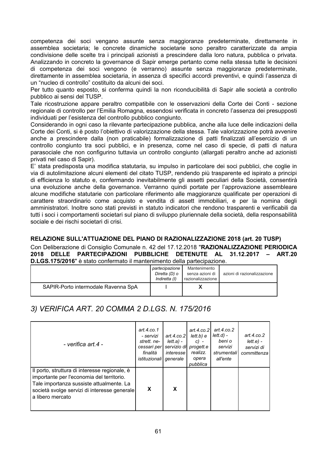competenza dei soci vengano assunte senza maggioranze predeterminate, direttamente in assemblea societaria; le concrete dinamiche societarie sono peraltro caratterizzate da ampia condivisione delle scelte tra i principali azionisti a prescindere dalla loro natura, pubblica o privata. Analizzando in concreto la governance di Sapir emerge pertanto come nella stessa tutte le decisioni di competenza dei soci vengono (e verranno) assunte senza maggioranze predeterminate. direttamente in assemblea societaria, in assenza di specifici accordi preventivi, e quindi l'assenza di un "nucleo di controllo" costituito da alcuni dei soci.

Per tutto quanto esposto, si conferma quindi la non riconducibilità di Sapir alle società a controllo pubblico ai sensi del TUSP.

Tale ricostruzione appare peraltro compatibile con le osservazioni della Corte dei Conti - sezione regionale di controllo per l'Emilia Romagna, essendosi verificata in concreto l'assenza dei presupposti individuati per l'esistenza del controllo pubblico congiunto.

Considerando in ogni caso la rilevante partecipazione pubblica, anche alla luce delle indicazioni della Corte dei Conti, si è posto l'obiettivo di valorizzazione della stessa. Tale valorizzazione potrà avvenire anche a prescindere dalla (non praticabile) formalizzazione di patti finalizzati all'esercizio di un controllo congiunto tra soci pubblici, e in presenza, come nel caso di specie, di patti di natura parasociale che non configurino tuttavia un controllo congiunto (allargati peraltro anche ad azionisti privati nel caso di Sapir).

E' stata predisposta una modifica statutaria, su impulso in particolare dei soci pubblici, che coglie in via di autolimitazione alcuni elementi del citato TUSP, rendendo più trasparente ed ispirato a principi di efficienza lo statuto e, confermando inevitabilmente gli assetti peculiari della Società, consentirà una evoluzione anche della governance. Verranno quindi portate per l'approvazione assembleare alcune modifiche statutarie con particolare riferimento alle maggioranze qualificate per operazioni di carattere straordinario come acquisto e vendita di assett immobiliari, e per la nomina degli amministratori. Inoltre sono stati previsti in statuto indicatori che rendono trasparenti e verificabili da tutti i soci i comportamenti societari sul piano di sviluppo pluriennale della società, della responsabilità sociale e dei rischi societari di crisi.

#### RELAZIONE SULL'ATTUAZIONE DEL PIANO DI RAZIONALIZZAZIONE 2018 (art. 20 TUSP)

Con Deliberazione di Consiglio Comunale n. 42 del 17.12.2018 "RAZIONALIZZAZIONE PERIODICA 2018 DELLE PARTECIPAZIONI PUBBLICHE DETENUTE AL 31.12.2017 - ART.20 D.LGS.175/2016" è stato confermato il mantenimento della partecipazione.

|                                     | partecipazione<br>Diretta (D) o<br>Indiretta (I) | Mantenimento<br>senza azioni di<br>razionalizzazione | azioni di razionalizzazione |
|-------------------------------------|--------------------------------------------------|------------------------------------------------------|-----------------------------|
| SAPIR-Porto intermodale Ravenna SpA |                                                  |                                                      |                             |

3) VERIFICA ART. 20 COMMA 2 D.LGS. N. 175/2016

| - verifica art.4 -                                                                                                                                                                                         | art.4.co.1<br>- servizi<br>strett, ne-<br>cessari per<br>finalità<br>istituzionali | art.4. $co.21$<br>lett.a) -<br>servizio di<br>interesse<br>generale | art.4. $co.21$<br>lett.b) e<br>$c) -$<br>progett.e<br>realizz.<br>opera<br>pubblica | art.4.co.2<br>$lett.d$ ) -<br>beni o<br>servizi<br>strumentali<br>all'ente | art.4. $co.2$<br>$lette) -$<br>servizi di<br>committenza |
|------------------------------------------------------------------------------------------------------------------------------------------------------------------------------------------------------------|------------------------------------------------------------------------------------|---------------------------------------------------------------------|-------------------------------------------------------------------------------------|----------------------------------------------------------------------------|----------------------------------------------------------|
| Il porto, struttura di interesse regionale, è<br>importante per l'economia del territorio.<br>Tale importanza sussiste attualmente. La<br>società svolge servizi di interesse generale<br>a libero mercato | X                                                                                  | X                                                                   |                                                                                     |                                                                            |                                                          |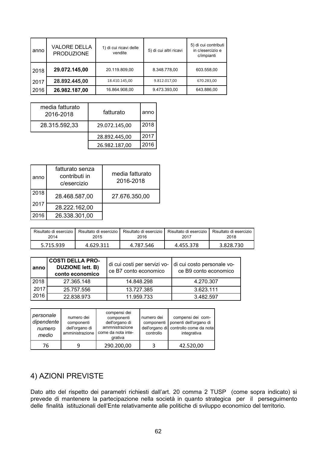| anno | <b>VALORE DELLA</b><br><b>PRODUZIONE</b> | 1) di cui ricavi delle<br>vendite | 5) di cui altri ricavi | 5) di cui contributi<br>in c/esercizio e<br>c/impianti |
|------|------------------------------------------|-----------------------------------|------------------------|--------------------------------------------------------|
| 2018 | 29.072.145,00                            | 20.119.809,00                     | 8.348.778,00           | 603.558,00                                             |
| 2017 | 28.892.445,00                            | 18.410.145,00                     | 9.812.017,00           | 670.283,00                                             |
| 2016 | 26.982.187,00                            | 16.864.908.00                     | 9.473.393,00           | 643.886,00                                             |

| media fatturato<br>2016-2018 | fatturato     | anno |
|------------------------------|---------------|------|
| 28.315.592,33                | 29.072.145,00 | 2018 |
|                              | 28.892.445,00 | 2017 |
|                              | 26.982.187,00 | 2016 |

| anno | fatturato senza<br>contributi in<br>c/esercizio | media fatturato<br>2016-2018 |
|------|-------------------------------------------------|------------------------------|
| 2018 | 28.468.587,00                                   | 27.676.350,00                |
| 2017 | 28.222.162,00                                   |                              |
| 2016 | 26.338.301,00                                   |                              |

| Risultato di esercizio i | Risultato di esercizio | Risultato di esercizio | Risultato di esercizio | Risultato di esercizio |
|--------------------------|------------------------|------------------------|------------------------|------------------------|
| 2014                     | 2015                   | 2016                   | 2017                   | 2018                   |
| 5.715.939                | 4.629.311              | 4.787.546              | 4.455.378              | 3.828.730              |

| anno | <b>COSTI DELLA PRO-</b><br><b>DUZIONE lett. B)</b><br>conto economico | di cui costi per servizi vo-<br>ce B7 conto economico | di cui costo personale vo-<br>ce B9 conto economico |
|------|-----------------------------------------------------------------------|-------------------------------------------------------|-----------------------------------------------------|
| 2018 | 27.365.148                                                            | 14.848.298                                            | 4.270.307                                           |
| 2017 | 25.757.556                                                            | 13.727.385                                            | 3.623.111                                           |
| 2016 | 22.838.973                                                            | 11.959.733                                            | 3.482.597                                           |

| personale<br>dipendente<br>numero<br>medio | numero dei<br>componenti<br>dell'organo di<br>amministrazione | compensi dei<br>componenti<br>dell'organo di<br>ammnistrazione<br>come da nota inte-<br>grativa | numero dei<br>componenti<br>controllo | compensi dei com-<br>ponenti dell'organo di<br>dell'organo di controllo come da nota<br>integrativa |
|--------------------------------------------|---------------------------------------------------------------|-------------------------------------------------------------------------------------------------|---------------------------------------|-----------------------------------------------------------------------------------------------------|
| 76                                         |                                                               | 290.200,00                                                                                      |                                       | 42.520,00                                                                                           |

## 4) AZIONI PREVISTE

Dato atto del rispetto dei parametri richiesti dall'art. 20 comma 2 TUSP (come sopra indicato) si prevede di mantenere la partecipazione nella società in quanto strategica per il perseguimento delle finalità istituzionali dell'Ente relativamente alle politiche di sviluppo economico del territorio.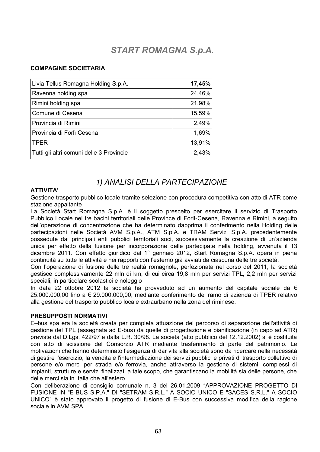# **START ROMAGNA S.p.A.**

#### **COMPAGINE SOCIETARIA**

| Livia Tellus Romagna Holding S.p.A.      | 17,45% |
|------------------------------------------|--------|
| Ravenna holding spa                      | 24,46% |
| Rimini holding spa                       | 21,98% |
| Comune di Cesena                         | 15,59% |
| Provincia di Rimini                      | 2,49%  |
| Provincia di Forlì Cesena                | 1,69%  |
| <b>TPER</b>                              | 13,91% |
| Tutti gli altri comuni delle 3 Provincie | 2,43%  |

### 1) ANALISI DELLA PARTECIPAZIONE

#### **ATTIVITA'**

Gestione trasporto pubblico locale tramite selezione con procedura competitiva con atto di ATR come stazione appaltante

La Società Start Romagna S.p.A. è il soggetto prescelto per esercitare il servizio di Trasporto Pubblico Locale nei tre bacini territoriali delle Province di Forlì-Cesena, Ravenna e Rimini, a seguito dell'operazione di concentrazione che ha determinato dapprima il conferimento nella Holding delle partecipazioni nelle Società AVM S.p.A., ATM S.p.A. e TRAM Servizi S.p.A. precedentemente possedute dai principali enti pubblici territoriali soci, successivamente la creazione di un'azienda unica per effetto della fusione per incorporazione delle partecipate nella holding, avvenuta il 13 dicembre 2011. Con effetto giuridico dal 1º gennaio 2012, Start Romagna S.p.A. opera in piena continuità su tutte le attività e nei rapporti con l'esterno già avviati da ciascuna delle tre società.

Con l'operazione di fusione delle tre realtà romagnole, perfezionata nel corso del 2011, la società gestisce complessivamente 22 mln di km, di cui circa 19,8 mln per servizi TPL, 2,2 mln per servizi speciali, in particolare scolastici e noleggio

In data 22 ottobre 2012 la società ha provveduto ad un aumento del capitale sociale da  $\epsilon$ 25.000.000,00 fino a € 29.000.000,00, mediante conferimento del ramo di azienda di TPER relativo alla gestione del trasporto pubblico locale extraurbano nella zona del riminese.

#### PRESUPPOSTI NORMATIVI

E-bus spa era la società creata per completa attuazione del percorso di separazione dell'attività di gestione del TPL (assegnata ad E-bus) da quelle di progettazione e pianificazione (in capo ad ATR) previste dal D.Lgs. 422/97 e dalla L.R. 30/98. La società (atto pubblico del 12.12.2002) si è costituita con atto di scissione del Consorzio ATR mediante trasferimento di parte del patrimonio. Le motivazioni che hanno determinato l'esigenza di dar vita alla società sono da ricercare nella necessità di gestire l'esercizio, la vendita e l'intermediazione dei servizi pubblici e privati di trasporto collettivo di persone e/o merci per strada e/o ferrovia, anche attraverso la gestione di sistemi, complessi di impianti, strutture e servizi finalizzati a tale scopo, che garantiscano la mobilità sia delle persone, che delle merci sia in Italia che all'estero.

Con deliberazione di consiglio comunale n. 3 del 26.01.2009 "APPROVAZIONE PROGETTO DI FUSIONE IN "E-BUS S.P.A." DI "SETRAM S.R.L." A SOCIO UNICO E "SACES S.R.L." A SOCIO UNICO" è stato approvato il progetto di fusione di E-Bus con successiva modifica della ragione sociale in AVM SPA.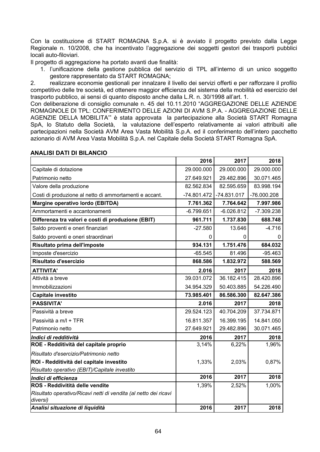Con la costituzione di START ROMAGNA S.p.A. si è avviato il progetto previsto dalla Legge Regionale n. 10/2008, che ha incentivato l'aggregazione dei soggetti gestori dei trasporti pubblici locali auto-filoviari.

Il progetto di aggregazione ha portato avanti due finalità:

1. l'unificazione della gestione pubblica del servizio di TPL all'interno di un unico soggetto gestore rappresentato da START ROMAGNA;

realizzare economie gestionali per innalzare il livello dei servizi offerti e per rafforzare il profilo  $2.$ competitivo delle tre società, ed ottenere maggior efficienza del sistema della mobilità ed esercizio del trasporto pubblico, ai sensi di quanto disposto anche dalla L.R. n. 30/1998 all'art. 1.

Con deliberazione di consiglio comunale n. 45 del 10.11.2010 "AGGREGAZIONE DELLE AZIENDE ROMAGNOLE DI TPL: CONFERIMENTO DELLE AZIONI DI AVM S.P.A. - AGGREGAZIONE DELLE AGENZIE DELLA MOBILITA" è stata approvata la partecipazione alla Società START Romagna SpA, lo Statuto della Società, la valutazione dell'esperto relativamente ai valori attribuiti alle partecipazioni nella Società AVM Area Vasta Mobilità S.p.A. ed il conferimento dell'intero pacchetto azionario di AVM Area Vasta Mobilità S.p.A. nel Capitale della Società START Romagna SpA.

|                                                                              | 2016          | 2017          | 2018         |
|------------------------------------------------------------------------------|---------------|---------------|--------------|
| Capitale di dotazione                                                        | 29.000.000    | 29.000.000    | 29.000.000   |
| Patrimonio netto                                                             | 27.649.921    | 29.482.896    | 30.071.465   |
| Valore della produzione                                                      | 82.562.834    | 82.595.659    | 83.998.194   |
| Costi di produzione al netto di ammortamenti e accant.                       | $-74.801.472$ | $-74.831.017$ | -76.000.208  |
| Margine operativo lordo (EBITDA)                                             | 7.761.362     | 7.764.642     | 7.997.986    |
| Ammortamenti e accantonamenti                                                | $-6.799.651$  | $-6.026.812$  | $-7.309.238$ |
| Differenza tra valori e costi di produzione (EBIT)                           | 961.711       | 1.737.830     | 688.748      |
| Saldo proventi e oneri finanziari                                            | $-27.580$     | 13.646        | $-4.716$     |
| Saldo proventi e oneri straordinari                                          | 0             | 0             |              |
| Risultato prima dell'imposte                                                 | 934.131       | 1.751.476     | 684.032      |
| Imposte d'esercizio                                                          | $-65.545$     | 81.496        | $-95.463$    |
| Risultato d'esercizio                                                        | 868.586       | 1.832.972     | 588.569      |
| <b>ATTIVITA'</b>                                                             | 2.016         | 2017          | 2018         |
| Attività a breve                                                             | 39.031.072    | 36.182.415    | 28.420.896   |
| Immobilizzazioni                                                             | 34.954.329    | 50.403.885    | 54.226.490   |
| Capitale investito                                                           | 73.985.401    | 86.586.300    | 82.647.386   |
| <b>PASSIVITA'</b>                                                            | 2.016         | 2017          | 2018         |
| Passività a breve                                                            | 29.524.123    | 40.704.209    | 37.734.871   |
| Passività a m/l + TFR                                                        | 16.811.357    | 16.399.195    | 14.841.050   |
| Patrimonio netto                                                             | 27.649.921    | 29.482.896    | 30.071.465   |
| Indici di redditività                                                        | 2016          | 2017          | 2018         |
| ROE - Redditività del capitale proprio                                       | 3,14%         | 6,22%         | 1,96%        |
| Risultato d'esercizio/Patrimonio netto                                       |               |               |              |
| ROI - Redditività del capitale investito                                     | 1,33%         | 2,03%         | 0,87%        |
| Risultato operativo (EBIT)/Capitale investito                                |               |               |              |
| Indici di efficienza                                                         | 2016          | 2017          | 2018         |
| ROS - Reddivitità delle vendite                                              | 1,39%         | 2,52%         | 1,00%        |
| Risultato operativo/Ricavi netti di vendita (al netto dei ricavi<br>diversi) |               |               |              |
| Analisi situazione di liquidità                                              | 2016          | 2017          | 2018         |

#### **ANALISI DATI DI BILANCIO**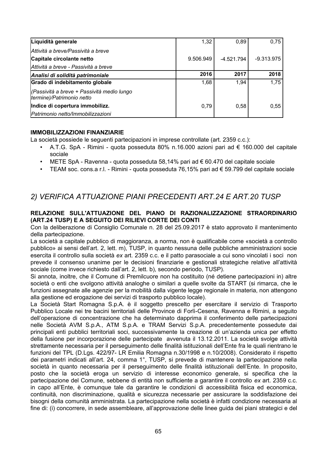| Liquidità generale                                                      | 1,32      | 0.89         | 0.75         |
|-------------------------------------------------------------------------|-----------|--------------|--------------|
| Attività a breve/Passività a breve                                      |           |              |              |
| Capitale circolante netto                                               | 9.506.949 | $-4.521.794$ | $-9.313.975$ |
| Attività a breve - Passività a breve                                    |           |              |              |
| Analisi di solidità patrimoniale                                        | 2016      | 2017         | 2018         |
| Grado di indebitamento globale                                          | 1,68      | 1,94         | 1,75         |
| (Passività a breve + Passività medio lungo<br>termine)/Patrimonio netto |           |              |              |
| Indice di copertura immobilizz.                                         | 0,79      | 0,58         | 0,55         |
| Patrimonio netto/Immobilizzazioni                                       |           |              |              |

#### **IMMOBILIZZAZIONI FINANZIARIE**

La società possiede le sequenti partecipazioni in imprese controllate (art. 2359 c.c.):

- A.T.G. SpA Rimini quota posseduta 80% n.16.000 azioni pari ad € 160.000 del capitale sociale
- METE SpA Ravenna quota posseduta 58.14% pari ad  $\epsilon$  60.470 del capitale sociale
- TEAM soc. cons.a r.l. Rimini quota posseduta 76,15% pari ad  $\epsilon$  59.799 del capitale sociale

### 2) VERIFICA ATTUAZIONE PIANI PRECEDENTI ART.24 E ART.20 TUSP

#### RELAZIONE SULL'ATTUAZIONE DEL PIANO DI RAZIONALIZZAZIONE STRAORDINARIO (ART.24 TUSP) E A SEGUITO DEI RILIEVI CORTE DEI CONTI

Con la deliberazione di Consiglio Comunale n. 28 del 25.09.2017 è stato approvato il mantenimento della partecipazione.

La società a capitale pubblico di maggioranza, a norma, non è qualificabile come «società a controllo pubblico» ai sensi dell'art. 2, lett. m), TUSP, in quanto nessuna delle pubbliche amministrazioni socie esercita il controllo sulla società ex art. 2359 c.c. e il patto parasociale a cui sono vincolati i soci non prevede il consenso unanime per le decisioni finanziarie e gestionali strategiche relative all'attività sociale (come invece richiesto dall'art. 2, lett. b), secondo periodo, TUSP).

Si annota, inoltre, che il Comune di Premilcuore non ha costituito (né detiene partecipazioni in) altre società o enti che svolgono attività analoghe o similari a quelle svolte da START (si rimarca, che le funzioni assegnate alle agenzie per la mobilità dalla vigente legge regionale in materia, non attengono alla gestione ed erogazione dei servizi di trasporto pubblico locale).

La Società Start Romagna S.p.A. è il soggetto prescelto per esercitare il servizio di Trasporto Pubblico Locale nei tre bacini territoriali delle Province di Forlì-Cesena, Ravenna e Rimini, a seguito dell'operazione di concentrazione che ha determinato dapprima il conferimento delle partecipazioni nelle Società AVM S.p.A., ATM S.p.A. e TRAM Servizi S.p.A. precedentemente possedute dai principali enti pubblici territoriali soci, successivamente la creazione di un'azienda unica per effetto della fusione per incorporazione delle partecipate avvenuta il 13.12.2011. La società svolge attività strettamente necessaria per il perseguimento delle finalità istituzionali dell'Ente fra le guali rientrano le funzioni del TPL (D.Lgs. 422/97- LR Emilia Romagna n.30/1998 e n.10/2008). Considerato il rispetto dei parametri indicati all'art. 24, comma 1°, TUSP, si prevede di mantenere la partecipazione nella società in quanto necessaria per il perseguimento delle finalità istituzionali dell'Ente. In proposito, posto che la società eroga un servizio di interesse economico generale, si specifica che la partecipazione del Comune, sebbene di entità non sufficiente a garantire il controllo ex art. 2359 c.c. in capo all'Ente, è comunque tale da garantire le condizioni di accessibilità fisica ed economica, continuità, non discriminazione, qualità e sicurezza necessarie per assicurare la soddisfazione dei bisogni della comunità amministrata. La partecipazione nella società è infatti condizione necessaria al fine di: (i) concorrere, in sede assembleare, all'approvazione delle linee quida dei piani strategici e del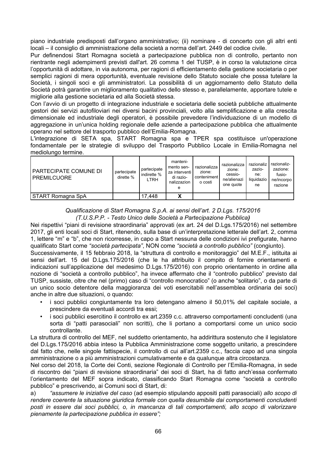piano industriale predisposti dall'organo amministrativo; (ii) nominare - di concerto con gli altri enti locali – il consiglio di amministrazione della società a norma dell'art. 2449 del codice civile.

Pur definendosi Start Romagna società a partecipazione pubblica non di controllo, pertanto non rientrante negli adempimenti previsti dall'art. 26 comma 1 del TUSP, è in corso la valutazione circa l'opportunità di adottare, in via autonoma, per ragioni di efficientamento della gestione societaria o per semplici ragioni di mera opportunità, eventuale revisione dello Statuto sociale che possa tutelare la Società, i singoli soci e gli amministratori. La possibilità di un aggiornamento dello Statuto della Società potrà garantire un miglioramento qualitativo dello stesso e, parallelamente, apportare tutele e migliorie alla gestione societaria ed alla Società stessa.

Con l'avvio di un progetto di integrazione industriale e societaria delle società pubbliche attualmente gestori dei servizi autofiloviari nei diversi bacini provinciali, volto alla semplificazione e alla crescita dimensionale ed industriale degli operatori, è possibile prevedere l'individuazione di un modello di aggregazione in un'unica holding regionale delle aziende a partecipazione pubblica che attualmente operano nel settore del trasporto pubblico dell'Emilia-Romagna.

L'integrazione di SETA spa, START Romagna spa e TPER spa costituisce un'operazione fondamentale per le strategie di sviluppo del Trasporto Pubblico Locale in Emilia-Romagna nel mediolungo termine.

| PARTECIPATE COMUNE DI<br><b>PREMILCUORE</b> | partecipate<br>dirette % | partecipate<br>indirette %<br>LTRH | manteni-<br>mento sen-<br>za interventi l<br>di razio-<br>nalizzazion<br>е | razionalizza<br>zione:<br>conteniment<br>o costi | razionalizza<br>zione:<br>cessio-<br>ne/alienazi<br>one quote | razionaliz<br>zazio-<br>ne:<br>liguidazio<br>ne | razionaliz-<br>zazione:<br>fusio-<br>ne/incorpo<br>razione |
|---------------------------------------------|--------------------------|------------------------------------|----------------------------------------------------------------------------|--------------------------------------------------|---------------------------------------------------------------|-------------------------------------------------|------------------------------------------------------------|
| <b>START Romagna SpA</b>                    |                          | 17.448                             | Λ                                                                          |                                                  |                                                               |                                                 |                                                            |

Qualificazione di Start Romagna S.p.A. ai sensi dell'art. 2 D.Lgs. 175/2016 (T.U.S.P.P. - Testo Unico delle Società a Partecipazione Pubblica)

Nei rispettivi "piani di revisione straordinaria" approvati (ex art. 24 del D.Lgs.175/2016) nel settembre 2017, gli enti locali soci di Start, ritenendo, sulla base di un'interpretazione letterale dell'art. 2, comma 1. lettere "m" e "b", che non ricorresse, in capo a Start nessuna delle condizioni ivi prefigurate, hanno qualificato Start come "società partecipata", NON come "società a controllo pubblico" (congiunto).

Successivamente, il 15 febbraio 2018, la "struttura di controllo e monitoraggio" del M.E.F., istituita ai sensi dell'art. 15 del D.Lgs.175/2016 (che le ha attribuito il compito di fornire orientamenti e indicazioni sull'applicazione del medesimo D.Lgs.175/2016) con proprio orientamento in ordine alla nozione di "società a controllo pubblico", ha invece affermato che il "controllo pubblico" previsto dal TUSP, sussiste, oltre che nel (primo) caso di "controllo monocratico" (o anche "solitario", o da parte di un unico socio detentore della maggioranza dei voti esercitabili nell'assemblea ordinaria dei soci) anche in altre due situazioni, o quando:

- i soci pubblici congiuntamente tra loro detengano almeno il 50,01% del capitale sociale, a prescindere da eventuali accordi tra essi:
- i soci pubblici esercitino il controllo ex art.2359 c.c. attraverso comportamenti concludenti (una  $\bullet$  . sorta di "patti parasociali" non scritti), che li portano a comportarsi come un unico socio controllante.

La struttura di controllo del MEF, nel suddetto orientamento, ha addirittura sostenuto che il legislatore del D.Lgs.175/2016 abbia inteso la Pubblica Amministrazione come soggetto unitario, a prescindere dal fatto che, nelle singole fattispecie, il controllo di cui all'art.2359 c.c., faccia capo ad una singola amministrazione o a più amministrazioni cumulativamente e da qualungue altra circostanza.

Nel corso del 2018, la Corte dei Conti, sezione Regionale di Controllo per l'Emilia-Romagna, in sede di riscontro dei "piani di revisione straordinaria" dei soci di Start, ha di fatto anch'essa confermato l'orientamento del MEF sopra indicato, classificando Start Romagna come "società a controllo pubblico" e prescrivendo, ai Comuni soci di Start, di:

"assumere le iniziative del caso (ad esempio stipulando appositi patti parasociali) allo scopo di a) rendere coerente la situazione giuridica formale con quella desumibile dai comportamenti concludenti posti in essere dai soci pubblici, o, in mancanza di tali comportamenti, allo scopo di valorizzare pienamente la partecipazione pubblica in essere";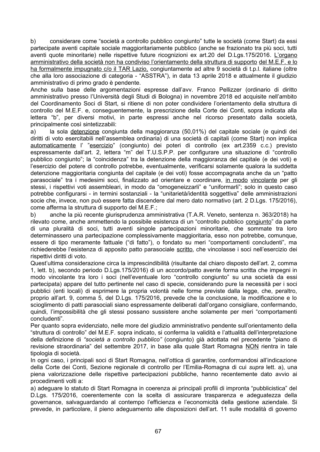considerare come "società a controllo pubblico congiunto" tutte le società (come Start) da essi b) partecipate aventi capitale sociale maggioritariamente pubblico (anche se frazionato tra più soci, tutti aventi quote minoritarie) nelle rispettive future ricognizioni ex art.20 del D.Lgs.175/2016. L'organo amministrativo della società non ha condiviso l'orientamento della struttura di supporto del M.E.F. e lo ha formalmente impugnato c/o il TAR Lazio, congiuntamente ad altre 9 società di t.p.l. italiane (oltre che alla loro associazione di categoria - "ASSTRA"), in data 13 aprile 2018 e attualmente il giudizio amministrativo di primo grado è pendente.

Anche sulla base delle argomentazioni espresse dall'avv. Franco Pellizzer (ordinario di diritto amministrativo presso l'Università degli Studi di Bologna) in novembre 2018 ed acquisite nell'ambito del Coordinamento Soci di Start, si ritiene di non poter condividere l'orientamento della struttura di controllo del M.E.F. e, consequentemente, la prescrizione della Corte dei Conti, sopra indicata alla lettera "b", per diversi motivi, in parte espressi anche nel ricorso presentato dalla società, principalmente così sintetizzabili:

la sola detenzione congiunta della maggioranza (50,01%) del capitale sociale (e quindi dei  $a)$ diritti di voto esercitabili nell'assemblea ordinaria) di una società di capitali (come Start) non implica automaticamente l' "esercizio" (congiunto) dei poteri di controllo (ex art.2359 c.c.) previsto espressamente dall'art. 2. lettera "m" del T.U.S.P.P. per configurare una situazione di "controllo" pubblico congiunto"; la "coincidenza" tra la detenzione della maggioranza del capitale (e dei voti) e l'esercizio del potere di controllo potrebbe, eventualmente, verificarsi solamente qualora la suddetta detenzione maggioritaria congiunta del capitale (e dei voti) fosse accompagnata anche da un "patto parasociale" tra i medesimi soci, finalizzato ad orientare e coordinare, in modo vincolante per gli stessi, i rispettivi voti assembleari, in modo da "omogeneizzarli" e "uniformarli"; solo in questo caso potrebbe configurarsi - in termini sostanziali - la "unitarietà/identità soggettiva" delle amministrazioni socie che, invece, non può essere fatta discendere dal mero dato normativo (art. 2 D.Lgs. 175/2016). come afferma la struttura di supporto del M.E.F.;

anche la più recente giurisprudenza amministrativa (T.A.R. Veneto, sentenza n. 363/2018) ha  $b)$ rilevato come, anche ammettendo la possibile esistenza di un "controllo pubblico congiunto" da parte di una pluralità di soci, tutti aventi singole partecipazioni minoritarie, che sommate tra loro determinassero una partecipazione complessivamente maggioritaria, esso non potrebbe, comunque, essere di tipo meramente fattuale ("di fatto"), o fondato su meri "comportamenti concludenti", ma richiederebbe l'esistenza di apposito patto parasociale scritto, che vincolasse i soci nell'esercizio dei rispettivi diritti di voto.

Quest'ultima considerazione circa la imprescindibilità (risultante dal chiaro disposto dell'art. 2, comma 1, lett. b), secondo periodo D.Lgs.175/2016) di un accordo/patto avente forma scritta che impegni in modo vincolante tra loro i soci (nell'eventuale loro "controllo congiunto" su una società da essi partecipata) appare del tutto pertinente nel caso di specie, considerando pure la necessità per i soci pubblici (enti locali) di esprimere la propria volontà nelle forme previste dalla legge, che, peraltro, proprio all'art. 9, comma 5, del D.Lgs. 175/2016, prevede che la conclusione, la modificazione e lo scioglimento di patti parasociali siano espressamente deliberati dall'organo consigliare, confermando, quindi, l'impossibilità che gli stessi possano sussistere anche solamente per meri "comportamenti concludenti".

Per quanto sopra evidenziato, nelle more del giudizio amministrativo pendente sull'orientamento della "struttura di controllo" del M.E.F. sopra indicato, si conferma la validità e l'attualità dell'interpretazione della definizione di "società a controllo pubblico" (congiunto) già adottata nel precedente "piano di revisione straordinaria" del settembre 2017, in base alla quale Start Romagna NON rientra in tale tipologia di società.

In ogni caso, i principali soci di Start Romagna, nell'ottica di garantire, conformandosi all'indicazione della Corte dei Conti. Sezione regionale di controllo per l'Emilia-Romagna di cui supra lett. a), una piena valorizzazione delle rispettive partecipazioni pubbliche, hanno recentemente dato avvio ai procedimenti volti a:

a) adequare lo statuto di Start Romagna in coerenza ai principali profili di impronta "pubblicistica" del D.Lgs. 175/2016, coerentemente con la scelta di assicurare trasparenza e adeguatezza della governance, salvaguardando al contempo l'efficienza e l'economicità della gestione aziendale. Si prevede, in particolare, il pieno adequamento alle disposizioni dell'art. 11 sulle modalità di governo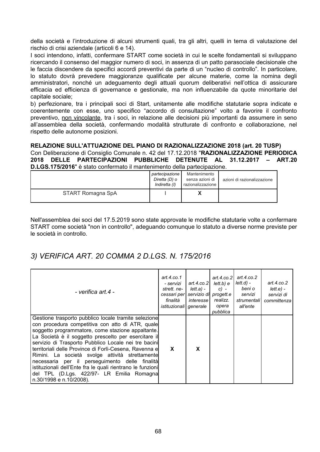della società e l'introduzione di alcuni strumenti quali, tra gli altri, quelli in tema di valutazione del rischio di crisi aziendale (articoli 6 e 14).

I soci intendono, infatti, confermare START come società in cui le scelte fondamentali si sviluppano ricercando il consenso del maggior numero di soci, in assenza di un patto parasociale decisionale che le faccia discendere da specifici accordi preventivi da parte di un "nucleo di controllo". In particolare. lo statuto dovrà prevedere maggioranze qualificate per alcune materie, come la nomina degli amministratori, nonché un adequamento degli attuali quorum deliberativi nell'ottica di assicurare efficacia ed efficienza di governance e gestionale, ma non influenzabile da quote minoritarie del capitale sociale;

b) perfezionare, tra i principali soci di Start, unitamente alle modifiche statutarie sopra indicate e coerentemente con esse, uno specifico "accordo di consultazione" volto a favorire il confronto preventivo, non vincolante, tra i soci, in relazione alle decisioni più importanti da assumere in seno all'assemblea della società, confermando modalità strutturate di confronto e collaborazione, nel rispetto delle autonome posizioni.

#### RELAZIONE SULL'ATTUAZIONE DEL PIANO DI RAZIONALIZZAZIONE 2018 (art. 20 TUSP)

Con Deliberazione di Consiglio Comunale n. 42 del 17.12.2018 "RAZIONALIZZAZIONE PERIODICA 2018 DELLE PARTECIPAZIONI PUBBLICHE DETENUTE AL 31.12.2017 - ART.20 D.I.GS.175/2016" è stato confermato il mantenimento della partecinazione

|                   | partecipazione<br>Diretta (D) o<br>Indiretta (I) | Mantenimento<br>senza azioni di<br>razionalizzazione | azioni di razionalizzazione |
|-------------------|--------------------------------------------------|------------------------------------------------------|-----------------------------|
| START Romagna SpA |                                                  |                                                      |                             |

Nell'assemblea dei soci del 17.5.2019 sono state approvate le modifiche statutarie volte a confermare START come società "non in controllo", adeguando comunque lo statuto a diverse norme previste per le società in controllo

### 3) VERIFICA ART. 20 COMMA 2 D.LGS. N. 175/2016

| - verifica art.4 -                                                                                                                                                                                                                                                                                                                                                                                                                                                                                                                                                                 | art.4.co.1<br>- servizi<br>strett, ne-<br>cessari per<br>finalità<br>istituzionali generale | art.4. $co.2$<br>lett.a) -<br><i>interesse</i> l | art.4. $co.21$<br>lett.b) e<br>$C$ ) –<br>servizio di progett.e<br>realizz.<br>opera<br>pubblica | art.4. $co.2$<br>lett.d) -<br>beni o<br>servizi<br>strumentali<br>all'ente | art.4. $co.2$<br>lett.e.<br>servizi di<br>committenza |
|------------------------------------------------------------------------------------------------------------------------------------------------------------------------------------------------------------------------------------------------------------------------------------------------------------------------------------------------------------------------------------------------------------------------------------------------------------------------------------------------------------------------------------------------------------------------------------|---------------------------------------------------------------------------------------------|--------------------------------------------------|--------------------------------------------------------------------------------------------------|----------------------------------------------------------------------------|-------------------------------------------------------|
| Gestione trasporto pubblico locale tramite selezione<br>con procedura competitiva con atto di ATR, quale<br>soggetto programmatore, come stazione appaltante.<br>La Società è il soggetto prescelto per esercitare il<br>servizio di Trasporto Pubblico Locale nei tre bacini<br>territoriali delle Province di Forlì-Cesena, Ravenna e<br>Rimini. La società svolge attività strettamente<br>necessaria per il perseguimento delle finalità<br>istituzionali dell'Ente fra le quali rientrano le funzioni<br>del TPL (D.Lgs. 422/97- LR Emilia Romagna<br>n.30/1998 e n.10/2008). | X                                                                                           | X                                                |                                                                                                  |                                                                            |                                                       |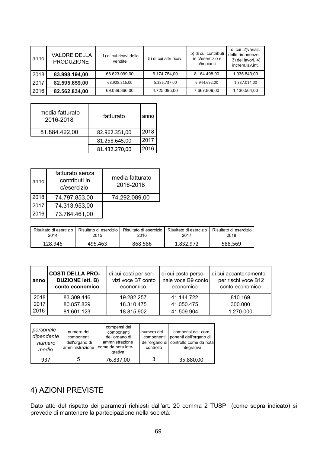| anno | <b>VALORE DELLA</b><br><b>PRODUZIONE</b> | 1) di cui ricavi delle<br>vendite | 5) di cui altri ricavi | 5) di cui contributi<br>in c/esercizio e<br>c/impianti | di cui 2) variaz.<br>delle rimanenze,<br>3) dei lavori, 4)<br>increm.lav.int. |
|------|------------------------------------------|-----------------------------------|------------------------|--------------------------------------------------------|-------------------------------------------------------------------------------|
| 2018 | 83.998.194,00                            | 68.623.099.00                     | 6.174.754,00           | 8.164.498.00                                           | 1.035.843.00                                                                  |
| 2017 | 82.595.659,00                            | 68.928.216,00                     | 5.385.737,00           | 6.944.692.00                                           | 1.337.014,00                                                                  |
| 2016 | 82.562.834,00                            | 69.039.366,00                     | 4.725.095,00           | 7.667.809,00                                           | 1.130.564,00                                                                  |

| media fatturato<br>2016-2018 | fatturato     | anno |
|------------------------------|---------------|------|
| 81.884.422,00                | 82.962.351,00 | 2018 |
|                              | 81.258.645,00 | 2017 |
|                              | 81.432.270,00 | 2016 |

| anno | fatturato senza<br>contributi in<br>c/esercizio | media fatturato<br>2016-2018 |
|------|-------------------------------------------------|------------------------------|
| 2018 | 74.797.853,00                                   | 74.292.089,00                |
| 2017 | 74.313.953,00                                   |                              |
| 2016 | 73.764.461,00                                   |                              |

| Risultato di esercizio | Risultato di esercizio | Risultato di esercizio | Risultato di esercizio | Risultato di esercizio |
|------------------------|------------------------|------------------------|------------------------|------------------------|
| 2014                   | 2015                   | 2016                   | 2017                   | 2018                   |
| 128.946                | 495.463                | 868.586                | 1.832.972              | 588.569                |

| anno | <b>COSTI DELLA PRO-</b><br><b>DUZIONE lett. B)</b><br>conto economico | di cui costi per ser-<br>vizi voce B7 conto<br>economico | di cui costo perso-<br>nale voce B9 conto<br>economico | di cui accantonamento<br>per rischi voce B12<br>conto economico |
|------|-----------------------------------------------------------------------|----------------------------------------------------------|--------------------------------------------------------|-----------------------------------------------------------------|
| 2018 | 83.309.446                                                            | 19.282.257                                               | 41.144.722                                             | 810.169                                                         |
| 2017 | 80.857.829                                                            | 18.310.475                                               | 41.050.475                                             | 300.000                                                         |
| 2016 | 81.601.123                                                            | 18.815.902                                               | 41.509.904                                             | 1.270.000                                                       |

| personale<br>dipendente<br>numero<br>medio | numero dei<br>componenti<br>dell'organo di<br>amministrazione I | compensi dei<br>componenti<br>dell'organo di<br>ammnistrazione<br>come da nota inte-<br>grativa | numero dei<br>controllo | compensi dei com-<br>componenti   ponenti dell'organo di<br>dell'organo di controllo come da nota<br>integrativa |
|--------------------------------------------|-----------------------------------------------------------------|-------------------------------------------------------------------------------------------------|-------------------------|------------------------------------------------------------------------------------------------------------------|
| 937                                        |                                                                 | 76.837,00                                                                                       | 3                       | 35.880,00                                                                                                        |

### 4) AZIONI PREVISTE

Dato atto del rispetto dei parametri richiesti dall'art. 20 comma 2 TUSP (come sopra indicato) si prevede di mantenere la partecipazione nella società.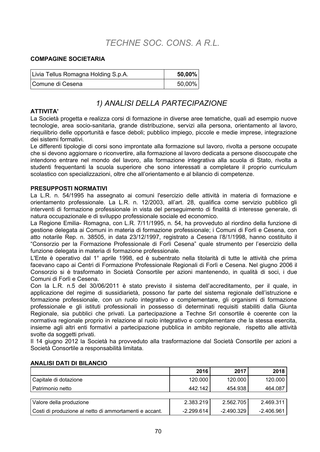# TECHNE SOC. CONS. A R.L.

#### **COMPAGINE SOCIETARIA**

| Livia Tellus Romagna Holding S.p.A. | $50,00\%$ |
|-------------------------------------|-----------|
| Comune di Cesena                    | $50,00\%$ |

### 1) ANALISI DELLA PARTECIPAZIONE

#### **ATTIVITA'**

La Società progetta e realizza corsi di formazione in diverse aree tematiche, quali ad esempio nuove tecnologie, area socio-sanitaria, grande distribuzione, servizi alla persona, orientamento al lavoro, riequilibrio delle opportunità e fasce deboli; pubblico impiego, piccole e medie imprese, integrazione dei sistemi formativi.

Le differenti tipologie di corsi sono improntate alla formazione sul lavoro, rivolta a persone occupate che si devono aggiornare o riconvertire, alla formazione al lavoro dedicata a persone disoccupate che intendono entrare nel mondo del lavoro, alla formazione integrativa alla scuola di Stato, rivolta a studenti frequentanti la scuola superiore che sono interessati a completare il proprio curriculum scolastico con specializzazioni, oltre che all'orientamento e al bilancio di competenze.

#### **PRESUPPOSTI NORMATIVI**

La L.R. n. 54/1995 ha assegnato ai comuni l'esercizio delle attività in materia di formazione e orientamento professionale. La L.R. n. 12/2003, all'art. 28, qualifica come servizio pubblico gli interventi di formazione professionale in vista del persequimento di finalità di interesse generale, di natura occupazionale e di sviluppo professionale sociale ed economico.

La Regione Emilia- Romagna, con L.R. 7/11/1995, n. 54, ha provveduto al riordino della funzione di gestione delegata ai Comuni in materia di formazione professionale; i Comuni di Forlì e Cesena, con atto notarile Rep. n. 38505, in data 23/12/1997, registrato a Cesena l'8/1/1998, hanno costituito il "Consorzio per la Formazione Professionale di Forlì Cesena" quale strumento per l'esercizio della funzione delegata in materia di formazione professionale.

L'Ente è operativo dal 1° aprile 1998, ed è subentrato nella titolarità di tutte le attività che prima facevano capo ai Centri di Formazione Professionale Regionali di Forlì e Cesena. Nel giugno 2006 il Consorzio si è trasformato in Società Consortile per azioni mantenendo, in qualità di soci, i due Comuni di Forlì e Cesena.

Con la L.R. n.5 del 30/06/2011 è stato previsto il sistema dell'accreditamento, per il quale, in applicazione del regime di sussidiarietà, possono far parte del sistema regionale dell'istruzione e formazione professionale, con un ruolo integrativo e complementare, gli organismi di formazione professionale e gli istituti professionali in possesso di determinati requisiti stabiliti dalla Giunta Regionale, sia pubblici che privati. La partecipazione a Techne Srl consortile è coerente con la normativa regionale proprio in relazione al ruolo integrativo e complementare che la stessa esercita. insieme agli altri enti formativi a partecipazione pubblica in ambito regionale, rispetto alle attività svolte da soggetti privati.

Il 14 giugno 2012 la Società ha provveduto alla trasformazione dal Società Consortile per azioni a Società Consortile a responsabilità limitata.

|                                                        | 2016         | 2017         | 2018         |
|--------------------------------------------------------|--------------|--------------|--------------|
| Capitale di dotazione                                  | 120.000      | 120.000      | 120.000      |
| Patrimonio netto                                       | 442.142      | 454.938      | 464.087      |
|                                                        |              |              |              |
| Valore della produzione                                | 2.383.219    | 2.562.705    | 2.469.311    |
| Costi di produzione al netto di ammortamenti e accant. | $-2.299.614$ | $-2.490.329$ | $-2.406.961$ |

#### **ANALISI DATI DI BILANCIO**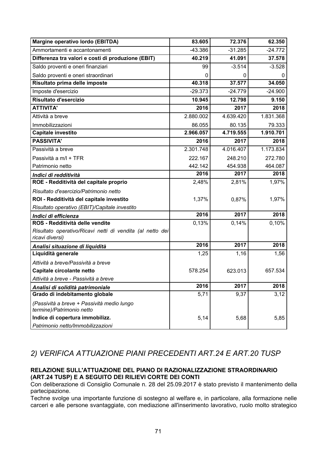| Margine operativo lordo (EBITDA)                                             | 83.605    | 72.376    | 62.350    |
|------------------------------------------------------------------------------|-----------|-----------|-----------|
| Ammortamenti e accantonamenti                                                | -43.386   | $-31.285$ | $-24.772$ |
| Differenza tra valori e costi di produzione (EBIT)                           | 40.219    | 41.091    | 37.578    |
| Saldo proventi e oneri finanziari                                            | 99        | $-3.514$  | $-3.528$  |
| Saldo proventi e oneri straordinari                                          | 0         | 0         | Ü         |
| Risultato prima delle imposte                                                | 40.318    | 37.577    | 34.050    |
| Imposte d'esercizio                                                          | $-29.373$ | $-24.779$ | $-24.900$ |
| Risultato d'esercizio                                                        | 10.945    | 12.798    | 9.150     |
| <b>ATTIVITA'</b>                                                             | 2016      | 2017      | 2018      |
| Attività a breve                                                             | 2.880.002 | 4.639.420 | 1.831.368 |
| Immobilizzazioni                                                             | 86.055    | 80.135    | 79.333    |
| Capitale investito                                                           | 2.966.057 | 4.719.555 | 1.910.701 |
| <b>PASSIVITA'</b>                                                            | 2016      | 2017      | 2018      |
| Passività a breve                                                            | 2.301.748 | 4.016.407 | 1.173.834 |
| Passività a m/l + TFR                                                        | 222.167   | 248.210   | 272.780   |
| Patrimonio netto                                                             | 442.142   | 454.938   | 464.087   |
| Indici di redditività                                                        | 2016      | 2017      | 2018      |
| ROE - Redditività del capitale proprio                                       | 2,48%     | 2,81%     | 1,97%     |
| Risultato d'esercizio/Patrimonio netto                                       |           |           |           |
| ROI - Redditività del capitale investito                                     | 1,37%     | 0,87%     | 1,97%     |
| Risultato operativo (EBIT)/Capitale investito                                |           |           |           |
| Indici di efficienza                                                         | 2016      | 2017      | 2018      |
| ROS - Redditività delle vendite                                              | 0,13%     | 0,14%     | 0,10%     |
| Risultato operativo/Ricavi netti di vendita (al netto dei<br>ricavi diversi) |           |           |           |
| Analisi situazione di liquidità                                              | 2016      | 2017      | 2018      |
| Liquidità generale                                                           | 1,25      | 1,16      | 1,56      |
| Attività a breve/Passività a breve                                           |           |           |           |
| Capitale circolante netto                                                    | 578.254   | 623.013   | 657.534   |
| Attività a breve - Passività a breve                                         |           |           |           |
| Analisi di solidità patrimoniale                                             | 2016      | 2017      | 2018      |
| Grado di indebitamento globale                                               | 5,71      | 9,37      | 3,12      |
| (Passività a breve + Passività medio lungo<br>termine)/Patrimonio netto      |           |           |           |
| Indice di copertura immobilizz.                                              | 5,14      | 5,68      | 5,85      |
| Patrimonio netto/Immobilizzazioni                                            |           |           |           |

### 2) VERIFICA ATTUAZIONE PIANI PRECEDENTI ART.24 E ART.20 TUSP

#### RELAZIONE SULL'ATTUAZIONE DEL PIANO DI RAZIONALIZZAZIONE STRAORDINARIO (ART.24 TUSP) E A SEGUITO DEI RILIEVI CORTE DEI CONTI

Con deliberazione di Consiglio Comunale n. 28 del 25.09.2017 è stato previsto il mantenimento della partecipazione.

Techne svolge una importante funzione di sostegno al welfare e, in particolare, alla formazione nelle carceri e alle persone svantaggiate, con mediazione all'inserimento lavorativo, ruolo molto strategico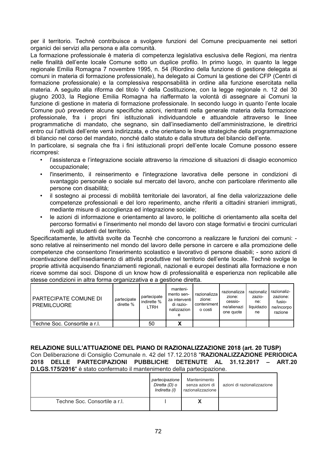per il territorio. Technè contribuisce a svolgere funzioni del Comune precipuamente nei settori organici dei servizi alla persona e alla comunità.

La formazione professionale è materia di competenza legislativa esclusiva delle Regioni, ma rientra nelle finalità dell'ente locale Comune sotto un duplice profilo. In primo luogo, in quanto la legge regionale Emilia Romagna 7 novembre 1995, n. 54 (Riordino della funzione di gestione delegata ai comuni in materia di formazione professionale), ha delegato ai Comuni la gestione dei CFP (Centri di formazione professionale) e la complessiva responsabilità in ordine alla funzione esercitata nella materia. A seguito alla riforma del titolo V della Costituzione, con la legge regionale n. 12 del 30 giugno 2003, la Regione Emilia Romagna ha riaffermato la volontà di assegnare ai Comuni la funzione di gestione in materia di formazione professionale. In secondo luogo in quanto l'ente locale Comune può prevedere alcune specifiche azioni, rientranti nella generale materia della formazione professionale, fra i propri fini istituzionali individuandole e attuandole attraverso le linee programmatiche di mandato, che segnano, sin dall'insediamento dell'amministrazione, le direttrici entro cui l'attività dell'ente verrà indirizzata, e che orientano le linee strategiche della programmazione di bilancio nel corso del mandato, nonché dallo statuto e dalla struttura del bilancio dell'ente.

In particolare, si segnala che fra i fini istituzionali propri dell'ente locale Comune possono essere ricompresi:

- l'assistenza e l'integrazione sociale attraverso la rimozione di situazioni di disagio economico occupazionale;
- l'inserimento, il reinserimento e l'integrazione lavorativa delle persone in condizioni di svantaggio personale o sociale sul mercato del lavoro, anche con particolare riferimento alle persone con disabilità:
- il sostegno ai processi di mobilità territoriale dei lavoratori, al fine della valorizzazione delle competenze professionali e del loro reperimento, anche riferiti a cittadini stranieri immigrati, mediante misure di accoglienza ed integrazione sociale;
- le azioni di informazione e orientamento al lavoro, le politiche di orientamento alla scelta del percorso formativi e l'inserimento nel mondo del lavoro con stage formativi e tirocini curriculari rivolti agli studenti del territorio.

Specificatamente, le attività svolte da Tecnhè che concorrono a realizzare le funzioni dei comuni: sono relative al reinserimento nel mondo del lavoro delle persone in carcere e alla promozione delle competenze che consentono l'inserimento scolastico e lavorativo di persone disabili; - sono azioni di incentivazione dell'insediamento di attività produttive nel territorio dell'ente locale. Technè svolge le proprie attività acquisendo finanziamenti regionali, nazionali e europei destinati alla formazione e non riceve somme dai soci. Dispone di un know how di professionalità e esperienza non replicabile alle stesse condizioni in altra forma organizzativa e a gestione diretta.

| PARTECIPATE COMUNE DI<br><b>PREMILCUORE</b> | partecipate<br>dirette $%$ | partecipate<br>indirette %<br>LTRH | manteni-<br>mento sen-<br>za interventi l<br>di razio-<br>nalizzazion<br>е | razionalizza<br>zione:<br>conteniment<br>o costi | razionalizza<br>zione:<br>cessio-<br>ne/alienazi<br>one quote | razionaliz<br>zazio-<br>ne:<br>liguidazio<br>ne | razionaliz-<br>zazione:<br>fusio-<br>ne/incorpo<br>razione |
|---------------------------------------------|----------------------------|------------------------------------|----------------------------------------------------------------------------|--------------------------------------------------|---------------------------------------------------------------|-------------------------------------------------|------------------------------------------------------------|
| Techne Soc. Consortile a r.l.               |                            | 50                                 | х                                                                          |                                                  |                                                               |                                                 |                                                            |

#### RELAZIONE SULL'ATTUAZIONE DEL PIANO DI RAZIONALIZZAZIONE 2018 (art. 20 TUSP) Con Deliberazione di Consiglio Comunale n. 42 del 17.12.2018 "RAZIONALIZZAZIONE PERIODICA

2018 DELLE PARTECIPAZIONI PUBBLICHE DETENUTE AL 31.12.2017 - ART.20 D.LGS.175/2016" è stato confermato il mantenimento della partecipazione.

|                               | partecipazione<br>Diretta (D) o<br>Indiretta (I) | Mantenimento<br>senza azioni di<br>razionalizzazione | azioni di razionalizzazione |
|-------------------------------|--------------------------------------------------|------------------------------------------------------|-----------------------------|
| Techne Soc. Consortile a r.l. |                                                  |                                                      |                             |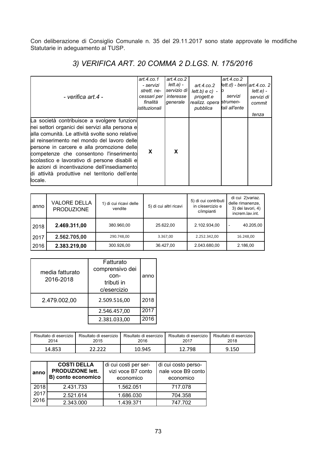Con deliberazione di Consiglio Comunale n. 35 del 29.11.2017 sono state approvate le modifiche Statutarie in adeguamento al TUSP.

| - verifica art.4 -                                                                                                                                                                                                                                                                                                                                                                                                                                        | art. $4$ .co.1<br>- servizi<br>strett, ne-<br>cessari per   interesse<br>finalità<br>listituzionali | art. $4$ .co. $2$<br>  lett.a) -<br>servizio di<br>qenerale | art.4.co.2<br>$lett.b) e c$ ) - $\circ$<br>progett.e<br>realizz. opera strumen-<br>pubblica | art. $4$ .co.2<br>$lett.d$ ) - beni $ art.4.co. 2 $<br>servizi<br>tali all'ente | lett.e.<br>servizi di<br>commit<br>tenza |
|-----------------------------------------------------------------------------------------------------------------------------------------------------------------------------------------------------------------------------------------------------------------------------------------------------------------------------------------------------------------------------------------------------------------------------------------------------------|-----------------------------------------------------------------------------------------------------|-------------------------------------------------------------|---------------------------------------------------------------------------------------------|---------------------------------------------------------------------------------|------------------------------------------|
| La società contribuisce a svolgere funzioni<br>hei settori organici dei servizi alla persona e<br>alla comunità. Le attività svolte sono relative<br>al reinserimento nel mondo del lavoro delle<br>persone in carcere e alla promozione delle<br>competenze che consentono l'inserimento<br>scolastico e lavorativo di persone disabili e<br>le azioni di incentivazione dell'insediamento<br>di attività produttive nel territorio dell'ente<br>locale. | X                                                                                                   | X                                                           |                                                                                             |                                                                                 |                                          |

3) VERIFICA ART. 20 COMMA 2 D.LGS. N. 175/2016

| anno | <b>VALORE DELLA</b><br><b>PRODUZIONE</b> | 1) di cui ricavi delle<br>vendite | 5) di cui altri ricavi | 5) di cui contributi<br>in c/esercizio e<br>c/impianti | di cui 2) variaz.<br>delle rimanenze.<br>3) dei lavori, 4)<br>increm.lav.int. |
|------|------------------------------------------|-----------------------------------|------------------------|--------------------------------------------------------|-------------------------------------------------------------------------------|
| 2018 | 2.469.311,00<br>380.960,00               |                                   | 25.622.00              | 2.102.934,00                                           | 40.205,00<br>$\overline{\phantom{0}}$                                         |
| 2017 | 2.562.705,00                             | 290.748,00                        | 3.367,00               | 2.252.342,00                                           | 16.248,00                                                                     |
| 2016 | 2.383.219,00                             | 300.926,00                        | 36.427.00              | 2.043.680,00                                           | 2.186,00                                                                      |

| media fatturato<br>2016-2018 | Fatturato<br>comprensivo dei<br>con-<br>tributi in<br>c/esercizio | anno |
|------------------------------|-------------------------------------------------------------------|------|
| 2.479.002,00                 | 2.509.516,00                                                      | 2018 |
|                              | 2.546.457,00                                                      | 2017 |
|                              | 2.381.033,00                                                      | 2016 |

| Risultato di esercizio | Risultato di esercizio | Risultato di esercizio | Risultato di esercizio | Risultato di esercizio |
|------------------------|------------------------|------------------------|------------------------|------------------------|
| 2014                   | 2015                   | 2016                   | 2017                   | 2018                   |
| 14.853                 |                        | 10.945                 | 12.798                 | 9.150                  |

| anno | <b>COSTI DELLA</b><br><b>PRODUZIONE lett.</b><br>B) conto economico | di cui costi per ser-<br>vizi voce B7 conto<br>economico | di cui costo perso-<br>nale voce B9 conto<br>economico |
|------|---------------------------------------------------------------------|----------------------------------------------------------|--------------------------------------------------------|
| 2018 | 2.431.733                                                           | 1.562.051                                                | 717.078                                                |
| 2017 | 2.521.614                                                           | 1.686.030                                                | 704.358                                                |
| 2016 | 2.343.000                                                           | 1.439.371                                                | 747.702                                                |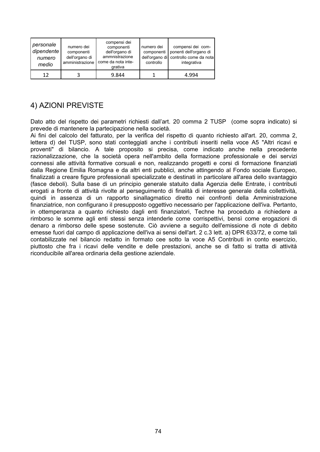| personale<br>dipendente<br>numero<br>medio | numero dei<br>componenti<br>dell'organo di<br>amministrazione | compensi dei<br>componenti<br>dell'organo di<br>ammnistrazione<br>come da nota inte-<br>grativa | numero dei<br>componenti<br>controllo | compensi dei com-<br>ponenti dell'organo di<br>dell'organo di controllo come da nota<br>integrativa |
|--------------------------------------------|---------------------------------------------------------------|-------------------------------------------------------------------------------------------------|---------------------------------------|-----------------------------------------------------------------------------------------------------|
| 12                                         |                                                               | 9.844                                                                                           |                                       | 4.994                                                                                               |

## 4) AZIONI PREVISTE

Dato atto del rispetto dei parametri richiesti dall'art. 20 comma 2 TUSP (come sopra indicato) si prevede di mantenere la partecipazione nella società.

Ai fini del calcolo del fatturato, per la verifica del rispetto di quanto richiesto all'art. 20, comma 2, lettera d) del TUSP, sono stati conteggiati anche i contributi inseriti nella voce A5 "Altri ricavi e proventi" di bilancio. A tale proposito si precisa, come indicato anche nella precedente razionalizzazione, che la società opera nell'ambito della formazione professionale e dei servizi connessi alle attività formative corsuali e non, realizzando progetti e corsi di formazione finanziati dalla Regione Emilia Romagna e da altri enti pubblici, anche attingendo al Fondo sociale Europeo, finalizzati a creare figure professionali specializzate e destinati in particolare all'area dello svantaggio (fasce deboli). Sulla base di un principio generale statuito dalla Agenzia delle Entrate, i contributi erogati a fronte di attività rivolte al perseguimento di finalità di interesse generale della collettività, quindi in assenza di un rapporto sinallagmatico diretto nei confronti della Amministrazione finanziatrice, non configurano il presupposto oggettivo necessario per l'applicazione dell'iva. Pertanto, in ottemperanza a quanto richiesto dagli enti finanziatori, Techne ha proceduto a richiedere a rimborso le somme agli enti stessi senza intenderle come corrispettivi, bensì come erogazioni di denaro a rimborso delle spese sostenute. Ciò avviene a seguito dell'emissione di note di debito emesse fuori dal campo di applicazione dell'iva ai sensi dell'art. 2 c.3 lett. a) DPR 633/72, e come tali contabilizzate nel bilancio redatto in formato cee sotto la voce A5 Contributi in conto esercizio. piuttosto che fra i ricavi delle vendite e delle prestazioni, anche se di fatto si tratta di attività riconducibile all'area ordinaria della gestione aziendale.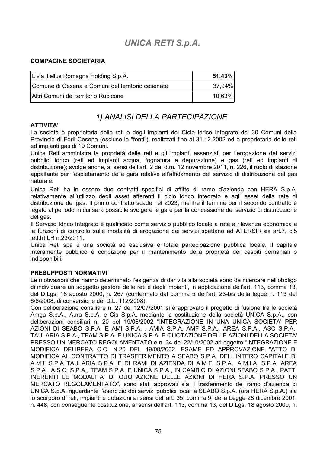# **UNICA RETI S.p.A.**

#### **COMPAGINE SOCIETARIA**

| Livia Tellus Romagna Holding S.p.A.               | $51,43\%$ |
|---------------------------------------------------|-----------|
| Comune di Cesena e Comuni del territorio cesenate | 37,94%।   |
| Altri Comuni del territorio Rubicone              | $10,63\%$ |

### 1) ANALISI DELLA PARTECIPAZIONE

#### **ATTIVITA'**

La società è proprietaria delle reti e degli impianti del Ciclo Idrico Integrato dei 30 Comuni della Provincia di Forlì-Cesena (escluse le "fonti"), realizzati fino al 31.12.2002 ed è proprietaria delle reti ed impianti gas di 19 Comuni.

Unica Reti amministra la proprietà delle reti e gli impianti essenziali per l'erogazione dei servizi pubblici idrico (reti ed impianti acqua, fognatura e depurazione) e gas (reti ed impianti di distribuzione); svolge anche, ai sensi dell'art. 2 del d.m. 12 novembre 2011, n. 226, il ruolo di stazione appaltante per l'espletamento delle gara relative all'affidamento del servizio di distribuzione del gas naturale.

Unica Reti ha in essere due contratti specifici di affitto di ramo d'azienda con HERA S.p.A. relativamente all'utilizzo degli asset afferenti il ciclo idrico integrato e agli asset della rete di distribuzione del gas. Il primo contratto scade nel 2023, mentre il termine per il secondo contratto è legato al periodo in cui sarà possibile svolgere le gare per la concessione del servizio di distribuzione del gas.

Il Servizio Idrico Integrato è qualificato come servizio pubblico locale a rete a rilevanza economica e le funzioni di controllo sulle modalità di erogazione dei servizi spettano ad ATERSIR ex art.7, c.5 lett.h) LR n.23/2011.

Unica Reti spa è una società ad esclusiva e totale partecipazione pubblica locale. Il capitale interamente pubblico è condizione per il mantenimento della proprietà dei cespiti demaniali o indisponibili.

#### **PRESUPPOSTI NORMATIVI**

Le motivazioni che hanno determinato l'esigenza di dar vita alla società sono da ricercare nell'obbligo di individuare un soggetto gestore delle reti e degli impianti, in applicazione dell'art, 113, comma 13, del D.Lgs. 18 agosto 2000, n. 267 (confermato dal comma 5 dell'art. 23-bis della legge n. 113 del 6/8/2008, di conversione del D.L. 112/2008).

Con deliberazione consiliare n. 27 del 12/07/2001 si è approvato il progetto di fusione fra le società Amga S.p.A., Aura S.p.A. e Cis S.p.A. mediante la costituzione della società UNICA S.p.A.; con deliberazioni consiliari n. 20 del 19/08/2002 "INTEGRAZIONE IN UNA UNICA SOCIETA' PER AZIONI DI SEABO S.P.A. E AMI S.P.A., AMIA S.P.A, AMF S.P.A., AREA S.P.A., ASC S.P.A., TAULARIA S.P.A., TEAM S.P.A. E UNICA S.P.A. E QUOTAZIONE DELLE AZIONI DELLA SOCIETA' PRESSO UN MERCATO REGOLAMENTATO e n. 34 del 22/10/2002 ad oggetto "INTEGRAZIONE E MODIFICA DELIBERA C.C. N.20 DEL 19/08/2002. ESAME ED APPROVAZIONE "ATTO DI MODIFICA AL CONTRATTO DI TRASFERIMENTO A SEABO S.P.A. DELL'INTERO CAPITALE DI A.M.I. S.P.A TAULARIA S.P.A. E DI RAMI DI AZIENDA DI A.M.F. S.P.A., A.M.I.A. S.P.A. AREA S.P.A., A.S.C. S.P.A., TEAM S.P.A. E UNICA S.P.A., IN CAMBIO DI AZIONI SEABO S.P.A., PATTI INERENTI LE MODALITA' DI QUOTAZIONE DELLE AZIONI DI HERA S.P.A. PRESSO UN MERCATO REGOLAMENTATO", sono stati approvati sia il trasferimento del ramo d'azienda di UNICA S.p.A. riguardante l'esercizio dei servizi pubblici locali a SEABO S.p.A. (ora HERA S.p.A.) sia lo scorporo di reti, impianti e dotazioni ai sensi dell'art. 35, comma 9, della Legge 28 dicembre 2001, n. 448, con consequente costituzione, ai sensi dell'art. 113, comma 13, del D.Lqs. 18 agosto 2000, n.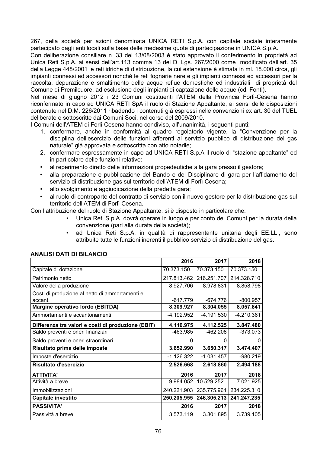267, della società per azioni denominata UNICA RETI S.p.A. con capitale sociale interamente partecipato dagli enti locali sulla base delle medesime quote di partecipazione in UNICA S.p.A.

Con deliberazione consiliare n. 33 del 13/08/2003 è stato approvato il conferimento in proprietà ad Unica Reti S.p.A. ai sensi dell'art.113 comma 13 del D. Los. 267/2000 come modificato dall'art. 35 della Legge 448/2001 le reti idriche di distribuzione, la cui estensione è stimata in ml. 18.000 circa, gli impianti connessi ed accessori nonché le reti fognarie nere e gli impianti connessi ed accessori per la raccolta, depurazione e smaltimento delle acque reflue domestiche ed industriali di proprietà del Comune di Premilcuore, ad esclusione degli impianti di captazione delle acque (cd. Fonti).

Nel mese di giugno 2012 i 23 Comuni costituenti l'ATEM della Provincia Forlì-Cesena hanno riconfermato in capo ad UNICA RETI SpA il ruolo di Stazione Appaltante, ai sensi delle disposizioni contenute nel D.M. 226/2011 ribadendo i contenuti già espressi nelle convenzioni ex art. 30 del TUEL deliberate e sottoscritte dai Comuni Soci, nel corso del 2009/2010.

I Comuni dell'ATEM di Forlì Cesena hanno condiviso, all'unanimità, i sequenti punti:

- 1. confermare, anche in conformità al quadro regolatorio vigente, la "Convenzione per la disciplina dell'esercizio delle funzioni afferenti al servizio pubblico di distribuzione del gas naturale" già approvata e sottoscritta con atto notarile;
- 2. confermare espressamente in capo ad UNICA RETI S.p.A il ruolo di "stazione appaltante" ed in particolare delle funzioni relative:
- al reperimento diretto delle informazioni propedeutiche alla gara presso il gestore;
- alla preparazione e pubblicazione del Bando e del Disciplinare di gara per l'affidamento del servizio di distribuzione gas sul territorio dell'ATEM di Forlì Cesena:
- allo svolgimento e aggiudicazione della predetta gara;
- al ruolo di controparte del contratto di servizio con il nuovo gestore per la distribuzione gas sul territorio dell'ATEM di Forlì Cesena.

Con l'attribuzione del ruolo di Stazione Appaltante, si è disposto in particolare che:

- Unica Reti S.p.A. dovrà operare in luogo e per conto dei Comuni per la durata della convenzione (pari alla durata della società);
- ad Unica Reti S.p.A, in qualità di rappresentante unitaria degli EE.LL., sono  $\bullet$ attribuite tutte le funzioni inerenti il pubblico servizio di distribuzione del gas.

|                                                    | 2016         | 2017         | 2018        |
|----------------------------------------------------|--------------|--------------|-------------|
| Capitale di dotazione                              | 70.373.150   | 70.373.150   | 70.373.150  |
| Patrimonio netto                                   | 217.813.462  | 216.251.707  | 214.328.710 |
| Valore della produzione                            | 8.927.706    | 8.978.831    | 8.858.798   |
| Costi di produzione al netto di ammortamenti e     |              |              |             |
| accant.                                            | $-617.779$   | $-674.776$   | $-800.957$  |
| Margine operativo lordo (EBITDA)                   | 8.309.927    | 8.304.055    | 8.057.841   |
| Ammortamenti e accantonamenti                      | -4.192.952   | -4.191.530   | -4.210.361  |
| Differenza tra valori e costi di produzione (EBIT) | 4.116.975    | 4.112.525    | 3.847.480   |
| Saldo proventi e oneri finanziari                  | -463.985     | $-462.208$   | $-373.073$  |
| Saldo proventi e oneri straordinari                | 0            | 0            |             |
| Risultato prima delle imposte                      | 3.652.990    | 3.650.317    | 3.474.407   |
| Imposte d'esercizio                                | $-1.126.322$ | $-1.031.457$ | $-980.219$  |
| Risultato d'esercizio                              | 2.526.668    | 2.618.860    | 2.494.188   |
| <b>ATTIVITA'</b>                                   | 2016         | 2017         | 2018        |
| Attività a breve                                   | 9.984.052    | 10.529.252   | 7.021.925   |
| Immobilizzazioni                                   | 240.221.903  | 235.775.961  | 234.225.310 |
| Capitale investito                                 | 250.205.955  | 246.305.213  | 241.247.235 |
| <b>PASSIVITA'</b>                                  | 2016         | 2017         | 2018        |
| Passività a breve                                  | 3.573.119    | 3.801.895    | 3.739.105   |

#### **ANALISI DATI DI BILANCIO**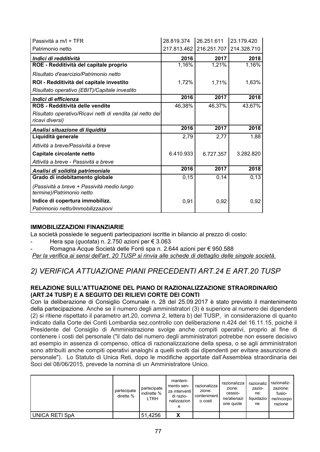| Passività a m/l + TFR                                                        | 28.819.374  | 26.251.611  | 23.179.420  |
|------------------------------------------------------------------------------|-------------|-------------|-------------|
| Patrimonio netto                                                             | 217.813.462 | 216.251.707 | 214.328.710 |
| Indici di redditività                                                        | 2016        | 2017        | 2018        |
| ROE - Redditività del capitale proprio                                       | 1,16%       | 1,21%       | 1,16%       |
| Risultato d'esercizio/Patrimonio netto                                       |             |             |             |
| ROI - Redditività del capitale investito                                     | 1,72%       | 1,71%       | 1,63%       |
| Risultato operativo (EBIT)/Capitale investito                                |             |             |             |
| Indici di efficienza                                                         | 2016        | 2017        | 2018        |
| ROS - Redditività delle vendite                                              | 46,38%      | 46,37%      | 43,67%      |
| Risultato operativo/Ricavi netti di vendita (al netto dei<br>ricavi diversi) |             |             |             |
|                                                                              |             |             |             |
| Analisi situazione di liquidità                                              | 2016        | 2017        | 2018        |
| Liquidità generale                                                           | 2,79        | 2,77        | 1,88        |
| Attività a breve/Passività a breve                                           |             |             |             |
| Capitale circolante netto                                                    | 6.410.933   | 6.727.357   | 3.282.820   |
| Attività a breve - Passività a breve                                         |             |             |             |
| Analisi di solidità patrimoniale                                             | 2016        | 2017        | 2018        |
| Grado di indebitamento globale                                               | 0, 15       | 0,14        | 0, 13       |
| (Passività a breve + Passività medio lungo<br>termine)/Patrimonio netto      |             |             |             |
| Indice di copertura immobilizz.                                              | 0,91        | 0,92        | 0,92        |

#### **IMMOBILIZZAZIONI FINANZIARIE**

La società possiede le seguenti partecipazioni iscritte in bilancio al prezzo di costo:

Hera spa (quotata) n. 2.750 azioni per € 3.063

Romagna Acque Società delle Fonti spa n. 2.644 azioni per € 950.588

Per la verifica ai sensi dell'art. 20 TUSP si rinvia alle schede di dettaglio delle singole società.

### 2) VERIFICA ATTUAZIONE PIANI PRECEDENTI ART.24 E ART.20 TUSP

#### RELAZIONE SULL'ATTUAZIONE DEL PIANO DI RAZIONALIZZAZIONE STRAORDINARIO (ART.24 TUSP) E A SEGUITO DEI RILIEVI CORTE DEI CONTI

Con la deliberazione di Consiglio Comunale n. 28 del 25.09.2017 è stato previsto il mantenimento della partecipazione. Anche se il numero degli amministratori (3) è superiore al numero dei dipendenti (2) si ritiene rispettato il parametro art.20, comma 2, lettera b) del TUSP, in considerazione di quanto indicato dalla Corte dei Conti Lombardia sez.controllo con deliberazione n.424 del 16.11.15, poiché il Presidente del Consiglio di Amministrazione svolge anche compiti operativi, proprio al fine di contenere i costi del personale ("il dato del numero degli amministratori potrebbe non essere decisivo ad esempio in assenza di compenso, ottica di razionalizzazione della spesa, o se agli amministratori sono attribuiti anche compiti operativi analoghi a quelli svolti dai dipendenti per evitare assunzione di personale"). Lo Statuto di Unica Reti, dopo le modifiche apportate dall'Assemblea straordinaria dei Soci del 08/06/2015, prevede la nomina di un Amministratore Unico.

|                       | partecipate<br>dirette % | partecipate<br>I indirette %<br>LTRH | manteni-<br>mento sen-<br>za interventi l<br>di razio-<br>nalizzazion<br>е | razionalizza<br>zione:<br>conteniment<br>o costi | razionalizza<br>zione:<br>cessio-<br>ne/alienazi<br>one quote | razionaliz<br>zazio-<br>ne:<br>liguidazio<br>ne | razionaliz-<br>zazione:<br>fusio-<br>ne/incorpo<br>razione |
|-----------------------|--------------------------|--------------------------------------|----------------------------------------------------------------------------|--------------------------------------------------|---------------------------------------------------------------|-------------------------------------------------|------------------------------------------------------------|
| <b>UNICA RETI SpA</b> |                          | 51,4256                              | Y<br>Δ                                                                     |                                                  |                                                               |                                                 |                                                            |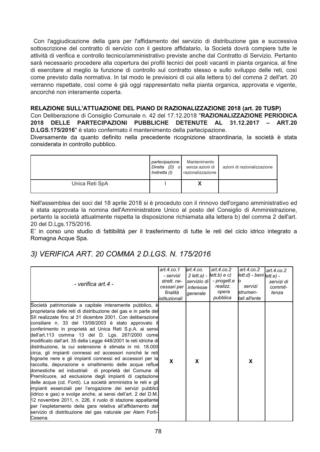Con l'aggiudicazione della gara per l'affidamento del servizio di distribuzione gas e successiva sottoscrizione del contratto di servizio con il gestore affidatario, la Società dovrà compiere tutte le attività di verifica e controllo tecnico/amministrativo previste anche dal Contratto di Servizio. Pertanto sarà necessario procedere alla copertura dei profili tecnici dei posti vacanti in pianta organica, al fine di esercitare al meglio la funzione di controllo sul contratto stesso e sullo sviluppo delle reti, così come previsto dalla normativa. In tal modo le previsioni di cui alla lettera b) del comma 2 dell'art. 20 verranno rispettate, così come è già oggi rappresentato nella pianta organica, approvata e vigente, ancorché non interamente coperta.

#### RELAZIONE SULL'ATTUAZIONE DEL PIANO DI RAZIONALIZZAZIONE 2018 (art. 20 TUSP)

Con Deliberazione di Consiglio Comunale n. 42 del 17.12.2018 "RAZIONALIZZAZIONE PERIODICA 2018 DELLE PARTECIPAZIONI PUBBLICHE DETENUTE AL 31.12.2017 - ART.20 D.LGS.175/2016" è stato confermato il mantenimento della partecipazione.

Diversamente da quanto definito nella precedente ricognizione straordinaria, la società è stata considerata in controllo pubblico.

|                | partecipazione<br>Indiretta (I) | Mantenimento<br>Diretta (D) o senza azioni di<br>razionalizzazione | azioni di razionalizzazione |
|----------------|---------------------------------|--------------------------------------------------------------------|-----------------------------|
| Unica Reti SpA |                                 | Λ                                                                  |                             |

Nell'assemblea dei soci del 18 aprile 2018 si è proceduto con il rinnovo dell'organo amministrativo ed è stata approvata la nomina dell'Amministratore Unico al posto del Consiglio di Amministrazione, pertanto la società attualmente rispetta la disposizione richiamata alla lettera b) del comma 2 dell'art. 20 del D.Lgs. 175/2016.

E' in corso uno studio di fattibilità per il trasferimento di tutte le reti del ciclo idrico integrato a Romagna Acque Spa.

### 3) VERIFICA ART. 20 COMMA 2 D.LGS. N. 175/2016

| - verifica art.4 -                                                                                                                                                                                                                                                                                                                                                                                                                                                                                                                                                                                                                                                                                                                                                                                                                                                                                                                                                                                                                                                                                                                                                                                   | art. $4$ .co.1<br>- servizi<br>strett, ne-<br>cessari per<br>finalità<br>listituzionali | art.4.co.<br>servizio di l<br>interesse<br>qenerale | art.4. $co.2$<br>$2$ lett.a) - $ lett.b $ e c)<br>- progett.e<br>realizz.<br>opera<br>pubblica | art.4.co.2<br>lett.d) - benivett.e) -<br>servizi<br>strumen-<br>tali all'ente | art.4.co.2<br>servizi di<br>commit-<br>tenza |
|------------------------------------------------------------------------------------------------------------------------------------------------------------------------------------------------------------------------------------------------------------------------------------------------------------------------------------------------------------------------------------------------------------------------------------------------------------------------------------------------------------------------------------------------------------------------------------------------------------------------------------------------------------------------------------------------------------------------------------------------------------------------------------------------------------------------------------------------------------------------------------------------------------------------------------------------------------------------------------------------------------------------------------------------------------------------------------------------------------------------------------------------------------------------------------------------------|-----------------------------------------------------------------------------------------|-----------------------------------------------------|------------------------------------------------------------------------------------------------|-------------------------------------------------------------------------------|----------------------------------------------|
| Società patrimoniale a capitale interamente pubblico, è<br>proprietaria delle reti di distribuzione del gas e in parte del<br>SII realizzate fino al 31 dicembre 2001. Con deliberazione<br>consiliare n. 33 del 13/08/2003 è stato approvato il<br>conferimento in proprietà ad Unica Reti S.p.A. ai sensi<br>dell'art.113 comma 13 del D. Lgs. 267/2000 come<br>modificato dall'art. 35 della Legge 448/2001 le reti idriche di<br>distribuzione, la cui estensione è stimata in ml. 18.000<br>circa, gli impianti connessi ed accessori nonché le reti<br>fognarie nere e gli impianti connessi ed accessori per la<br>raccolta, depurazione e smaltimento delle acque reflue<br>domestiche ed industriali di proprietà del Comune di<br>Premilcuore, ad esclusione degli impianti di captazione<br>delle acque (cd. Fonti). La società amministra le reti e gli<br>impianti essenziali per l'erogazione dei servizi pubblici<br>(idrico e gas) e svolge anche, ai sensi dell'art. 2 del D.M.<br>12 novembre 2011, n. 226, il ruolo di stazione appaltante<br>per l'espletamento della gara relativa all'affidamento del<br>servizio di distribuzione del gas naturale per Atem Forlì-<br>Cesena. | X                                                                                       | X                                                   |                                                                                                | X                                                                             |                                              |